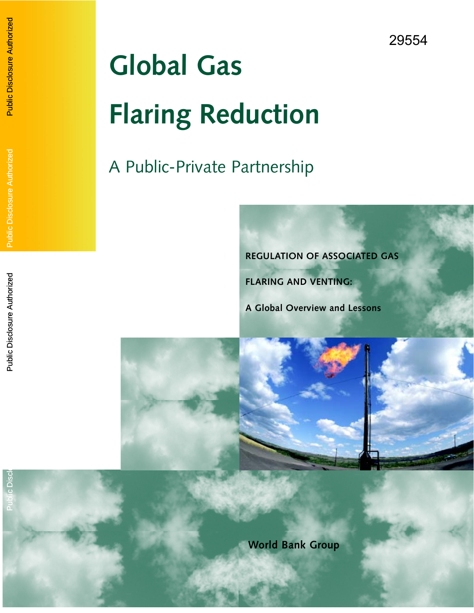# **Global Gas Flaring Reduction**

Public Disclosure Authorized

**Public Disclosure Authorized** 

Public Disclosure Authorized

**Public Disclosure Authorized** 

Public Disclosure Authorized

Public Disclosure Authorized

Public Disclosure

**Public Disc** 

# A Public-Private Partnership



**FLARING AND VENTING:**

**A Global Overview and Lessons**



**World Bank Group**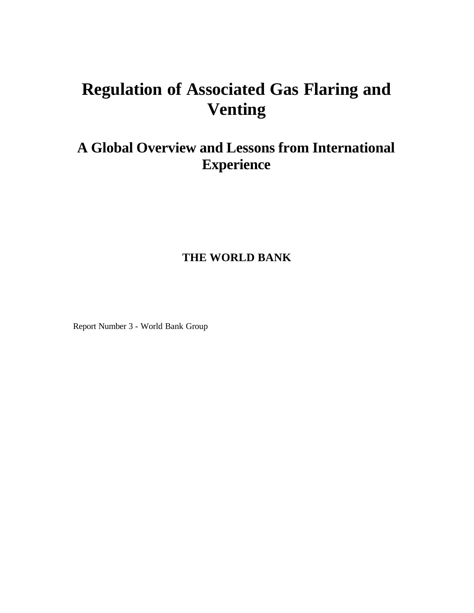# **Regulation of Associated Gas Flaring and Venting**

# **A Global Overview and Lessons from International Experience**

### **THE WORLD BANK**

Report Number 3 - World Bank Group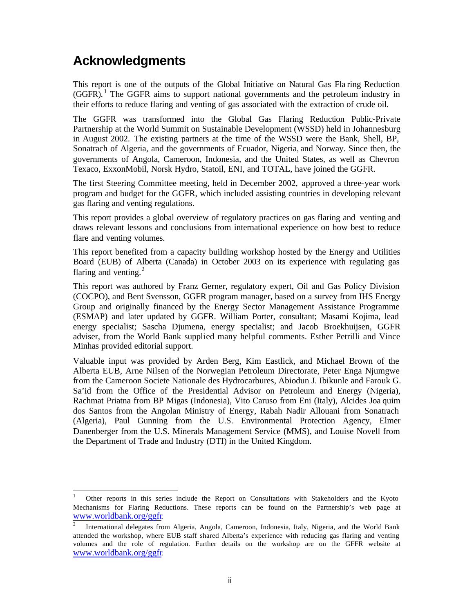# **Acknowledgments**

 $\overline{\phantom{a}}$ 

This report is one of the outputs of the Global Initiative on Natural Gas Fla ring Reduction  $(GGFR)$ .<sup>1</sup> The GGFR aims to support national governments and the petroleum industry in their efforts to reduce flaring and venting of gas associated with the extraction of crude oil.

The GGFR was transformed into the Global Gas Flaring Reduction Public-Private Partnership at the World Summit on Sustainable Development (WSSD) held in Johannesburg in August 2002. The existing partners at the time of the WSSD were the Bank, Shell, BP, Sonatrach of Algeria, and the governments of Ecuador, Nigeria, and Norway. Since then, the governments of Angola, Cameroon, Indonesia, and the United States, as well as Chevron Texaco, ExxonMobil, Norsk Hydro, Statoil, ENI, and TOTAL, have joined the GGFR.

The first Steering Committee meeting, held in December 2002, approved a three-year work program and budget for the GGFR, which included assisting countries in developing relevant gas flaring and venting regulations.

This report provides a global overview of regulatory practices on gas flaring and venting and draws relevant lessons and conclusions from international experience on how best to reduce flare and venting volumes.

This report benefited from a capacity building workshop hosted by the Energy and Utilities Board (EUB) of Alberta (Canada) in October 2003 on its experience with regulating gas flaring and venting. $^{2}$ 

This report was authored by Franz Gerner, regulatory expert, Oil and Gas Policy Division (COCPO), and Bent Svensson, GGFR program manager, based on a survey from IHS Energy Group and originally financed by the Energy Sector Management Assistance Programme (ESMAP) and later updated by GGFR. William Porter, consultant; Masami Kojima, lead energy specialist; Sascha Djumena, energy specialist; and Jacob Broekhuijsen, GGFR adviser, from the World Bank supplied many helpful comments. Esther Petrilli and Vince Minhas provided editorial support.

Valuable input was provided by Arden Berg, Kim Eastlick, and Michael Brown of the Alberta EUB, Arne Nilsen of the Norwegian Petroleum Directorate, Peter Enga Njumgwe from the Cameroon Societe Nationale des Hydrocarbures, Abiodun J. Ibikunle and Farouk G. Sa'id from the Office of the Presidential Advisor on Petroleum and Energy (Nigeria), Rachmat Priatna from BP Migas (Indonesia), Vito Caruso from Eni (Italy), Alcides Joa quim dos Santos from the Angolan Ministry of Energy, Rabah Nadir Allouani from Sonatrach (Algeria), Paul Gunning from the U.S. Environmental Protection Agency, Elmer Danenberger from the U.S. Minerals Management Service (MMS), and Louise Novell from the Department of Trade and Industry (DTI) in the United Kingdom.

<sup>1</sup> Other reports in this series include the Report on Consultations with Stakeholders and the Kyoto Mechanisms for Flaring Reductions. These reports can be found on the Partnership's web page at www.worldbank.org/ggfr.

 $\overline{2}$ International delegates from Algeria, Angola, Cameroon, Indonesia, Italy, Nigeria, and the World Bank attended the workshop, where EUB staff shared Alberta's experience with reducing gas flaring and venting volumes and the role of regulation. Further details on the workshop are on the GFFR website at www.worldbank.org/ggfr.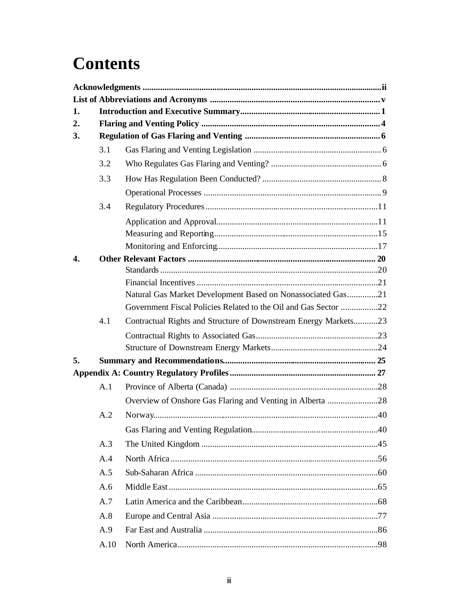# **Contents**

| 1. |      |                                                                 |  |  |  |
|----|------|-----------------------------------------------------------------|--|--|--|
| 2. |      |                                                                 |  |  |  |
| 3. |      |                                                                 |  |  |  |
|    | 3.1  |                                                                 |  |  |  |
|    | 3.2  |                                                                 |  |  |  |
|    | 3.3  |                                                                 |  |  |  |
|    |      |                                                                 |  |  |  |
|    | 3.4  |                                                                 |  |  |  |
|    |      |                                                                 |  |  |  |
|    |      |                                                                 |  |  |  |
|    |      |                                                                 |  |  |  |
| 4. |      |                                                                 |  |  |  |
|    |      |                                                                 |  |  |  |
|    |      |                                                                 |  |  |  |
|    |      | Natural Gas Market Development Based on Nonassociated Gas21     |  |  |  |
|    |      | Government Fiscal Policies Related to the Oil and Gas Sector 22 |  |  |  |
|    | 4.1  | Contractual Rights and Structure of Downstream Energy Markets23 |  |  |  |
|    |      |                                                                 |  |  |  |
|    |      |                                                                 |  |  |  |
| 5. |      |                                                                 |  |  |  |
|    |      |                                                                 |  |  |  |
|    | A.1  |                                                                 |  |  |  |
|    |      | Overview of Onshore Gas Flaring and Venting in Alberta 28       |  |  |  |
|    | A.2  |                                                                 |  |  |  |
|    |      |                                                                 |  |  |  |
|    | A.3  |                                                                 |  |  |  |
|    | A.4  |                                                                 |  |  |  |
|    | A.5  |                                                                 |  |  |  |
|    | A.6  |                                                                 |  |  |  |
|    | A.7  |                                                                 |  |  |  |
|    | A.8  |                                                                 |  |  |  |
|    | A.9  |                                                                 |  |  |  |
|    | A.10 |                                                                 |  |  |  |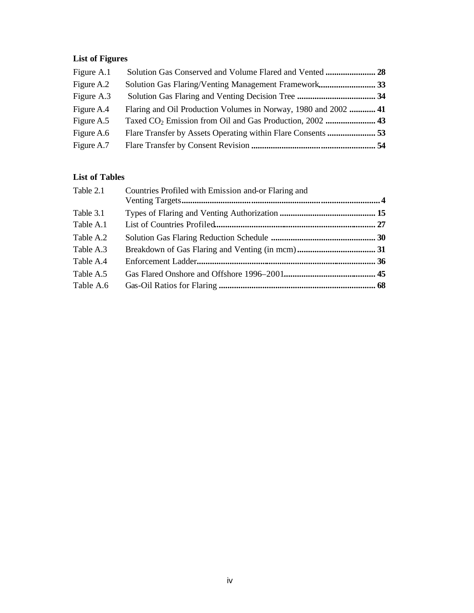# **List of Figures**

| Figure A.1 |                                                                 |  |
|------------|-----------------------------------------------------------------|--|
| Figure A.2 | Solution Gas Flaring/Venting Management Framework 33            |  |
| Figure A.3 |                                                                 |  |
| Figure A.4 | Flaring and Oil Production Volumes in Norway, 1980 and 2002  41 |  |
| Figure A.5 |                                                                 |  |
| Figure A.6 |                                                                 |  |
| Figure A.7 |                                                                 |  |

#### **List of Tables**

| Table 2.1 | Countries Profiled with Emission and-or Flaring and |  |
|-----------|-----------------------------------------------------|--|
|           |                                                     |  |
| Table 3.1 |                                                     |  |
| Table A.1 |                                                     |  |
| Table A.2 |                                                     |  |
| Table A.3 |                                                     |  |
| Table A.4 |                                                     |  |
| Table A.5 |                                                     |  |
| Table A.6 |                                                     |  |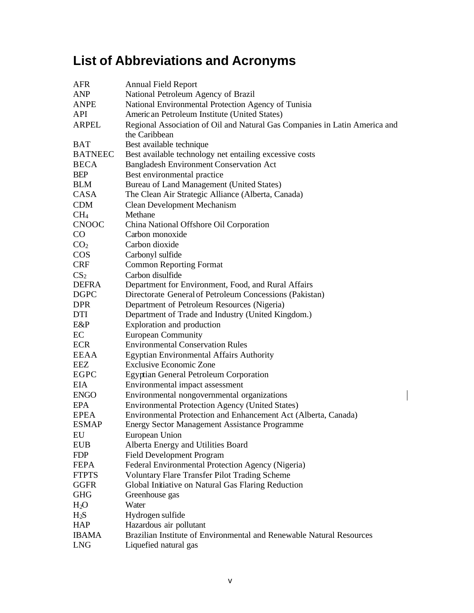# **List of Abbreviations and Acronyms**

| <b>AFR</b>      | <b>Annual Field Report</b>                                                 |
|-----------------|----------------------------------------------------------------------------|
| <b>ANP</b>      | National Petroleum Agency of Brazil                                        |
| ANPE            | National Environmental Protection Agency of Tunisia                        |
| API             | Americ an Petroleum Institute (United States)                              |
| <b>ARPEL</b>    | Regional Association of Oil and Natural Gas Companies in Latin America and |
|                 | the Caribbean                                                              |
| <b>BAT</b>      | Best available technique                                                   |
| <b>BATNEEC</b>  | Best available technology net entailing excessive costs                    |
| <b>BECA</b>     | Bangladesh Environment Conservation Act                                    |
| <b>BEP</b>      | Best environmental practice                                                |
| <b>BLM</b>      | Bureau of Land Management (United States)                                  |
| CASA            | The Clean Air Strategic Alliance (Alberta, Canada)                         |
| <b>CDM</b>      | <b>Clean Development Mechanism</b>                                         |
| CH <sub>4</sub> | Methane                                                                    |
| <b>CNOOC</b>    | China National Offshore Oil Corporation                                    |
| $\rm CO$        | Carbon monoxide                                                            |
| CO <sub>2</sub> | Carbon dioxide                                                             |
| <b>COS</b>      | Carbonyl sulfide                                                           |
| <b>CRF</b>      | <b>Common Reporting Format</b>                                             |
| CS <sub>2</sub> | Carbon disulfide                                                           |
| <b>DEFRA</b>    | Department for Environment, Food, and Rural Affairs                        |
| <b>DGPC</b>     | Directorate General of Petroleum Concessions (Pakistan)                    |
| <b>DPR</b>      | Department of Petroleum Resources (Nigeria)                                |
| DTI             | Department of Trade and Industry (United Kingdom.)                         |
| E&P             | Exploration and production                                                 |
| EC              | <b>European Community</b>                                                  |
| <b>ECR</b>      | <b>Environmental Conservation Rules</b>                                    |
| EEAA            | Egyptian Environmental Affairs Authority                                   |
| EEZ             | Exclusive Economic Zone                                                    |
| <b>EGPC</b>     | Egyptian General Petroleum Corporation                                     |
| EIA             | Environmental impact assessment                                            |
| <b>ENGO</b>     | Environmental nongovernmental organizations                                |
| EPA             | <b>Environmental Protection Agency (United States)</b>                     |
| <b>EPEA</b>     | Environmental Protection and Enhancement Act (Alberta, Canada)             |
| <b>ESMAP</b>    | <b>Energy Sector Management Assistance Programme</b>                       |
| EU              | European Union                                                             |
| <b>EUB</b>      | Alberta Energy and Utilities Board                                         |
| <b>FDP</b>      | <b>Field Development Program</b>                                           |
| <b>FEPA</b>     | Federal Environmental Protection Agency (Nigeria)                          |
| <b>FTPTS</b>    | <b>Voluntary Flare Transfer Pilot Trading Scheme</b>                       |
| <b>GGFR</b>     | Global Initiative on Natural Gas Flaring Reduction                         |
| <b>GHG</b>      | Greenhouse gas                                                             |
| $H_2O$          | Water                                                                      |
| $H_2S$          | Hydrogen sulfide                                                           |
| <b>HAP</b>      | Hazardous air pollutant                                                    |
| <b>IBAMA</b>    | Brazilian Institute of Environmental and Renewable Natural Resources       |
| <b>LNG</b>      | Liquefied natural gas                                                      |
|                 |                                                                            |

 $\overline{\phantom{a}}$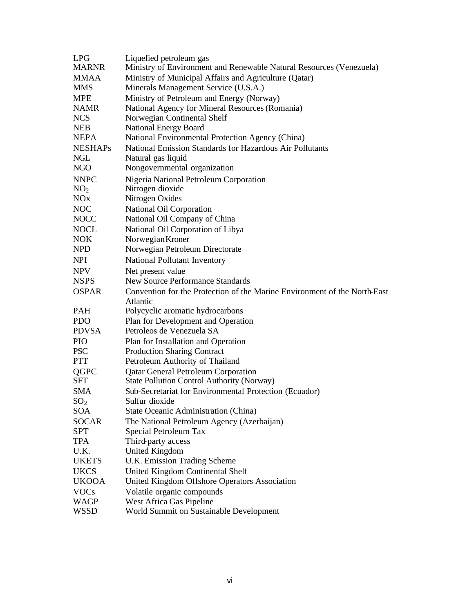| <b>LPG</b>                 | Liquefied petroleum gas                                                                         |
|----------------------------|-------------------------------------------------------------------------------------------------|
| <b>MARNR</b>               | Ministry of Environment and Renewable Natural Resources (Venezuela)                             |
| <b>MMAA</b>                | Ministry of Municipal Affairs and Agriculture (Qatar)                                           |
| <b>MMS</b>                 | Minerals Management Service (U.S.A.)                                                            |
| <b>MPE</b>                 | Ministry of Petroleum and Energy (Norway)                                                       |
| <b>NAMR</b>                | National Agency for Mineral Resources (Romania)                                                 |
| <b>NCS</b>                 | Norwegian Continental Shelf                                                                     |
| <b>NEB</b>                 | <b>National Energy Board</b>                                                                    |
| <b>NEPA</b>                | National Environmental Protection Agency (China)                                                |
| <b>NESHAPs</b>             | National Emission Standards for Hazardous Air Pollutants                                        |
| <b>NGL</b>                 | Natural gas liquid                                                                              |
| <b>NGO</b>                 | Nongovernmental organization                                                                    |
| <b>NNPC</b>                | Nigeria National Petroleum Corporation                                                          |
| NO <sub>2</sub>            | Nitrogen dioxide                                                                                |
| NOx                        | Nitrogen Oxides                                                                                 |
| <b>NOC</b>                 | National Oil Corporation                                                                        |
| <b>NOCC</b>                | National Oil Company of China                                                                   |
| <b>NOCL</b>                | National Oil Corporation of Libya                                                               |
| NOK                        | Norwegian Kroner                                                                                |
| <b>NPD</b>                 | Norwegian Petroleum Directorate                                                                 |
| <b>NPI</b>                 | National Pollutant Inventory                                                                    |
| <b>NPV</b>                 | Net present value                                                                               |
| <b>NSPS</b>                | <b>New Source Performance Standards</b>                                                         |
| <b>OSPAR</b>               | Convention for the Protection of the Marine Environment of the North-East                       |
| <b>PAH</b>                 | Atlantic                                                                                        |
|                            | Polycyclic aromatic hydrocarbons                                                                |
| <b>PDO</b><br><b>PDVSA</b> | Plan for Development and Operation<br>Petroleos de Venezuela SA                                 |
| <b>PIO</b>                 |                                                                                                 |
| <b>PSC</b>                 | Plan for Installation and Operation                                                             |
| <b>PTT</b>                 | <b>Production Sharing Contract</b><br>Petroleum Authority of Thailand                           |
|                            |                                                                                                 |
| QGPC<br><b>SFT</b>         | <b>Qatar General Petroleum Corporation</b><br><b>State Pollution Control Authority (Norway)</b> |
| <b>SMA</b>                 | Sub-Secretariat for Environmental Protection (Ecuador)                                          |
| SO <sub>2</sub>            | Sulfur dioxide                                                                                  |
| SOA                        | State Oceanic Administration (China)                                                            |
| <b>SOCAR</b>               | The National Petroleum Agency (Azerbaijan)                                                      |
| <b>SPT</b>                 | Special Petroleum Tax                                                                           |
| TPA                        | Third-party access                                                                              |
| U.K.                       | <b>United Kingdom</b>                                                                           |
| <b>UKETS</b>               | U.K. Emission Trading Scheme                                                                    |
| <b>UKCS</b>                |                                                                                                 |
| <b>UKOOA</b>               | United Kingdom Continental Shelf<br>United Kingdom Offshore Operators Association               |
| <b>VOCs</b>                | Volatile organic compounds                                                                      |
| WAGP                       | West Africa Gas Pipeline                                                                        |
| <b>WSSD</b>                | World Summit on Sustainable Development                                                         |
|                            |                                                                                                 |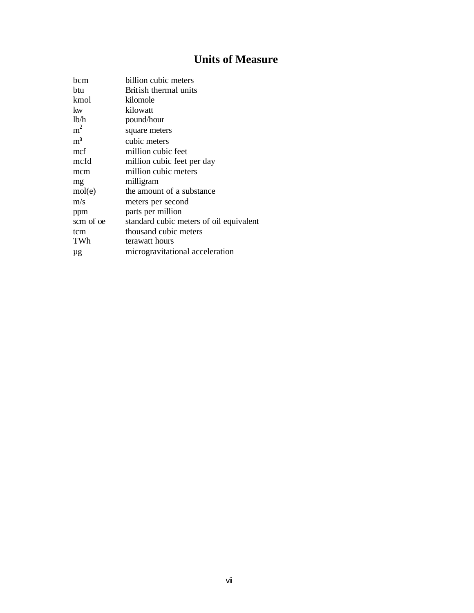# **Units of Measure**

| bcm            | billion cubic meters                    |
|----------------|-----------------------------------------|
| btu            | British thermal units                   |
| kmol           | kilomole                                |
| kw             | kilowatt                                |
| lb/h           | pound/hour                              |
| m <sup>2</sup> | square meters                           |
| m <sup>3</sup> | cubic meters                            |
| mcf            | million cubic feet                      |
| mcfd           | million cubic feet per day              |
| mcm            | million cubic meters                    |
| mg             | milligram                               |
| mol(e)         | the amount of a substance               |
| m/s            | meters per second                       |
| ppm            | parts per million                       |
| scm of oe      | standard cubic meters of oil equivalent |
| tcm            | thousand cubic meters                   |
| TWh            | terawatt hours                          |
| μg             | microgravitational acceleration         |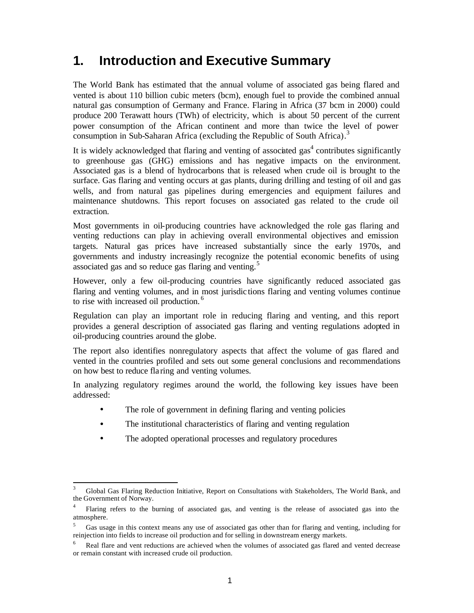# **1. Introduction and Executive Summary**

The World Bank has estimated that the annual volume of associated gas being flared and vented is about 110 billion cubic meters (bcm), enough fuel to provide the combined annual natural gas consumption of Germany and France. Flaring in Africa (37 bcm in 2000) could produce 200 Terawatt hours (TWh) of electricity, which is about 50 percent of the current power consumption of the African continent and more than twice the level of power consumption in Sub-Saharan Africa (excluding the Republic of South Africa).<sup>3</sup>

It is widely acknowledged that flaring and venting of associated gas<sup>4</sup> contributes significantly to greenhouse gas (GHG) emissions and has negative impacts on the environment. Associated gas is a blend of hydrocarbons that is released when crude oil is brought to the surface. Gas flaring and venting occurs at gas plants, during drilling and testing of oil and gas wells, and from natural gas pipelines during emergencies and equipment failures and maintenance shutdowns. This report focuses on associated gas related to the crude oil extraction.

Most governments in oil-producing countries have acknowledged the role gas flaring and venting reductions can play in achieving overall environmental objectives and emission targets. Natural gas prices have increased substantially since the early 1970s, and governments and industry increasingly recognize the potential economic benefits of using associated gas and so reduce gas flaring and venting.<sup>5</sup>

However, only a few oil-producing countries have significantly reduced associated gas flaring and venting volumes, and in most jurisdic tions flaring and venting volumes continue to rise with increased oil production.<sup>6</sup>

Regulation can play an important role in reducing flaring and venting, and this report provides a general description of associated gas flaring and venting regulations adopted in oil-producing countries around the globe.

The report also identifies nonregulatory aspects that affect the volume of gas flared and vented in the countries profiled and sets out some general conclusions and recommendations on how best to reduce fla ring and venting volumes.

In analyzing regulatory regimes around the world, the following key issues have been addressed:

- The role of government in defining flaring and venting policies
- The institutional characteristics of flaring and venting regulation
- The adopted operational processes and regulatory procedures

 $\overline{\phantom{a}}$ 

<sup>3</sup> Global Gas Flaring Reduction Initiative, Report on Consultations with Stakeholders, The World Bank, and the Government of Norway.

<sup>4</sup> Flaring refers to the burning of associated gas, and venting is the release of associated gas into the atmosphere.

<sup>&</sup>lt;sup>5</sup> Gas usage in this context means any use of associated gas other than for flaring and venting, including for reinjection into fields to increase oil production and for selling in downstream energy markets.

Real flare and vent reductions are achieved when the volumes of associated gas flared and vented decrease or remain constant with increased crude oil production.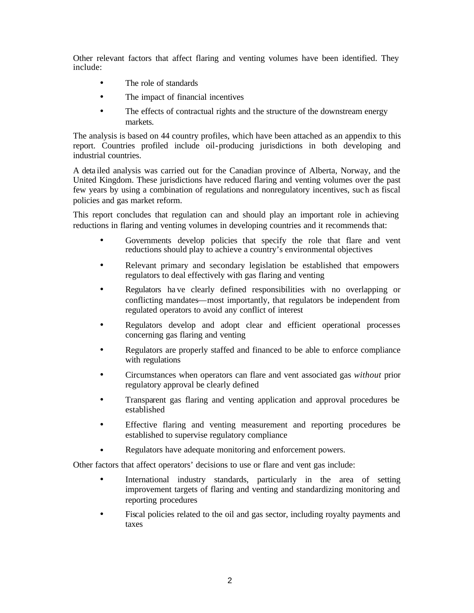Other relevant factors that affect flaring and venting volumes have been identified. They include:

- The role of standards
- The impact of financial incentives
- The effects of contractual rights and the structure of the downstream energy markets.

The analysis is based on 44 country profiles, which have been attached as an appendix to this report. Countries profiled include oil-producing jurisdictions in both developing and industrial countries.

A deta iled analysis was carried out for the Canadian province of Alberta, Norway, and the United Kingdom. These jurisdictions have reduced flaring and venting volumes over the past few years by using a combination of regulations and nonregulatory incentives, suc h as fiscal policies and gas market reform.

This report concludes that regulation can and should play an important role in achieving reductions in flaring and venting volumes in developing countries and it recommends that:

- Governments develop policies that specify the role that flare and vent reductions should play to achieve a country's environmental objectives
- Relevant primary and secondary legislation be established that empowers regulators to deal effectively with gas flaring and venting
- Regulators ha ve clearly defined responsibilities with no overlapping or conflicting mandates—most importantly, that regulators be independent from regulated operators to avoid any conflict of interest
- Regulators develop and adopt clear and efficient operational processes concerning gas flaring and venting
- Regulators are properly staffed and financed to be able to enforce compliance with regulations
- Circumstances when operators can flare and vent associated gas *without* prior regulatory approval be clearly defined
- Transparent gas flaring and venting application and approval procedures be established
- Effective flaring and venting measurement and reporting procedures be established to supervise regulatory compliance
- Regulators have adequate monitoring and enforcement powers.

Other factors that affect operators' decisions to use or flare and vent gas include:

- International industry standards, particularly in the area of setting improvement targets of flaring and venting and standardizing monitoring and reporting procedures
- Fiscal policies related to the oil and gas sector, including royalty payments and taxes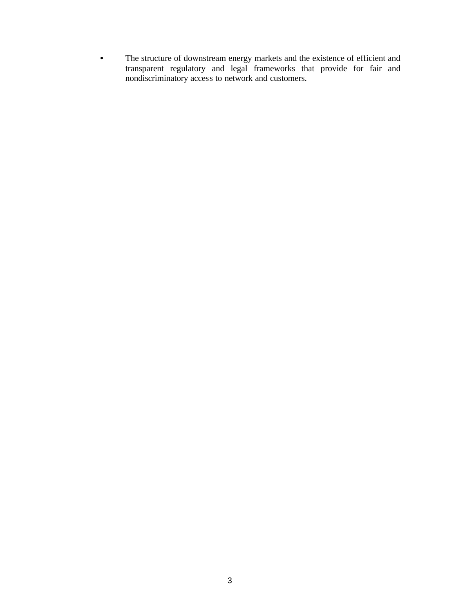• The structure of downstream energy markets and the existence of efficient and transparent regulatory and legal frameworks that provide for fair and nondiscriminatory access to network and customers.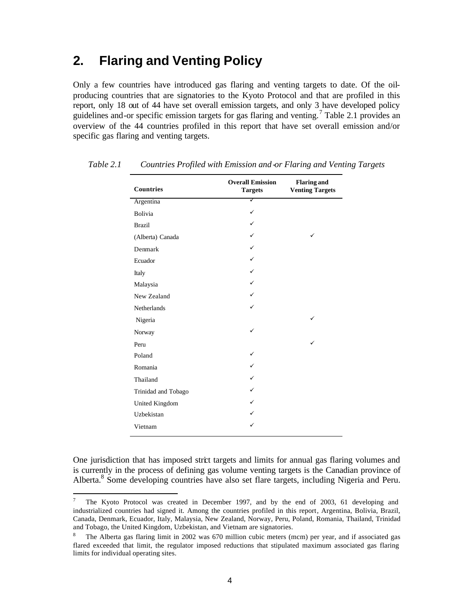# **2. Flaring and Venting Policy**

Only a few countries have introduced gas flaring and venting targets to date. Of the oilproducing countries that are signatories to the Kyoto Protocol and that are profiled in this report, only 18 out of 44 have set overall emission targets, and only 3 have developed policy guidelines and-or specific emission targets for gas flaring and venting.<sup>7</sup> Table 2.1 provides an overview of the 44 countries profiled in this report that have set overall emission and/or specific gas flaring and venting targets.

| <b>Countries</b>    | <b>Overall Emission</b><br><b>Targets</b> | <b>Flaring and</b><br><b>Venting Targets</b> |
|---------------------|-------------------------------------------|----------------------------------------------|
| Argentina           | ✓                                         |                                              |
| <b>Bolivia</b>      | ✓                                         |                                              |
| <b>Brazil</b>       | ✓                                         |                                              |
| (Alberta) Canada    |                                           | ✓                                            |
| Denmark             | ✓                                         |                                              |
| Ecuador             | $\checkmark$                              |                                              |
| Italy               | ✓                                         |                                              |
| Malaysia            | ✓                                         |                                              |
| New Zealand         | ✓                                         |                                              |
| <b>Netherlands</b>  | ✓                                         |                                              |
| Nigeria             |                                           | ✓                                            |
| Norway              | ✓                                         |                                              |
| Peru                |                                           | ✓                                            |
| Poland              | ✓                                         |                                              |
| Romania             | ✓                                         |                                              |
| Thailand            | ✓                                         |                                              |
| Trinidad and Tobago | ✓                                         |                                              |
| United Kingdom      |                                           |                                              |
| Uzbekistan          |                                           |                                              |
| Vietnam             | ✓                                         |                                              |

*Table 2.1 Countries Profiled with Emission and -or Flaring and Venting Targets*

One jurisdiction that has imposed strict targets and limits for annual gas flaring volumes and is currently in the process of defining gas volume venting targets is the Canadian province of Alberta.<sup>8</sup> Some developing countries have also set flare targets, including Nigeria and Peru.

 $\overline{\phantom{a}}$ 

<sup>&</sup>lt;sup>7</sup> The Kyoto Protocol was created in December 1997, and by the end of 2003, 61 developing and industrialized countries had signed it. Among the countries profiled in this report, Argentina, Bolivia, Brazil, Canada, Denmark, Ecuador, Italy, Malaysia, New Zealand, Norway, Peru, Poland, Romania, Thailand, Trinidad and Tobago, the United Kingdom, Uzbekistan, and Vietnam are signatories.

<sup>8</sup> The Alberta gas flaring limit in 2002 was 670 million cubic meters (mcm) per year, and if associated gas flared exceeded that limit, the regulator imposed reductions that stipulated maximum associated gas flaring limits for individual operating sites.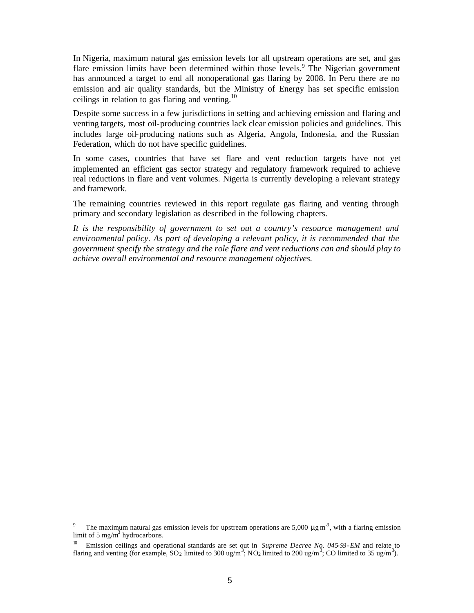In Nigeria, maximum natural gas emission levels for all upstream operations are set, and gas flare emission limits have been determined within those levels.<sup>9</sup> The Nigerian government has announced a target to end all nonoperational gas flaring by 2008. In Peru there are no emission and air quality standards, but the Ministry of Energy has set specific emission ceilings in relation to gas flaring and venting.<sup>10</sup>

Despite some success in a few jurisdictions in setting and achieving emission and flaring and venting targets, most oil-producing countries lack clear emission policies and guidelines. This includes large oil-producing nations such as Algeria, Angola, Indonesia, and the Russian Federation, which do not have specific guidelines.

In some cases, countries that have set flare and vent reduction targets have not yet implemented an efficient gas sector strategy and regulatory framework required to achieve real reductions in flare and vent volumes. Nigeria is currently developing a relevant strategy and framework.

The remaining countries reviewed in this report regulate gas flaring and venting through primary and secondary legislation as described in the following chapters.

*It is the responsibility of government to set out a country's resource management and environmental policy. As part of developing a relevant policy, it is recommended that the government specify the strategy and the role flare and vent reductions can and should play to achieve overall environmental and resource management objectives.* 

l

<sup>9</sup> The maximum natural gas emission levels for upstream operations are 5,000  $\mu$ g m<sup>-3</sup>, with a flaring emission limit of 5 mg/m<sup>3</sup> hydrocarbons.

Emission ceilings and operational standards are set out in *Supreme Decree No. 045-93-EM* and relate to flaring and venting (for example, SO<sub>2</sub> limited to 300 ug/m<sup>3</sup>; NO<sub>2</sub> limited to 200 ug/m<sup>3</sup>; CO limited to 35 ug/m<sup>3</sup>).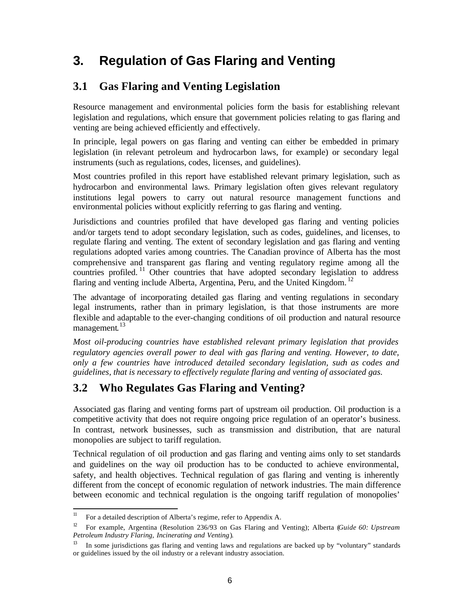# **3. Regulation of Gas Flaring and Venting**

### **3.1 Gas Flaring and Venting Legislation**

Resource management and environmental policies form the basis for establishing relevant legislation and regulations, which ensure that government policies relating to gas flaring and venting are being achieved efficiently and effectively.

In principle, legal powers on gas flaring and venting can either be embedded in primary legislation (in relevant petroleum and hydrocarbon laws, for example) or secondary legal instruments (such as regulations, codes, licenses, and guidelines).

Most countries profiled in this report have established relevant primary legislation, such as hydrocarbon and environmental laws. Primary legislation often gives relevant regulatory institutions legal powers to carry out natural resource management functions and environmental policies without explicitly referring to gas flaring and venting.

Jurisdictions and countries profiled that have developed gas flaring and venting policies and/or targets tend to adopt secondary legislation, such as codes, guidelines, and licenses, to regulate flaring and venting. The extent of secondary legislation and gas flaring and venting regulations adopted varies among countries. The Canadian province of Alberta has the most comprehensive and transparent gas flaring and venting regulatory regime among all the countries profiled.<sup>11</sup> Other countries that have adopted secondary legislation to address flaring and venting include Alberta, Argentina, Peru, and the United Kingdom.<sup>12</sup>

The advantage of incorporating detailed gas flaring and venting regulations in secondary legal instruments, rather than in primary legislation, is that those instruments are more flexible and adaptable to the ever-changing conditions of oil production and natural resource management.<sup>13</sup>

*Most oil-producing countries have established relevant primary legislation that provides regulatory agencies overall power to deal with gas flaring and venting. However, to date, only a few countries have introduced detailed secondary legislation, such as codes and guidelines, that is necessary to effectively regulate flaring and venting of associated gas.* 

### **3.2 Who Regulates Gas Flaring and Venting?**

Associated gas flaring and venting forms part of upstream oil production. Oil production is a competitive activity that does not require ongoing price regulation of an operator's business. In contrast, network businesses, such as transmission and distribution, that are natural monopolies are subject to tariff regulation.

Technical regulation of oil production and gas flaring and venting aims only to set standards and guidelines on the way oil production has to be conducted to achieve environmental, safety, and health objectives. Technical regulation of gas flaring and venting is inherently different from the concept of economic regulation of network industries. The main difference between economic and technical regulation is the ongoing tariff regulation of monopolies'

 $11\,$ <sup>11</sup> For a detailed description of Alberta's regime, refer to Appendix A.

<sup>12</sup> For example, Argentina (Resolution 236/93 on Gas Flaring and Venting); Alberta (*Guide 60: Upstream Petroleum Industry Flaring, Incinerating and Venting*).

<sup>13</sup> In some jurisdictions gas flaring and venting laws and regulations are backed up by "voluntary" standards or guidelines issued by the oil industry or a relevant industry association.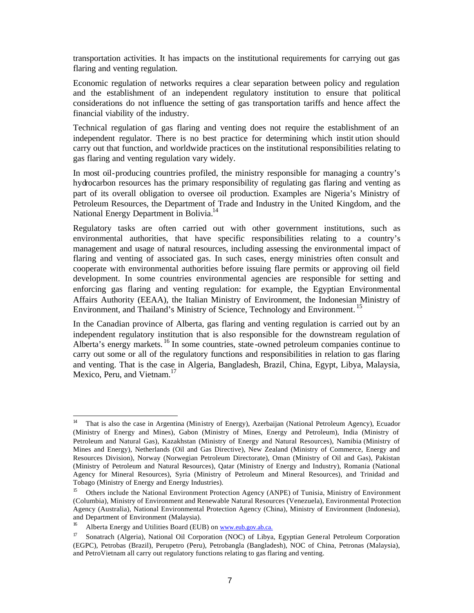transportation activities. It has impacts on the institutional requirements for carrying out gas flaring and venting regulation.

Economic regulation of networks requires a clear separation between policy and regulation and the establishment of an independent regulatory institution to ensure that political considerations do not influence the setting of gas transportation tariffs and hence affect the financial viability of the industry.

Technical regulation of gas flaring and venting does not require the establishment of an independent regulator. There is no best practice for determining which instit ution should carry out that function, and worldwide practices on the institutional responsibilities relating to gas flaring and venting regulation vary widely.

In most oil-producing countries profiled, the ministry responsible for managing a country's hydrocarbon resources has the primary responsibility of regulating gas flaring and venting as part of its overall obligation to oversee oil production. Examples are Nigeria's Ministry of Petroleum Resources, the Department of Trade and Industry in the United Kingdom, and the National Energy Department in Bolivia.<sup>14</sup>

Regulatory tasks are often carried out with other government institutions, such as environmental authorities, that have specific responsibilities relating to a country's management and usage of natural resources, including assessing the environmental impact of flaring and venting of associated gas. In such cases, energy ministries often consult and cooperate with environmental authorities before issuing flare permits or approving oil field development. In some countries environmental agencies are responsible for setting and enforcing gas flaring and venting regulation: for example, the Egyptian Environmental Affairs Authority (EEAA), the Italian Ministry of Environment, the Indonesian Ministry of Environment, and Thailand's Ministry of Science, Technology and Environment.<sup>15</sup>

In the Canadian province of Alberta, gas flaring and venting regulation is carried out by an independent regulatory institution that is also responsible for the downstream regulation of Alberta's energy markets.<sup>16</sup> In some countries, state-owned petroleum companies continue to carry out some or all of the regulatory functions and responsibilities in relation to gas flaring and venting. That is the case in Algeria, Bangladesh, Brazil, China, Egypt, Libya, Malaysia, Mexico, Peru, and Vietnam.<sup>17</sup>

 $14\,$ <sup>14</sup> That is also the case in Argentina (Ministry of Energy), Azerbaijan (National Petroleum Agency), Ecuador (Ministry of Energy and Mines), Gabon (Ministry of Mines, Energy and Petroleum), India (Ministry of Petroleum and Natural Gas), Kazakhstan (Ministry of Energy and Natural Resources), Namibia (Ministry of Mines and Energy), Netherlands (Oil and Gas Directive), New Zealand (Ministry of Commerce, Energy and Resources Division), Norway (Norwegian Petroleum Directorate), Oman (Ministry of Oil and Gas), Pakistan (Ministry of Petroleum and Natural Resources), Qatar (Ministry of Energy and Industry), Romania (National Agency for Mineral Resources), Syria (Ministry of Petroleum and Mineral Resources), and Trinidad and Tobago (Ministry of Energy and Energy Industries).

<sup>&</sup>lt;sup>15</sup> Others include the National Environment Protection Agency (ANPE) of Tunisia, Ministry of Environment (Columbia), Ministry of Environment and Renewable Natural Resources (Venezuela), Environmental Protection Agency (Australia), National Environmental Protection Agency (China), Ministry of Environment (Indonesia), and Department of Environment (Malaysia).

<sup>&</sup>lt;sup>16</sup> Alberta Energy and Utilities Board (EUB) on www.eub.gov.ab.ca.

<sup>&</sup>lt;sup>17</sup> Sonatrach (Algeria), National Oil Corporation (NOC) of Libya, Egyptian General Petroleum Corporation (EGPC), Petrobas (Brazil), Perupetro (Peru), Petrobangla (Bangladesh), NOC of China, Petronas (Malaysia), and PetroVietnam all carry out regulatory functions relating to gas flaring and venting.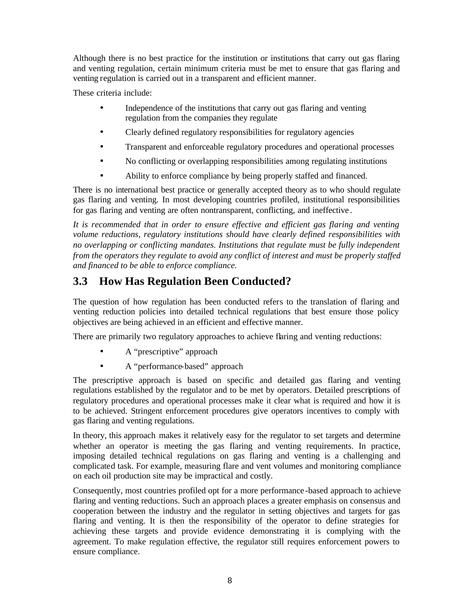Although there is no best practice for the institution or institutions that carry out gas flaring and venting regulation, certain minimum criteria must be met to ensure that gas flaring and venting regulation is carried out in a transparent and efficient manner.

These criteria include:

- Independence of the institutions that carry out gas flaring and venting regulation from the companies they regulate
- Clearly defined regulatory responsibilities for regulatory agencies
- Transparent and enforceable regulatory procedures and operational processes
- No conflicting or overlapping responsibilities among regulating institutions
- Ability to enforce compliance by being properly staffed and financed.

There is no international best practice or generally accepted theory as to who should regulate gas flaring and venting. In most developing countries profiled, institutional responsibilities for gas flaring and venting are often nontransparent, conflicting, and ineffective .

*It is recommended that in order to ensure effective and efficient gas flaring and venting volume reductions, regulatory institutions should have clearly defined responsibilities with no overlapping or conflicting mandates. Institutions that regulate must be fully independent from the operators they regulate to avoid any conflict of interest and must be properly staffed and financed to be able to enforce compliance.* 

# **3.3 How Has Regulation Been Conducted?**

The question of how regulation has been conducted refers to the translation of flaring and venting reduction policies into detailed technical regulations that best ensure those policy objectives are being achieved in an efficient and effective manner.

There are primarily two regulatory approaches to achieve flaring and venting reductions:

- A "prescriptive" approach
- A "performance-based" approach

The prescriptive approach is based on specific and detailed gas flaring and venting regulations established by the regulator and to be met by operators. Detailed prescriptions of regulatory procedures and operational processes make it clear what is required and how it is to be achieved. Stringent enforcement procedures give operators incentives to comply with gas flaring and venting regulations.

In theory, this approach makes it relatively easy for the regulator to set targets and determine whether an operator is meeting the gas flaring and venting requirements. In practice, imposing detailed technical regulations on gas flaring and venting is a challenging and complicated task. For example, measuring flare and vent volumes and monitoring compliance on each oil production site may be impractical and costly.

Consequently, most countries profiled opt for a more performance -based approach to achieve flaring and venting reductions. Such an approach places a greater emphasis on consensus and cooperation between the industry and the regulator in setting objectives and targets for gas flaring and venting. It is then the responsibility of the operator to define strategies for achieving these targets and provide evidence demonstrating it is complying with the agreement. To make regulation effective, the regulator still requires enforcement powers to ensure compliance.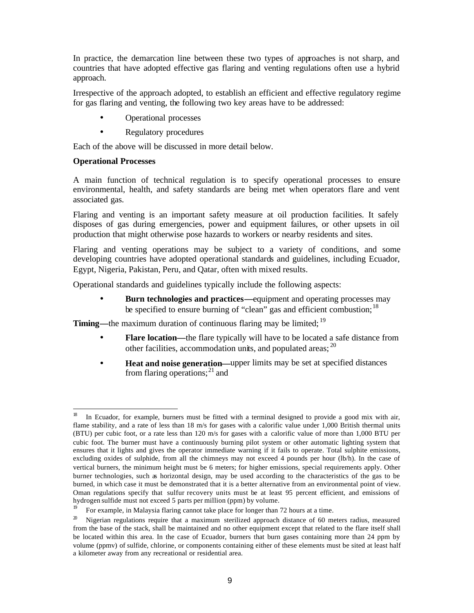In practice, the demarcation line between these two types of approaches is not sharp, and countries that have adopted effective gas flaring and venting regulations often use a hybrid approach.

Irrespective of the approach adopted, to establish an efficient and effective regulatory regime for gas flaring and venting, the following two key areas have to be addressed:

- Operational processes
- Regulatory procedures

Each of the above will be discussed in more detail below.

#### **Operational Processes**

 $\overline{a}$ 

A main function of technical regulation is to specify operational processes to ensure environmental, health, and safety standards are being met when operators flare and vent associated gas.

Flaring and venting is an important safety measure at oil production facilities. It safely disposes of gas during emergencies, power and equipment failures, or other upsets in oil production that might otherwise pose hazards to workers or nearby residents and sites.

Flaring and venting operations may be subject to a variety of conditions, and some developing countries have adopted operational standards and guidelines, including Ecuador, Egypt, Nigeria, Pakistan, Peru, and Qatar, often with mixed results.

Operational standards and guidelines typically include the following aspects:

**Burn technologies and practices—equipment and operating processes may** be specified to ensure burning of "clean" gas and efficient combustion;  $^{18}$ 

**Timing—**the maximum duration of continuous flaring may be limited; <sup>19</sup>

- **Flare location—the flare typically will have to be located a safe distance from** other facilities, accommodation units, and populated areas; <sup>20</sup>
- **Heat and noise generation—upper limits may be set at specified distances** from flaring operations; $^{21}$  and

<sup>18</sup> In Ecuador, for example, burners must be fitted with a terminal designed to provide a good mix with air, flame stability, and a rate of less than 18 m/s for gases with a calorific value under 1,000 British thermal units (BTU) per cubic foot, or a rate less than 120 m/s for gases with a calorific value of more than 1,000 BTU per cubic foot. The burner must have a continuously burning pilot system or other automatic lighting system that ensures that it lights and gives the operator immediate warning if it fails to operate. Total sulphite emissions, excluding oxides of sulphide, from all the chimneys may not exceed 4 pounds per hour (lb/h). In the case of vertical burners, the minimum height must be 6 meters; for higher emissions, special requirements apply. Other burner technologies, such as horizontal design, may be used according to the characteristics of the gas to be burned, in which case it must be demonstrated that it is a better alternative from an environmental point of view. Oman regulations specify that sulfur recovery units must be at least 95 percent efficient, and emissions of hydrogen sulfide must not exceed 5 parts per million (ppm) by volume.<br> $\frac{10}{2}$  Four execute in Malaysia flating connect take place for longer than 2

For example, in Malaysia flaring cannot take place for longer than 72 hours at a time.

 $20$  Nigerian regulations require that a maximum sterilized approach distance of 60 meters radius, measured from the base of the stack, shall be maintained and no other equipment except that related to the flare itself shall be located within this area. In the case of Ecuador, burners that burn gases containing more than 24 ppm by volume (ppmv) of sulfide, chlorine, or components containing either of these elements must be sited at least half a kilometer away from any recreational or residential area.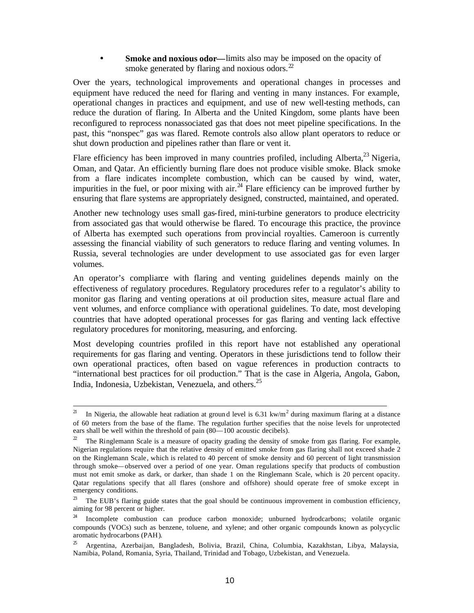**Smoke and noxious odor—limits also may be imposed on the opacity of** smoke generated by flaring and noxious odors. $2^2$ 

Over the years, technological improvements and operational changes in processes and equipment have reduced the need for flaring and venting in many instances. For example, operational changes in practices and equipment, and use of new well-testing methods, can reduce the duration of flaring. In Alberta and the United Kingdom, some plants have been reconfigured to reprocess nonassociated gas that does not meet pipeline specifications. In the past, this "nonspec" gas was flared. Remote controls also allow plant operators to reduce or shut down production and pipelines rather than flare or vent it.

Flare efficiency has been improved in many countries profiled, including Alberta,<sup>23</sup> Nigeria, Oman, and Qatar. An efficiently burning flare does not produce visible smoke. Black smoke from a flare indicates incomplete combustion, which can be caused by wind, water, impurities in the fuel, or poor mixing with air.<sup>24</sup> Flare efficiency can be improved further by ensuring that flare systems are appropriately designed, constructed, maintained, and operated.

Another new technology uses small gas-fired, mini-turbine generators to produce electricity from associated gas that would otherwise be flared. To encourage this practice, the province of Alberta has exempted such operations from provincial royalties. Cameroon is currently assessing the financial viability of such generators to reduce flaring and venting volumes. In Russia, several technologies are under development to use associated gas for even larger volumes.

An operator's compliance with flaring and venting guidelines depends mainly on the effectiveness of regulatory procedures. Regulatory procedures refer to a regulator's ability to monitor gas flaring and venting operations at oil production sites, measure actual flare and vent volumes, and enforce compliance with operational guidelines. To date, most developing countries that have adopted operational processes for gas flaring and venting lack effective regulatory procedures for monitoring, measuring, and enforcing.

Most developing countries profiled in this report have not established any operational requirements for gas flaring and venting. Operators in these jurisdictions tend to follow their own operational practices, often based on vague references in production contracts to "international best practices for oil production." That is the case in Algeria, Angola, Gabon, India, Indonesia, Uzbekistan, Venezuela, and others.<sup>25</sup>

 $2\mathbf{l}$ <sup>21</sup> In Nigeria, the allowable heat radiation at ground level is 6.31 kw/m<sup>2</sup> during maximum flaring at a distance of 60 meters from the base of the flame. The regulation further specifies that the noise levels for unprotected ears shall be well within the threshold of pain (80—100 acoustic decibels).

<sup>&</sup>lt;sup>22</sup> The Ringlemann Scale is a measure of opacity grading the density of smoke from gas flaring. For example, Nigerian regulations require that the relative density of emitted smoke from gas flaring shall not exceed shade 2 on the Ringlemann Scale, which is related to 40 percent of smoke density and 60 percent of light transmission through smoke—observed over a period of one year. Oman regulations specify that products of combustion must not emit smoke as dark, or darker, than shade 1 on the Ringlemann Scale, which is 20 percent opacity. Qatar regulations specify that all flares (onshore and offshore) should operate free of smoke except in emergency conditions.

 $2<sup>3</sup>$  The EUB's flaring guide states that the goal should be continuous improvement in combustion efficiency, aiming for 98 percent or higher.

<sup>&</sup>lt;sup>24</sup> Incomplete combustion can produce carbon monoxide; unburned hydrodcarbons; volatile organic compounds (VOCs) such as benzene, toluene, and xylene; and other organic compounds known as polycyclic aromatic hydrocarbons (PAH).

 $25$  Argentina, Azerbaijan, Bangladesh, Bolivia, Brazil, China, Columbia, Kazakhstan, Libya, Malaysia, Namibia, Poland, Romania, Syria, Thailand, Trinidad and Tobago, Uzbekistan, and Venezuela.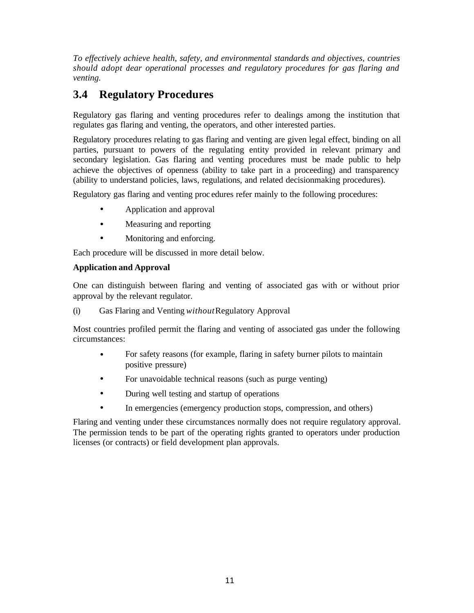*To effectively achieve health, safety, and environmental standards and objectives, countries*  should adopt dear operational processes and regulatory procedures for gas flaring and *venting.* 

## **3.4 Regulatory Procedures**

Regulatory gas flaring and venting procedures refer to dealings among the institution that regulates gas flaring and venting, the operators, and other interested parties.

Regulatory procedures relating to gas flaring and venting are given legal effect, binding on all parties, pursuant to powers of the regulating entity provided in relevant primary and secondary legislation. Gas flaring and venting procedures must be made public to help achieve the objectives of openness (ability to take part in a proceeding) and transparency (ability to understand policies, laws, regulations, and related decisionmaking procedures).

Regulatory gas flaring and venting proc edures refer mainly to the following procedures:

- Application and approval
- Measuring and reporting
- Monitoring and enforcing.

Each procedure will be discussed in more detail below.

#### **Application and Approval**

One can distinguish between flaring and venting of associated gas with or without prior approval by the relevant regulator.

(i) Gas Flaring and Venting *without* Regulatory Approval

Most countries profiled permit the flaring and venting of associated gas under the following circumstances:

- For safety reasons (for example, flaring in safety burner pilots to maintain positive pressure)
- For unavoidable technical reasons (such as purge venting)
- During well testing and startup of operations
- In emergencies (emergency production stops, compression, and others)

Flaring and venting under these circumstances normally does not require regulatory approval. The permission tends to be part of the operating rights granted to operators under production licenses (or contracts) or field development plan approvals.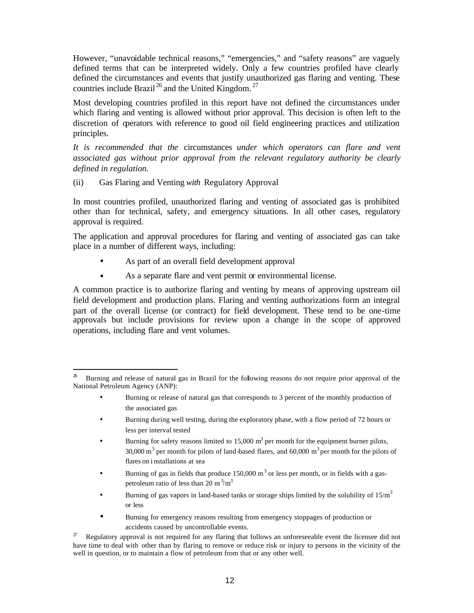However, "unavoidable technical reasons," "emergencies," and "safety reasons" are vaguely defined terms that can be interpreted widely. Only a few countries profiled have clearly defined the circumstances and events that justify unauthorized gas flaring and venting. These countries include Brazil<sup>26</sup> and the United Kingdom.<sup>27</sup>

Most developing countries profiled in this report have not defined the circumstances under which flaring and venting is allowed without prior approval. This decision is often left to the discretion of operators with reference to good oil field engineering practices and utilization principles.

*It is recommended that the* circumstances *under which operators can flare and vent associated gas without prior approval from the relevant regulatory authority be clearly defined in regulation.* 

(ii) Gas Flaring and Venting *with* Regulatory Approval

l

In most countries profiled, unauthorized flaring and venting of associated gas is prohibited other than for technical, safety, and emergency situations. In all other cases, regulatory approval is required.

The application and approval procedures for flaring and venting of associated gas can take place in a number of different ways, including:

- As part of an overall field development approval
- As a separate flare and vent permit or environmental license.

A common practice is to authorize flaring and venting by means of approving upstream oil field development and production plans. Flaring and venting authorizations form an integral part of the overall license (or contract) for field development. These tend to be one-time approvals but include provisions for review upon a change in the scope of approved operations, including flare and vent volumes.

- Burning or release of natural gas that corresponds to 3 percent of the monthly production of the associated gas
- Burning during well testing, during the exploratory phase, with a flow period of 72 hours or less per interval tested
- Burning for safety reasons limited to  $15,000 \text{ m}^3$  per month for the equipment burner pilots, 30,000 m<sup>3</sup> per month for pilots of land-based flares, and 60,000 m<sup>3</sup> per month for the pilots of flares on i nstallations at sea
- Burning of gas in fields that produce  $150,000 \text{ m}^3$  or less per month, or in fields with a gaspetroleum ratio of less than 20 m $\frac{3}{m}$ <sup>3</sup>
- Burning of gas vapors in land-based tanks or storage ships limited by the solubility of  $15/m<sup>3</sup>$ or less
- Burning for emergency reasons resulting from emergency stoppages of production or accidents caused by uncontrollable events.

<sup>27</sup> Regulatory approval is not required for any flaring that follows an unforeseeable event the licensee did not have time to deal with other than by flaring to remove or reduce risk or injury to persons in the vicinity of the well in question, or to maintain a flow of petroleum from that or any other well.

<sup>26</sup> Burning and release of natural gas in Brazil for the following reasons do not require prior approval of the National Petroleum Agency (ANP):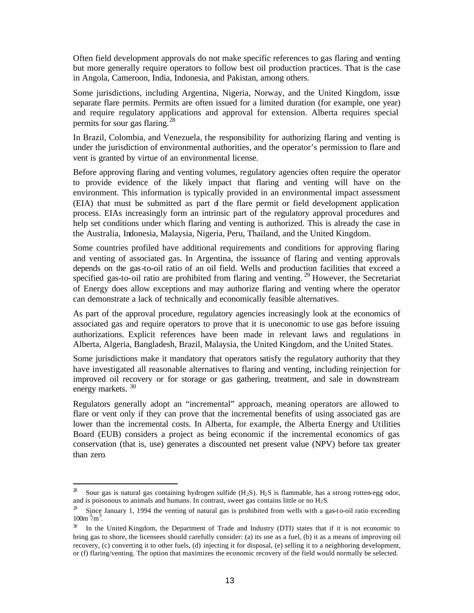Often field development approvals do not make specific references to gas flaring and venting but more generally require operators to follow best oil production practices. That is the case in Angola, Cameroon, India, Indonesia, and Pakistan, among others.

Some jurisdictions, including Argentina, Nigeria, Norway, and the United Kingdom, issue separate flare permits. Permits are often issued for a limited duration (for example, one year) and require regulatory applications and approval for extension. Alberta requires special permits for sour gas flaring. $^{28}$ 

In Brazil, Colombia, and Venezuela, the responsibility for authorizing flaring and venting is under the jurisdiction of environmental authorities, and the operator's permission to flare and vent is granted by virtue of an environmental license.

Before approving flaring and venting volumes, regulatory agencies often require the operator to provide evidence of the likely impact that flaring and venting will have on the environment. This information is typically provided in an environmental impact assessment (EIA) that must be submitted as part of the flare permit or field development application process. EIAs increasingly form an intrinsic part of the regulatory approval procedures and help set conditions under which flaring and venting is authorized. This is already the case in the Australia, Indonesia, Malaysia, Nigeria, Peru, Thailand, and the United Kingdom.

Some countries profiled have additional requirements and conditions for approving flaring and venting of associated gas. In Argentina, the issuance of flaring and venting approvals depends on the gas-to-oil ratio of an oil field. Wells and production facilities that exceed a specified gas-to-oil ratio are prohibited from flaring and venting.<sup>29</sup> However, the Secretariat of Energy does allow exceptions and may authorize flaring and venting where the operator can demonstrate a lack of technically and economically feasible alternatives.

As part of the approval procedure, regulatory agencies increasingly look at the economics of associated gas and require operators to prove that it is uneconomic to use gas before issuing authorizations. Explicit references have been made in relevant laws and regulations in Alberta, Algeria, Bangladesh, Brazil, Malaysia, the United Kingdom, and the United States.

Some jurisdictions make it mandatory that operators satisfy the regulatory authority that they have investigated all reasonable alternatives to flaring and venting, including reinjection for improved oil recovery or for storage or gas gathering, treatment, and sale in downstream energy markets.  $30$ 

Regulators generally adopt an "incremental" approach, meaning operators are allowed to flare or vent only if they can prove that the incremental benefits of using associated gas are lower than the incremental costs. In Alberta, for example, the Alberta Energy and Utilities Board (EUB) considers a project as being economic if the incremental economics of gas conservation (that is, use) generates a discounted net present value (NPV) before tax greater than zero.

l

Sour gas is natural gas containing hydrogen sulfide  $(H_2S)$ .  $H_2S$  is flammable, has a strong rotten-egg odor, and is poisonous to animals and humans. In contrast, sweet gas contains little or no  $H_2S$ .

<sup>&</sup>lt;sup>29</sup> Since January 1, 1994 the venting of natural gas is prohibited from wells with a gas-to-oil ratio exceeding  $100m^{3}/m^{3}$ .

<sup>&</sup>lt;sup>30</sup> In the United Kingdom, the Department of Trade and Industry (DTI) states that if it is not economic to bring gas to shore, the licensees should carefully consider: (a) its use as a fuel, (b) it as a means of improving oil recovery, (c) converting it to other fuels, (d) injecting it for disposal, (e) selling it to a neighboring development, or (f) flaring/venting. The option that maximizes the economic recovery of the field would normally be selected.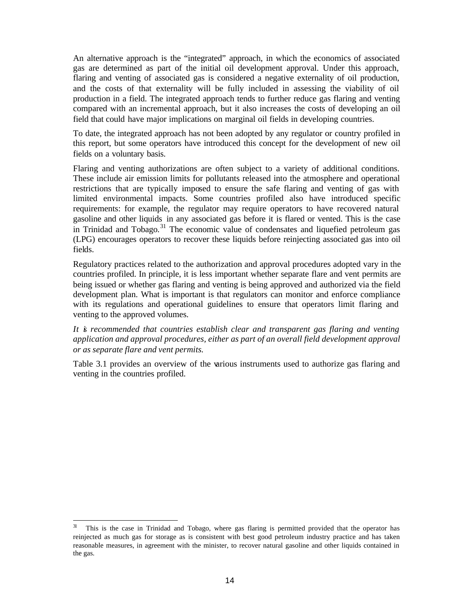An alternative approach is the "integrated" approach, in which the economics of associated gas are determined as part of the initial oil development approval. Under this approach, flaring and venting of associated gas is considered a negative externality of oil production, and the costs of that externality will be fully included in assessing the viability of oil production in a field. The integrated approach tends to further reduce gas flaring and venting compared with an incremental approach, but it also increases the costs of developing an oil field that could have major implications on marginal oil fields in developing countries.

To date, the integrated approach has not been adopted by any regulator or country profiled in this report, but some operators have introduced this concept for the development of new oil fields on a voluntary basis.

Flaring and venting authorizations are often subject to a variety of additional conditions. These include air emission limits for pollutants released into the atmosphere and operational restrictions that are typically imposed to ensure the safe flaring and venting of gas with limited environmental impacts. Some countries profiled also have introduced specific requirements: for example, the regulator may require operators to have recovered natural gasoline and other liquids in any associated gas before it is flared or vented. This is the case in Trinidad and Tobago.<sup>31</sup> The economic value of condensates and liquefied petroleum gas (LPG) encourages operators to recover these liquids before reinjecting associated gas into oil fields.

Regulatory practices related to the authorization and approval procedures adopted vary in the countries profiled. In principle, it is less important whether separate flare and vent permits are being issued or whether gas flaring and venting is being approved and authorized via the field development plan. What is important is that regulators can monitor and enforce compliance with its regulations and operational guidelines to ensure that operators limit flaring and venting to the approved volumes.

#### *It is recommended that countries establish clear and transparent gas flaring and venting application and approval procedures, either as part of an overall field development approval or as separate flare and vent permits.*

Table 3.1 provides an overview of the various instruments used to authorize gas flaring and venting in the countries profiled.

 $3\mathbf{l}$ This is the case in Trinidad and Tobago, where gas flaring is permitted provided that the operator has reinjected as much gas for storage as is consistent with best good petroleum industry practice and has taken reasonable measures, in agreement with the minister, to recover natural gasoline and other liquids contained in the gas.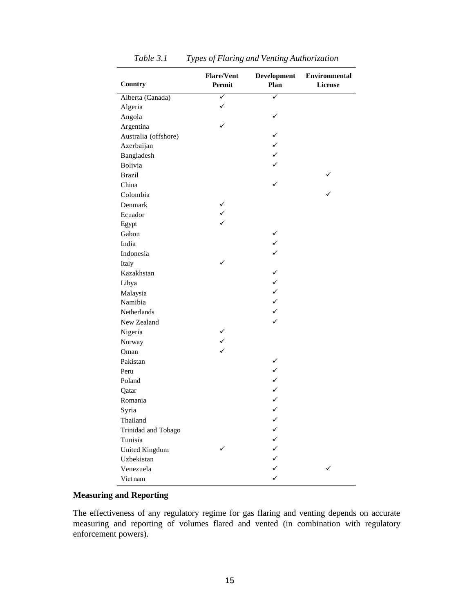| Country              | <b>Flare/Vent</b><br>Permit | <b>Development</b><br>Plan | Environmental<br><b>License</b> |
|----------------------|-----------------------------|----------------------------|---------------------------------|
| Alberta (Canada)     | ✓                           | ✓                          |                                 |
| Algeria              | ✓                           |                            |                                 |
| Angola               |                             | ✓                          |                                 |
| Argentina            | ✓                           |                            |                                 |
| Australia (offshore) |                             | $\checkmark$               |                                 |
| Azerbaijan           |                             | $\checkmark$               |                                 |
| Bangladesh           |                             | $\checkmark$               |                                 |
| Bolivia              |                             | ✓                          |                                 |
| <b>Brazil</b>        |                             |                            |                                 |
| China                |                             | $\checkmark$               |                                 |
| Colombia             |                             |                            |                                 |
| Denmark              | ✓                           |                            |                                 |
| Ecuador              | $\checkmark$                |                            |                                 |
| Egypt                | ✓                           |                            |                                 |
| Gabon                |                             | ✓                          |                                 |
| India                |                             | $\checkmark$               |                                 |
| Indonesia            |                             | $\checkmark$               |                                 |
| Italy                | ✓                           |                            |                                 |
| Kazakhstan           |                             | ✓                          |                                 |
| Libya                |                             | $\checkmark$               |                                 |
| Malaysia             |                             | $\checkmark$               |                                 |
| Namibia              |                             | $\checkmark$               |                                 |
| <b>Netherlands</b>   |                             | $\checkmark$               |                                 |
| New Zealand          |                             | ✓                          |                                 |
| Nigeria              | ✓                           |                            |                                 |
| Norway               | $\checkmark$                |                            |                                 |
| Oman                 |                             |                            |                                 |
| Pakistan             |                             | ✓                          |                                 |
| Peru                 |                             | ✓                          |                                 |
| Poland               |                             | $\checkmark$               |                                 |
| Qatar                |                             | $\checkmark$               |                                 |
| Romania              |                             | $\checkmark$               |                                 |
| Syria                |                             | ✓                          |                                 |
| Thailand             |                             | ✓                          |                                 |
| Trinidad and Tobago  |                             |                            |                                 |
| Tunisia              |                             | ✓                          |                                 |
| United Kingdom       |                             | ✓                          |                                 |
| Uzbekistan           |                             | ✓                          |                                 |
| Venezuela            |                             | ✓                          |                                 |
| Viet nam             |                             | ✓                          |                                 |

*Table 3.1 Types of Flaring and Venting Authorization*

#### **Measuring and Reporting**

The effectiveness of any regulatory regime for gas flaring and venting depends on accurate measuring and reporting of volumes flared and vented (in combination with regulatory enforcement powers).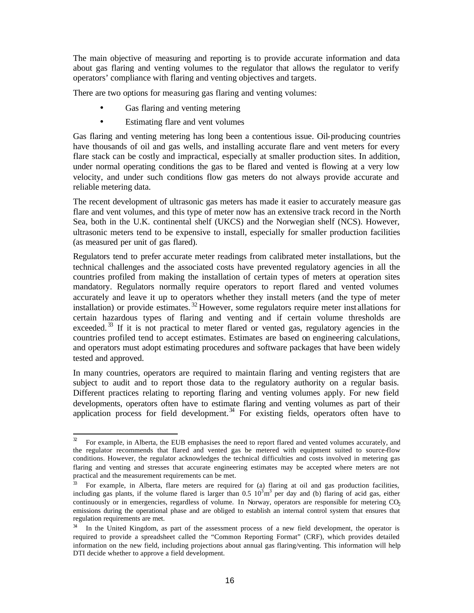The main objective of measuring and reporting is to provide accurate information and data about gas flaring and venting volumes to the regulator that allows the regulator to verify operators' compliance with flaring and venting objectives and targets.

There are two options for measuring gas flaring and venting volumes:

- Gas flaring and venting metering
- Estimating flare and vent volumes

Gas flaring and venting metering has long been a contentious issue. Oil-producing countries have thousands of oil and gas wells, and installing accurate flare and vent meters for every flare stack can be costly and impractical, especially at smaller production sites. In addition, under normal operating conditions the gas to be flared and vented is flowing at a very low velocity, and under such conditions flow gas meters do not always provide accurate and reliable metering data.

The recent development of ultrasonic gas meters has made it easier to accurately measure gas flare and vent volumes, and this type of meter now has an extensive track record in the North Sea, both in the U.K. continental shelf (UKCS) and the Norwegian shelf (NCS). However, ultrasonic meters tend to be expensive to install, especially for smaller production facilities (as measured per unit of gas flared).

Regulators tend to prefer accurate meter readings from calibrated meter installations, but the technical challenges and the associated costs have prevented regulatory agencies in all the countries profiled from making the installation of certain types of meters at operation sites mandatory. Regulators normally require operators to report flared and vented volumes accurately and leave it up to operators whether they install meters (and the type of meter installation) or provide estimates. <sup>32</sup> However, some regulators require meter inst allations for certain hazardous types of flaring and venting and if certain volume thresholds are exceeded.<sup>33</sup> If it is not practical to meter flared or vented gas, regulatory agencies in the countries profiled tend to accept estimates. Estimates are based on engineering calculations, and operators must adopt estimating procedures and software packages that have been widely tested and approved.

In many countries, operators are required to maintain flaring and venting registers that are subject to audit and to report those data to the regulatory authority on a regular basis. Different practices relating to reporting flaring and venting volumes apply. For new field developments, operators often have to estimate flaring and venting volumes as part of their application process for field development.<sup>34</sup> For existing fields, operators often have to

 $\mathfrak{D}% _{T}=\mathfrak{D}_{T}\!\left( a,b\right) ,\ \mathfrak{D}_{T}=C_{T}\!\left( a,b\right) ,$ <sup>32</sup> For example, in Alberta, the EUB emphasises the need to report flared and vented volumes accurately, and the regulator recommends that flared and vented gas be metered with equipment suited to source-flow conditions. However, the regulator acknowledges the technical difficulties and costs involved in metering gas flaring and venting and stresses that accurate engineering estimates may be accepted where meters are not practical and the measurement requirements can be met.

<sup>33</sup> For example, in Alberta, flare meters are required for (a) flaring at oil and gas production facilities, including gas plants, if the volume flared is larger than  $0.5 \ 10^3 \text{m}^3$  per day and (b) flaring of acid gas, either continuously or in emergencies, regardless of volume. In Norway, operators are responsible for metering  $CO<sub>2</sub>$ emissions during the operational phase and are obliged to establish an internal control system that ensures that regulation requirements are met.

<sup>&</sup>lt;sup>34</sup> In the United Kingdom, as part of the assessment process of a new field development, the operator is required to provide a spreadsheet called the "Common Reporting Format" (CRF), which provides detailed information on the new field, including projections about annual gas flaring/venting. This information will help DTI decide whether to approve a field development.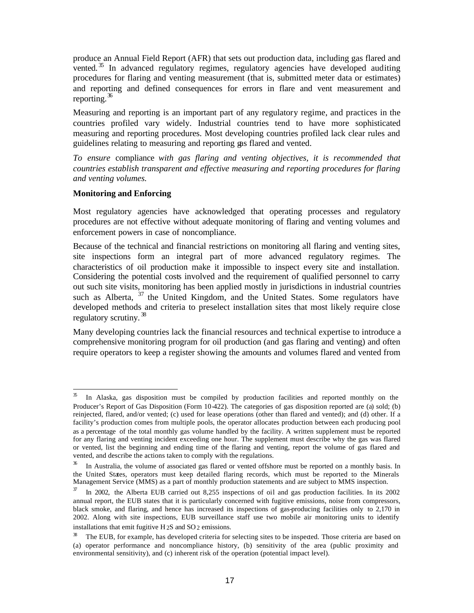produce an Annual Field Report (AFR) that sets out production data, including gas flared and vented.<sup>35</sup> In advanced regulatory regimes, regulatory agencies have developed auditing procedures for flaring and venting measurement (that is, submitted meter data or estimates) and reporting and defined consequences for errors in flare and vent measurement and reporting.  $36$ 

Measuring and reporting is an important part of any regulatory regime, and practices in the countries profiled vary widely. Industrial countries tend to have more sophisticated measuring and reporting procedures. Most developing countries profiled lack clear rules and guidelines relating to measuring and reporting gas flared and vented.

*To ensure* compliance *with gas flaring and venting objectives, it is recommended that countries establish transparent and effective measuring and reporting procedures for flaring and venting volumes.* 

#### **Monitoring and Enforcing**

Most regulatory agencies have acknowledged that operating processes and regulatory procedures are not effective without adequate monitoring of flaring and venting volumes and enforcement powers in case of noncompliance.

Because of the technical and financial restrictions on monitoring all flaring and venting sites, site inspections form an integral part of more advanced regulatory regimes. The characteristics of oil production make it impossible to inspect every site and installation. Considering the potential costs involved and the requirement of qualified personnel to carry out such site visits, monitoring has been applied mostly in jurisdictions in industrial countries such as Alberta,  $37$  the United Kingdom, and the United States. Some regulators have developed methods and criteria to preselect installation sites that most likely require close regulatory scrutiny.<sup>38</sup>

Many developing countries lack the financial resources and technical expertise to introduce a comprehensive monitoring program for oil production (and gas flaring and venting) and often require operators to keep a register showing the amounts and volumes flared and vented from

 $\mathfrak{B}% _{T}=\mathfrak{B}_{T}\!\left( a,b\right) ,\ \mathfrak{C}_{T}=C_{T}\!\left( a,b\right) ,$ In Alaska, gas disposition must be compiled by production facilities and reported monthly on the Producer's Report of Gas Disposition (Form 10-422). The categories of gas disposition reported are (a) sold; (b) reinjected, flared, and/or vented; (c) used for lease operations (other than flared and vented); and (d) other. If a facility's production comes from multiple pools, the operator allocates production between each producing pool as a percentage of the total monthly gas volume handled by the facility. A written supplement must be reported for any flaring and venting incident exceeding one hour. The supplement must describe why the gas was flared or vented, list the beginning and ending time of the flaring and venting, report the volume of gas flared and vented, and describe the actions taken to comply with the regulations.

<sup>&</sup>lt;sup>36</sup> In Australia, the volume of associated gas flared or vented offshore must be reported on a monthly basis. In the United States, operators must keep detailed flaring records, which must be reported to the Minerals Management Service (MMS) as a part of monthly production statements and are subject to MMS inspection.

In 2002, the Alberta EUB carried out 8,255 inspections of oil and gas production facilities. In its 2002 annual report, the EUB states that it is particularly concerned with fugitive emissions, noise from compressors, black smoke, and flaring, and hence has increased its inspections of gas-producing facilities only to 2,170 in 2002. Along with site inspections, EUB surveillance staff use two mobile air monitoring units to identify installations that emit fugitive  $H_2S$  and  $SO_2$  emissions.

<sup>38</sup> The EUB, for example, has developed criteria for selecting sites to be inspected. Those criteria are based on (a) operator performance and noncompliance history, (b) sensitivity of the area (public proximity and environmental sensitivity), and (c) inherent risk of the operation (potential impact level).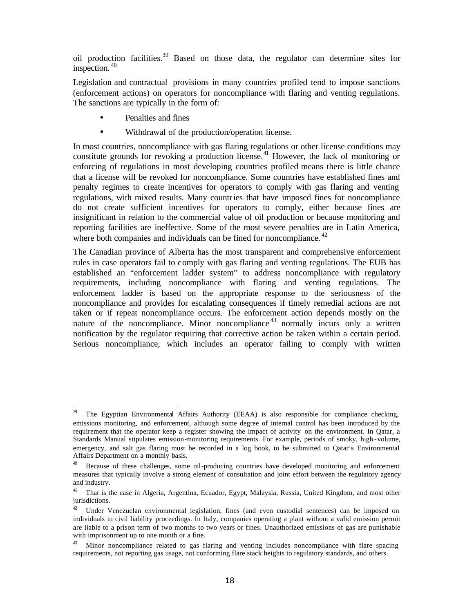oil production facilities.<sup>39</sup> Based on those data, the regulator can determine sites for inspection. <sup>40</sup>

Legislation and contractual provisions in many countries profiled tend to impose sanctions (enforcement actions) on operators for noncompliance with flaring and venting regulations. The sanctions are typically in the form of:

- Penalties and fines
- Withdrawal of the production/operation license.

In most countries, noncompliance with gas flaring regulations or other license conditions may constitute grounds for revoking a production license.<sup>41</sup> However, the lack of monitoring or enforcing of regulations in most developing countries profiled means there is little chance that a license will be revoked for noncompliance. Some countries have established fines and penalty regimes to create incentives for operators to comply with gas flaring and venting regulations, with mixed results. Many countries that have imposed fines for noncompliance do not create sufficient incentives for operators to comply, either because fines are insignificant in relation to the commercial value of oil production or because monitoring and reporting facilities are ineffective. Some of the most severe penalties are in Latin America, where both companies and individuals can be fined for noncompliance.<sup>42</sup>

The Canadian province of Alberta has the most transparent and comprehensive enforcement rules in case operators fail to comply with gas flaring and venting regulations. The EUB has established an "enforcement ladder system" to address noncompliance with regulatory requirements, including noncompliance with flaring and venting regulations. The enforcement ladder is based on the appropriate response to the seriousness of the noncompliance and provides for escalating consequences if timely remedial actions are not taken or if repeat noncompliance occurs. The enforcement action depends mostly on the nature of the noncompliance. Minor noncompliance<sup>43</sup> normally incurs only a written notification by the regulator requiring that corrective action be taken within a certain period. Serious noncompliance, which includes an operator failing to comply with written

 $\mathfrak{B}$ The Egyptian Environmental Affairs Authority (EEAA) is also responsible for compliance checking, emissions monitoring, and enforcement, although some degree of internal control has been introduced by the requirement that the operator keep a register showing the impact of activity on the environment. In Qatar, a Standards Manual stipulates emission-monitoring requirements. For example, periods of smoky, high -volume, emergency, and salt gas flaring must be recorded in a log book, to be submitted to Qatar's Environmental Affairs Department on a monthly basis.

<sup>40</sup> Because of these challenges, some oil-producing countries have developed monitoring and enforcement measures that typically involve a strong element of consultation and joint effort between the regulatory agency and industry.

<sup>41</sup> That is the case in Algeria, Argentina, Ecuador, Egypt, Malaysia, Russia, United Kingdom, and most other jurisdictions.

<sup>&</sup>lt;sup>42</sup> Under Venezuelan environmental legislation, fines (and even custodial sentences) can be imposed on individuals in civil liability proceedings. In Italy, companies operating a plant without a valid emission permit are liable to a prison term of two months to two years or fines. Unauthorized emissions of gas are punishable with imprisonment up to one month or a fine.

 $43$  Minor noncompliance related to gas flaring and venting includes noncompliance with flare spacing requirements, not reporting gas usage, not conforming flare stack heights to regulatory standards, and others.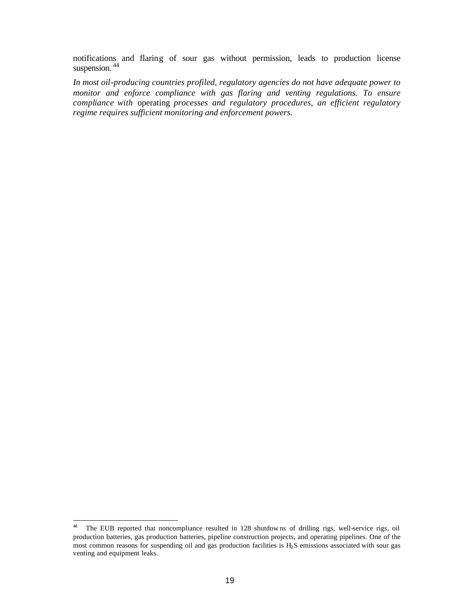notifications and flaring of sour gas without permission, leads to production license suspension.<sup>44</sup>

*In most oil-producing countries profiled, regulatory agencies do not have adequate power to monitor and enforce compliance with gas flaring and venting regulations. To ensure compliance with* operating *processes and regulatory procedures, an efficient regulatory regime requires sufficient monitoring and enforcement powers.*

 $44\,$ The EUB reported that noncompliance resulted in 128 shutdowns of drilling rigs, well-service rigs, oil production batteries, gas production batteries, pipeline construction projects, and operating pipelines. One of the most common reasons for suspending oil and gas production facilities is H2S emissions associated with sour gas venting and equipment leaks.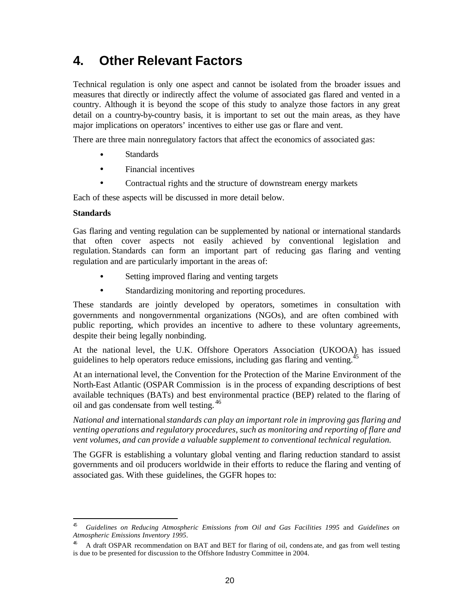# **4. Other Relevant Factors**

Technical regulation is only one aspect and cannot be isolated from the broader issues and measures that directly or indirectly affect the volume of associated gas flared and vented in a country. Although it is beyond the scope of this study to analyze those factors in any great detail on a country-by-country basis, it is important to set out the main areas, as they have major implications on operators' incentives to either use gas or flare and vent.

There are three main nonregulatory factors that affect the economics of associated gas:

- **Standards**
- Financial incentives
- Contractual rights and the structure of downstream energy markets

Each of these aspects will be discussed in more detail below.

#### **Standards**

l

Gas flaring and venting regulation can be supplemented by national or international standards that often cover aspects not easily achieved by conventional legislation and regulation. Standards can form an important part of reducing gas flaring and venting regulation and are particularly important in the areas of:

- Setting improved flaring and venting targets
- Standardizing monitoring and reporting procedures.

These standards are jointly developed by operators, sometimes in consultation with governments and nongovernmental organizations (NGOs), and are often combined with public reporting, which provides an incentive to adhere to these voluntary agreements, despite their being legally nonbinding.

At the national level, the U.K. Offshore Operators Association (UKOOA) has issued guidelines to help operators reduce emissions, including gas flaring and venting.<sup>45</sup>

At an international level, the Convention for the Protection of the Marine Environment of the North-East Atlantic (OSPAR Commission is in the process of expanding descriptions of best available techniques (BATs) and best environmental practice (BEP) related to the flaring of oil and gas condensate from well testing. <sup>46</sup>

*National and* international *standards can play an important role in improving gas flaring and venting operations and regulatory procedures, such as monitoring and reporting of flare and vent volumes, and can provide a valuable supplement to conventional technical regulation.* 

The GGFR is establishing a voluntary global venting and flaring reduction standard to assist governments and oil producers worldwide in their efforts to reduce the flaring and venting of associated gas. With these guidelines, the GGFR hopes to:

<sup>45</sup> *Guidelines on Reducing Atmospheric Emissions from Oil and Gas Facilities 1995* and *Guidelines on Atmospheric Emissions Inventory 1995*.

<sup>46</sup> A draft OSPAR recommendation on BAT and BET for flaring of oil, condens ate, and gas from well testing is due to be presented for discussion to the Offshore Industry Committee in 2004.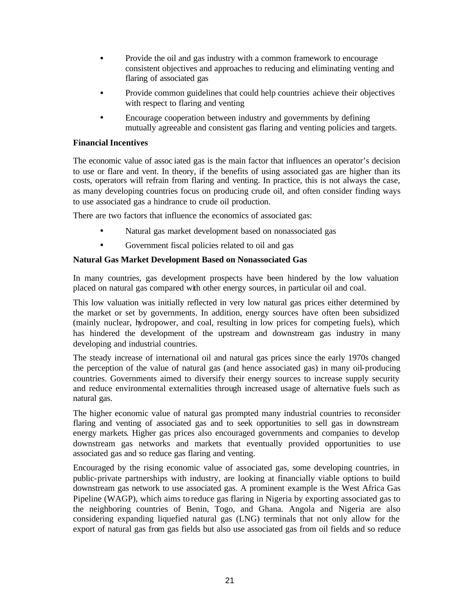- Provide the oil and gas industry with a common framework to encourage consistent objectives and approaches to reducing and eliminating venting and flaring of associated gas
- Provide common guidelines that could help countries achieve their objectives with respect to flaring and venting
- Encourage cooperation between industry and governments by defining mutually agreeable and consistent gas flaring and venting policies and targets.

#### **Financial Incentives**

The economic value of assoc iated gas is the main factor that influences an operator's decision to use or flare and vent. In theory, if the benefits of using associated gas are higher than its costs, operators will refrain from flaring and venting. In practice, this is not always the case, as many developing countries focus on producing crude oil, and often consider finding ways to use associated gas a hindrance to crude oil production.

There are two factors that influence the economics of associated gas:

- Natural gas market development based on nonassociated gas
- Government fiscal policies related to oil and gas

#### **Natural Gas Market Development Based on Nonassociated Gas**

In many countries, gas development prospects have been hindered by the low valuation placed on natural gas compared with other energy sources, in particular oil and coal.

This low valuation was initially reflected in very low natural gas prices either determined by the market or set by governments. In addition, energy sources have often been subsidized (mainly nuclear, hydropower, and coal, resulting in low prices for competing fuels), which has hindered the development of the upstream and downstream gas industry in many developing and industrial countries.

The steady increase of international oil and natural gas prices since the early 1970s changed the perception of the value of natural gas (and hence associated gas) in many oil-producing countries. Governments aimed to diversify their energy sources to increase supply security and reduce environmental externalities through increased usage of alternative fuels such as natural gas.

The higher economic value of natural gas prompted many industrial countries to reconsider flaring and venting of associated gas and to seek opportunities to sell gas in downstream energy markets. Higher gas prices also encouraged governments and companies to develop downstream gas networks and markets that eventually provided opportunities to use associated gas and so reduce gas flaring and venting.

Encouraged by the rising economic value of associated gas, some developing countries, in public-private partnerships with industry, are looking at financially viable options to build downstream gas network to use associated gas. A prominent example is the West Africa Gas Pipeline (WAGP), which aims to reduce gas flaring in Nigeria by exporting associated gas to the neighboring countries of Benin, Togo, and Ghana. Angola and Nigeria are also considering expanding liquefied natural gas (LNG) terminals that not only allow for the export of natural gas from gas fields but also use associated gas from oil fields and so reduce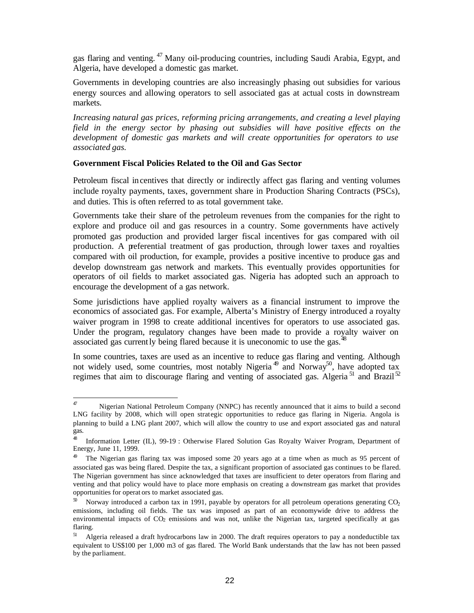gas flaring and venting. <sup>47</sup> Many oil-producing countries, including Saudi Arabia, Egypt, and Algeria, have developed a domestic gas market.

Governments in developing countries are also increasingly phasing out subsidies for various energy sources and allowing operators to sell associated gas at actual costs in downstream markets.

*Increasing natural gas prices, reforming pricing arrangements, and creating a level playing field in the energy sector by phasing out subsidies will have positive effects on the development of domestic gas markets and will create opportunities for operators to use associated gas.* 

#### **Government Fiscal Policies Related to the Oil and Gas Sector**

Petroleum fiscal incentives that directly or indirectly affect gas flaring and venting volumes include royalty payments, taxes, government share in Production Sharing Contracts (PSCs), and duties. This is often referred to as total government take.

Governments take their share of the petroleum revenues from the companies for the right to explore and produce oil and gas resources in a country. Some governments have actively promoted gas production and provided larger fiscal incentives for gas compared with oil production. A preferential treatment of gas production, through lower taxes and royalties compared with oil production, for example, provides a positive incentive to produce gas and develop downstream gas network and markets. This eventually provides opportunities for operators of oil fields to market associated gas. Nigeria has adopted such an approach to encourage the development of a gas network.

Some jurisdictions have applied royalty waivers as a financial instrument to improve the economics of associated gas. For example, Alberta's Ministry of Energy introduced a royalty waiver program in 1998 to create additional incentives for operators to use associated gas. Under the program, regulatory changes have been made to provide a royalty waiver on associated gas currently being flared because it is uneconomic to use the gas.<sup>48</sup>

In some countries, taxes are used as an incentive to reduce gas flaring and venting. Although not widely used, some countries, most notably Nigeria<sup>49</sup> and Norway<sup>50</sup>, have adopted tax regimes that aim to discourage flaring and venting of associated gas. Algeria<sup>51</sup> and Brazil<sup>52</sup>

 $47$ Nigerian National Petroleum Company (NNPC) has recently announced that it aims to build a second LNG facility by 2008, which will open strategic opportunities to reduce gas flaring in Nigeria. Angola is planning to build a LNG plant 2007, which will allow the country to use and export associated gas and natural gas.

<sup>48</sup> Information Letter (IL), 99-19 : Otherwise Flared Solution Gas Royalty Waiver Program, Department of Energy, June 11, 1999.

<sup>&</sup>lt;sup>49</sup> The Nigerian gas flaring tax was imposed some 20 years ago at a time when as much as 95 percent of associated gas was being flared. Despite the tax, a significant proportion of associated gas continues to be flared. The Nigerian government has since acknowledged that taxes are insufficient to deter operators from flaring and venting and that policy would have to place more emphasis on creating a downstream gas market that provides opportunities for operat ors to market associated gas.

 $50$  Norway introduced a carbon tax in 1991, payable by operators for all petroleum operations generating CO<sub>2</sub> emissions, including oil fields. The tax was imposed as part of an economywide drive to address the environmental impacts of  $CO<sub>2</sub>$  emissions and was not, unlike the Nigerian tax, targeted specifically at gas flaring.

<sup>51</sup> Algeria released a draft hydrocarbons law in 2000. The draft requires operators to pay a nondeductible tax equivalent to US\$100 per 1,000 m3 of gas flared. The World Bank understands that the law has not been passed by the parliament.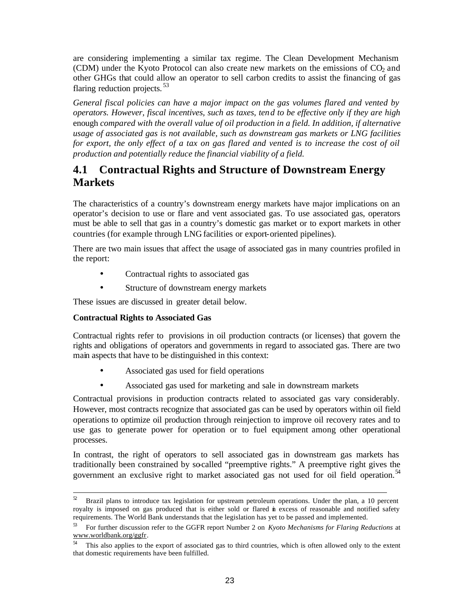are considering implementing a similar tax regime. The Clean Development Mechanism (CDM) under the Kyoto Protocol can also create new markets on the emissions of  $CO<sub>2</sub>$  and other GHGs that could allow an operator to sell carbon credits to assist the financing of gas flaring reduction projects.<sup>53</sup>

*General fiscal policies can have a major impact on the gas volumes flared and vented by operators. However, fiscal incentives, such as taxes, ten d to be effective only if they are high*  enough *compared with the overall value of oil production in a field. In addition, if alternative usage of associated gas is not available, such as downstream gas markets or LNG facilities*  for export, the only effect of a tax on gas flared and vented is to increase the cost of oil *production and potentially reduce the financial viability of a field.* 

### **4.1 Contractual Rights and Structure of Downstream Energy Markets**

The characteristics of a country's downstream energy markets have major implications on an operator's decision to use or flare and vent associated gas. To use associated gas, operators must be able to sell that gas in a country's domestic gas market or to export markets in other countries (for example through LNG facilities or export-oriented pipelines).

There are two main issues that affect the usage of associated gas in many countries profiled in the report:

- Contractual rights to associated gas
- Structure of downstream energy markets

These issues are discussed in greater detail below.

#### **Contractual Rights to Associated Gas**

Contractual rights refer to provisions in oil production contracts (or licenses) that govern the rights and obligations of operators and governments in regard to associated gas. There are two main aspects that have to be distinguished in this context:

- Associated gas used for field operations
- Associated gas used for marketing and sale in downstream markets

Contractual provisions in production contracts related to associated gas vary considerably. However, most contracts recognize that associated gas can be used by operators within oil field operations to optimize oil production through reinjection to improve oil recovery rates and to use gas to generate power for operation or to fuel equipment among other operational processes.

In contrast, the right of operators to sell associated gas in downstream gas markets has traditionally been constrained by so-called "preemptive rights." A preemptive right gives the government an exclusive right to market associated gas not used for oil field operation.<sup>54</sup>

 $52\,$ <sup>52</sup> Brazil plans to introduce tax legislation for upstream petroleum operations. Under the plan, a 10 percent royalty is imposed on gas produced that is either sold or flared in excess of reasonable and notified safety requirements. The World Bank understands that the legislation has yet to be passed and implemented.

<sup>53</sup> For further discussion refer to the GGFR report Number 2 on *Kyoto Mechanisms for Flaring Reductions* at www.worldbank.org/ggfr.

<sup>&</sup>lt;sup>54</sup> This also applies to the export of associated gas to third countries, which is often allowed only to the extent that domestic requirements have been fulfilled.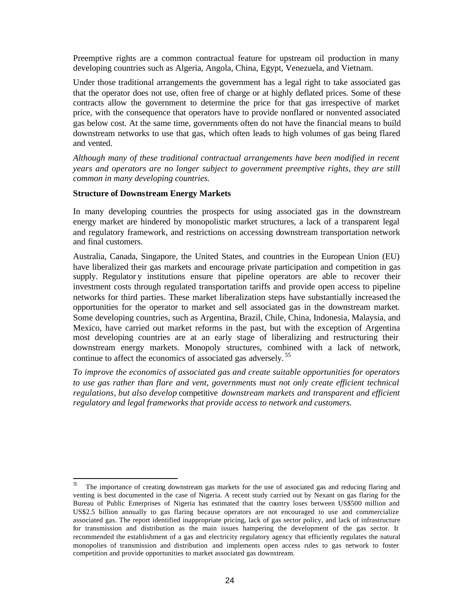Preemptive rights are a common contractual feature for upstream oil production in many developing countries such as Algeria, Angola, China, Egypt, Venezuela, and Vietnam.

Under those traditional arrangements the government has a legal right to take associated gas that the operator does not use, often free of charge or at highly deflated prices. Some of these contracts allow the government to determine the price for that gas irrespective of market price, with the consequence that operators have to provide nonflared or nonvented associated gas below cost. At the same time, governments often do not have the financial means to build downstream networks to use that gas, which often leads to high volumes of gas being flared and vented.

*Although many of these traditional contractual arrangements have been modified in recent years and operators are no longer subject to government preemptive rights, they are still common in many developing countries.* 

#### **Structure of Downstream Energy Markets**

 $\overline{a}$ 

In many developing countries the prospects for using associated gas in the downstream energy market are hindered by monopolistic market structures, a lack of a transparent legal and regulatory framework, and restrictions on accessing downstream transportation network and final customers.

Australia, Canada, Singapore, the United States, and countries in the European Union (EU) have liberalized their gas markets and encourage private participation and competition in gas supply. Regulator y institutions ensure that pipeline operators are able to recover their investment costs through regulated transportation tariffs and provide open access to pipeline networks for third parties. These market liberalization steps have substantially increased the opportunities for the operator to market and sell associated gas in the downstream market. Some developing countries, such as Argentina, Brazil, Chile, China, Indonesia, Malaysia, and Mexico, have carried out market reforms in the past, but with the exception of Argentina most developing countries are at an early stage of liberalizing and restructuring their downstream energy markets. Monopoly structures, combined with a lack of network, continue to affect the economics of associated gas adversely.<sup>55</sup>

*To improve the economics of associated gas and create suitable opportunities for operators to use gas rather than flare and vent, governments must not only create efficient technical regulations, but also develop* competitive *downstream markets and transparent and efficient regulatory and legal frameworks that provide access to network and customers.* 

The importance of creating downstream gas markets for the use of associated gas and reducing flaring and venting is best documented in the case of Nigeria. A recent study carried out by Nexant on gas flaring for the Bureau of Public Enterprises of Nigeria has estimated that the country loses between US\$500 million and US\$2.5 billion annually to gas flaring because operators are not encouraged to use and commercialize associated gas. The report identified inappropriate pricing, lack of gas sector policy, and lack of infrastructure for transmission and distribution as the main issues hampering the development of the gas sector. It recommended the establishment of a gas and electricity regulatory agency that efficiently regulates the natural monopolies of transmission and distribution and implements open access rules to gas network to foster competition and provide opportunities to market associated gas downstream.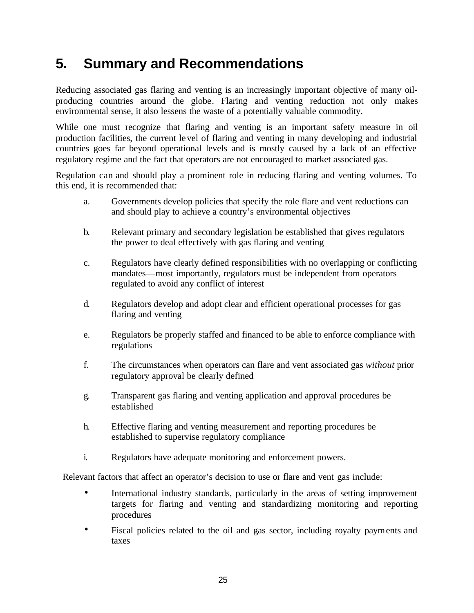# **5. Summary and Recommendations**

Reducing associated gas flaring and venting is an increasingly important objective of many oilproducing countries around the globe. Flaring and venting reduction not only makes environmental sense, it also lessens the waste of a potentially valuable commodity.

While one must recognize that flaring and venting is an important safety measure in oil production facilities, the current level of flaring and venting in many developing and industrial countries goes far beyond operational levels and is mostly caused by a lack of an effective regulatory regime and the fact that operators are not encouraged to market associated gas.

Regulation can and should play a prominent role in reducing flaring and venting volumes. To this end, it is recommended that:

- a. Governments develop policies that specify the role flare and vent reductions can and should play to achieve a country's environmental objectives
- b. Relevant primary and secondary legislation be established that gives regulators the power to deal effectively with gas flaring and venting
- c. Regulators have clearly defined responsibilities with no overlapping or conflicting mandates—most importantly, regulators must be independent from operators regulated to avoid any conflict of interest
- d. Regulators develop and adopt clear and efficient operational processes for gas flaring and venting
- e. Regulators be properly staffed and financed to be able to enforce compliance with regulations
- f. The circumstances when operators can flare and vent associated gas *without* prior regulatory approval be clearly defined
- g. Transparent gas flaring and venting application and approval procedures be established
- h. Effective flaring and venting measurement and reporting procedures be established to supervise regulatory compliance
- i. Regulators have adequate monitoring and enforcement powers.

Relevant factors that affect an operator's decision to use or flare and vent gas include:

- International industry standards, particularly in the areas of setting improvement targets for flaring and venting and standardizing monitoring and reporting procedures
- Fiscal policies related to the oil and gas sector, including royalty payments and taxes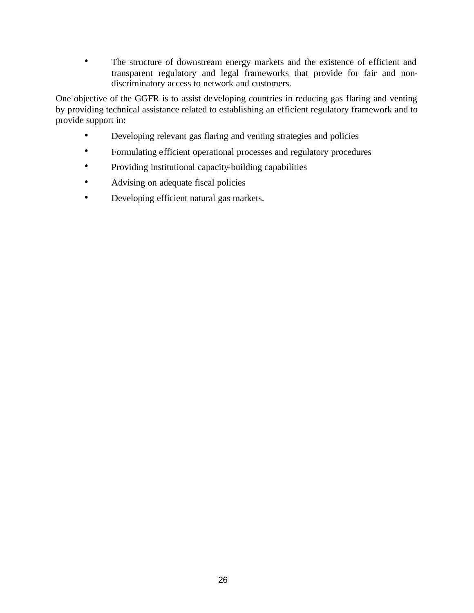• The structure of downstream energy markets and the existence of efficient and transparent regulatory and legal frameworks that provide for fair and nondiscriminatory access to network and customers.

One objective of the GGFR is to assist developing countries in reducing gas flaring and venting by providing technical assistance related to establishing an efficient regulatory framework and to provide support in:

- Developing relevant gas flaring and venting strategies and policies
- Formulating efficient operational processes and regulatory procedures
- Providing institutional capacity-building capabilities
- Advising on adequate fiscal policies
- Developing efficient natural gas markets.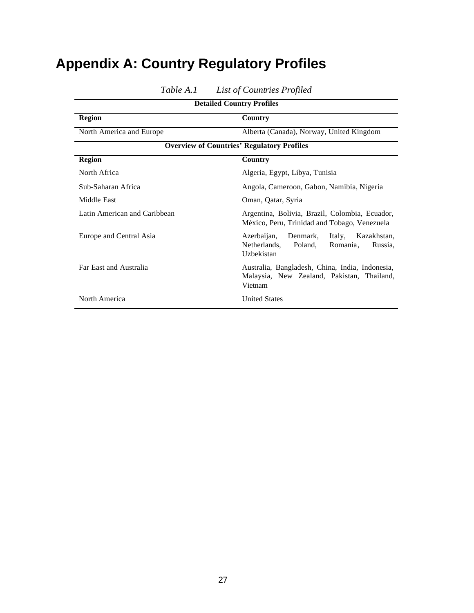# **Appendix A: Country Regulatory Profiles**

| <b>Detailed Country Profiles</b>                  |                                                                                                                  |  |  |
|---------------------------------------------------|------------------------------------------------------------------------------------------------------------------|--|--|
| <b>Region</b>                                     | Country                                                                                                          |  |  |
| North America and Europe                          | Alberta (Canada), Norway, United Kingdom                                                                         |  |  |
| <b>Overview of Countries' Regulatory Profiles</b> |                                                                                                                  |  |  |
| <b>Region</b>                                     | Country                                                                                                          |  |  |
| North Africa                                      | Algeria, Egypt, Libya, Tunisia                                                                                   |  |  |
| Sub-Saharan Africa                                | Angola, Cameroon, Gabon, Namibia, Nigeria                                                                        |  |  |
| Middle East                                       | Oman, Qatar, Syria                                                                                               |  |  |
| Latin American and Caribbean                      | Argentina, Bolivia, Brazil, Colombia, Ecuador,<br>México, Peru, Trinidad and Tobago, Venezuela                   |  |  |
| Europe and Central Asia                           | Azerbaijan,<br>Denmark,<br>Italy,<br>Kazakhstan,<br>Netherlands,<br>Poland,<br>Romania,<br>Russia.<br>Uzbekistan |  |  |
| Far East and Australia                            | Australia, Bangladesh, China, India, Indonesia,<br>Malaysia, New Zealand, Pakistan, Thailand,<br>Vietnam         |  |  |
| North America                                     | <b>United States</b>                                                                                             |  |  |

*Table A.1 List of Countries Profiled*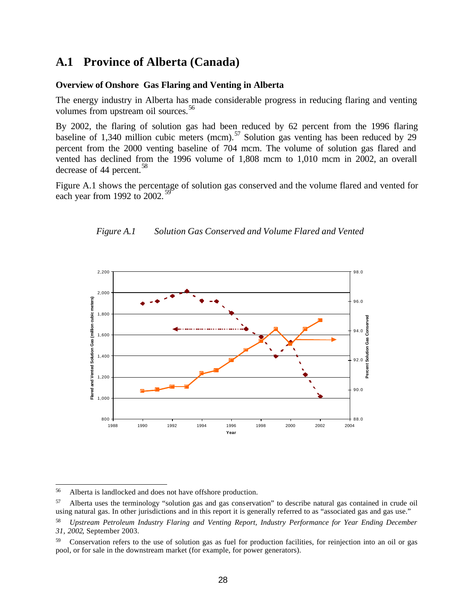### **A.1 Province of Alberta (Canada)**

#### **Overview of Onshore Gas Flaring and Venting in Alberta**

The energy industry in Alberta has made considerable progress in reducing flaring and venting volumes from upstream oil sources.<sup>56</sup>

By 2002, the flaring of solution gas had been reduced by 62 percent from the 1996 flaring baseline of 1,340 million cubic meters (mcm).<sup>57</sup> Solution gas venting has been reduced by 29 percent from the 2000 venting baseline of 704 mcm. The volume of solution gas flared and vented has declined from the 1996 volume of 1,808 mcm to 1,010 mcm in 2002, an overall decrease of 44 percent.<sup>58</sup>

Figure A.1 shows the percentage of solution gas conserved and the volume flared and vented for each year from 1992 to  $2002$ .



*Figure A.1 Solution Gas Conserved and Volume Flared and Vented*

<sup>56</sup> Alberta is landlocked and does not have offshore production.

<sup>57</sup> Alberta uses the terminology "solution gas and gas conservation" to describe natural gas contained in crude oil using natural gas. In other jurisdictions and in this report it is generally referred to as "associated gas and gas use."

<sup>58</sup> *Upstream Petroleum Industry Flaring and Venting Report, Industry Performance for Year Ending December 31, 2002*, September 2003.

<sup>59</sup> Conservation refers to the use of solution gas as fuel for production facilities, for reinjection into an oil or gas pool, or for sale in the downstream market (for example, for power generators).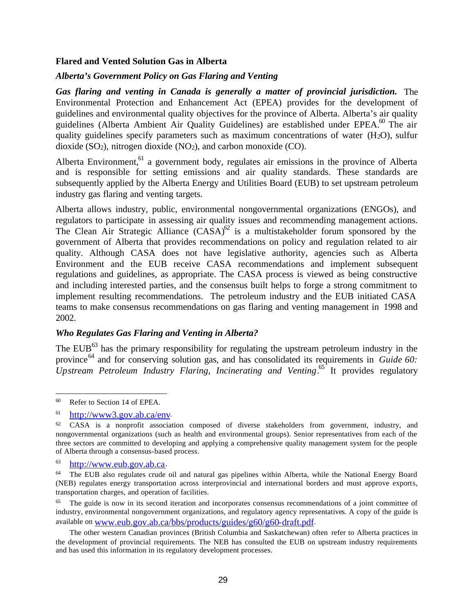#### **Flared and Vented Solution Gas in Alberta**

#### *Alberta's Government Policy on Gas Flaring and Venting*

*Gas flaring and venting in Canada is generally a matter of provincial jurisdiction.* The Environmental Protection and Enhancement Act (EPEA) provides for the development of guidelines and environmental quality objectives for the province of Alberta. Alberta's air quality guidelines (Alberta Ambient Air Quality Guidelines) are established under EPEA.<sup>60</sup> The air quality guidelines specify parameters such as maximum concentrations of water  $(H<sub>2</sub>O)$ , sulfur dioxide  $(SO_2)$ , nitrogen dioxide  $(NO_2)$ , and carbon monoxide  $(CO)$ .

Alberta Environment,  $61$  a government body, regulates air emissions in the province of Alberta and is responsible for setting emissions and air quality standards. These standards are subsequently applied by the Alberta Energy and Utilities Board (EUB) to set upstream petroleum industry gas flaring and venting targets.

Alberta allows industry, public, environmental nongovernmental organizations (ENGOs), and regulators to participate in assessing air quality issues and recommending management actions. The Clean Air Strategic Alliance  $(CASA)^{62}$  is a multistakeholder forum sponsored by the government of Alberta that provides recommendations on policy and regulation related to air quality. Although CASA does not have legislative authority, agencies such as Alberta Environment and the EUB receive CASA recommendations and implement subsequent regulations and guidelines, as appropriate. The CASA process is viewed as being constructive and including interested parties, and the consensus built helps to forge a strong commitment to implement resulting recommendations. The petroleum industry and the EUB initiated CASA teams to make consensus recommendations on gas flaring and venting management in 1998 and 2002.

#### *Who Regulates Gas Flaring and Venting in Alberta?*

The EUB $^{63}$  has the primary responsibility for regulating the upstream petroleum industry in the province<sup>64</sup> and for conserving solution gas, and has consolidated its requirements in *Guide 60: Upstream Petroleum Industry Flaring, Incinerating and Venting*. <sup>65</sup> It provides regulatory

 $60\,$ Refer to Section 14 of EPEA.

<sup>61</sup> http://www3.gov.ab.ca/env.

 $62$  CASA is a nonprofit association composed of diverse stakeholders from government, industry, and nongovernmental organizations (such as health and environmental groups). Senior representatives from each of the three sectors are committed to developing and applying a comprehensive quality management system for the people of Alberta through a consensus-based process.

<sup>63</sup> http://www.eub.gov.ab.ca.

<sup>64</sup> The EUB also regulates crude oil and natural gas pipelines within Alberta, while the National Energy Board (NEB) regulates energy transportation across interprovincial and international borders and must approve exports, transportation charges, and operation of facilities.

The guide is now in its second iteration and incorporates consensus recommendations of a joint committee of industry, environmental nongovernment organizations, and regulatory agency representatives. A copy of the guide is available on www.eub.gov.ab.ca/bbs/products/guides/g60/g60-draft.pdf.

The other western Canadian provinces (British Columbia and Saskatchewan) often refer to Alberta practices in the development of provincial requirements. The NEB has consulted the EUB on upstream industry requirements and has used this information in its regulatory development processes.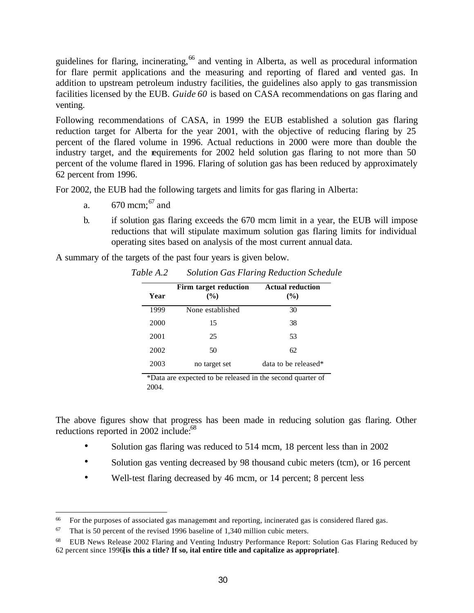guidelines for flaring, incinerating, <sup>66</sup> and venting in Alberta, as well as procedural information for flare permit applications and the measuring and reporting of flared and vented gas. In addition to upstream petroleum industry facilities, the guidelines also apply to gas transmission facilities licensed by the EUB. *Guide 60* is based on CASA recommendations on gas flaring and venting.

Following recommendations of CASA, in 1999 the EUB established a solution gas flaring reduction target for Alberta for the year 2001, with the objective of reducing flaring by 25 percent of the flared volume in 1996. Actual reductions in 2000 were more than double the industry target, and the requirements for 2002 held solution gas flaring to not more than 50 percent of the volume flared in 1996. Flaring of solution gas has been reduced by approximately 62 percent from 1996.

For 2002, the EUB had the following targets and limits for gas flaring in Alberta:

- a.  $670 \text{ mcm}$ ;  $67 \text{ and}$
- b. if solution gas flaring exceeds the 670 mcm limit in a year, the EUB will impose reductions that will stipulate maximum solution gas flaring limits for individual operating sites based on analysis of the most current annual data.

A summary of the targets of the past four years is given below.

| Year | Firm target reduction<br>$\frac{9}{6}$ | <b>Actual reduction</b><br>$\frac{9}{6}$ |  |
|------|----------------------------------------|------------------------------------------|--|
| 1999 | None established                       | 30                                       |  |
| 2000 | 15                                     | 38                                       |  |
| 2001 | 25                                     | 53                                       |  |
| 2002 | 50                                     | 62                                       |  |
| 2003 | no target set                          | data to be released*                     |  |

*Table A.2 Solution Gas Flaring Reduction Schedule*

\*Data are expected to be released in the second quarter of 2004.

The above figures show that progress has been made in reducing solution gas flaring. Other reductions reported in 2002 include: $68$ 

- Solution gas flaring was reduced to 514 mcm, 18 percent less than in 2002
- Solution gas venting decreased by 98 thousand cubic meters (tcm), or 16 percent
- Well-test flaring decreased by 46 mcm, or 14 percent; 8 percent less

<sup>66</sup> <sup>66</sup> For the purposes of associated gas management and reporting, incinerated gas is considered flared gas.

 $67$  That is 50 percent of the revised 1996 baseline of 1,340 million cubic meters.

<sup>68</sup> EUB News Release 2002 Flaring and Venting Industry Performance Report: Solution Gas Flaring Reduced by 62 percent since 1996**[is this a title? If so, ital entire title and capitalize as appropriate]**.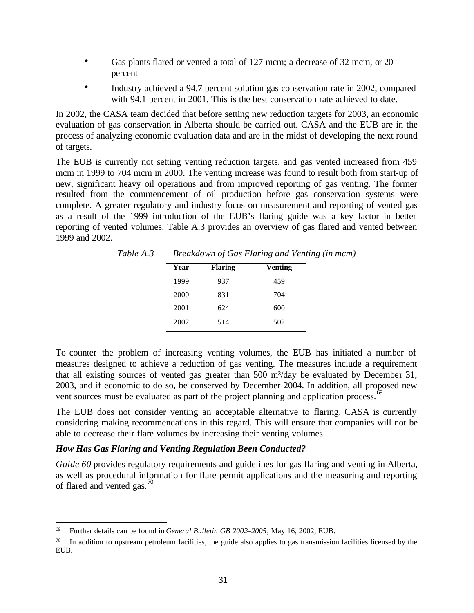- Gas plants flared or vented a total of 127 mcm; a decrease of 32 mcm, or 20 percent
- Industry achieved a 94.7 percent solution gas conservation rate in 2002, compared with 94.1 percent in 2001. This is the best conservation rate achieved to date.

In 2002, the CASA team decided that before setting new reduction targets for 2003, an economic evaluation of gas conservation in Alberta should be carried out. CASA and the EUB are in the process of analyzing economic evaluation data and are in the midst of developing the next round of targets.

The EUB is currently not setting venting reduction targets, and gas vented increased from 459 mcm in 1999 to 704 mcm in 2000. The venting increase was found to result both from start-up of new, significant heavy oil operations and from improved reporting of gas venting. The former resulted from the commencement of oil production before gas conservation systems were complete. A greater regulatory and industry focus on measurement and reporting of vented gas as a result of the 1999 introduction of the EUB's flaring guide was a key factor in better reporting of vented volumes. Table A.3 provides an overview of gas flared and vented between 1999 and 2002.

*Table A.3 Breakdown of Gas Flaring and Venting (in mcm)*

| Year | <b>Flaring</b> | <b>Venting</b> |
|------|----------------|----------------|
| 1999 | 937            | 459            |
| 2000 | 831            | 704            |
| 2001 | 624            | 600            |
| 2002 | 514            | 502            |

To counter the problem of increasing venting volumes, the EUB has initiated a number of measures designed to achieve a reduction of gas venting. The measures include a requirement that all existing sources of vented gas greater than 500 m<sup>3</sup>/day be evaluated by December 31, 2003, and if economic to do so, be conserved by December 2004. In addition, all proposed new vent sources must be evaluated as part of the project planning and application process.<sup>69</sup>

The EUB does not consider venting an acceptable alternative to flaring. CASA is currently considering making recommendations in this regard. This will ensure that companies will not be able to decrease their flare volumes by increasing their venting volumes.

#### *How Has Gas Flaring and Venting Regulation Been Conducted?*

*Guide 60* provides regulatory requirements and guidelines for gas flaring and venting in Alberta, as well as procedural information for flare permit applications and the measuring and reporting of flared and vented gas. $\frac{70}{2}$ 

<sup>69</sup> <sup>69</sup> Further details can be found in *General Bulletin GB 2002–2005*, May 16, 2002, EUB.

 $\frac{70}{10}$  In addition to upstream petroleum facilities, the guide also applies to gas transmission facilities licensed by the EUB.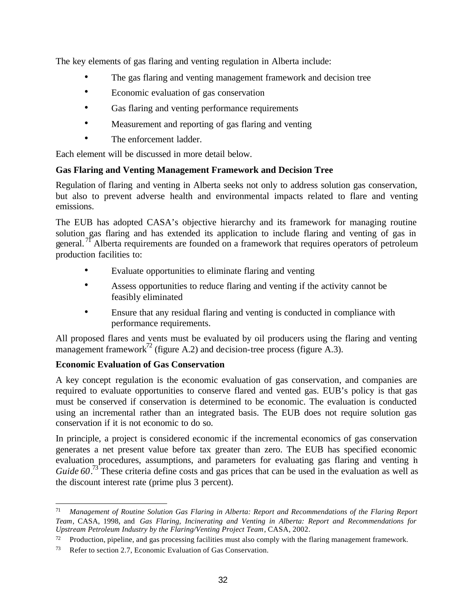The key elements of gas flaring and venting regulation in Alberta include:

- The gas flaring and venting management framework and decision tree
- Economic evaluation of gas conservation
- Gas flaring and venting performance requirements
- Measurement and reporting of gas flaring and venting
- The enforcement ladder.

Each element will be discussed in more detail below.

## **Gas Flaring and Venting Management Framework and Decision Tree**

Regulation of flaring and venting in Alberta seeks not only to address solution gas conservation, but also to prevent adverse health and environmental impacts related to flare and venting emissions.

The EUB has adopted CASA's objective hierarchy and its framework for managing routine solution gas flaring and has extended its application to include flaring and venting of gas in general.<sup>71</sup> Alberta requirements are founded on a framework that requires operators of petroleum production facilities to:

- Evaluate opportunities to eliminate flaring and venting
- Assess opportunities to reduce flaring and venting if the activity cannot be feasibly eliminated
- Ensure that any residual flaring and venting is conducted in compliance with performance requirements.

All proposed flares and vents must be evaluated by oil producers using the flaring and venting management framework<sup>72</sup> (figure A.2) and decision-tree process (figure A.3).

### **Economic Evaluation of Gas Conservation**

A key concept regulation is the economic evaluation of gas conservation, and companies are required to evaluate opportunities to conserve flared and vented gas. EUB's policy is that gas must be conserved if conservation is determined to be economic. The evaluation is conducted using an incremental rather than an integrated basis. The EUB does not require solution gas conservation if it is not economic to do so.

In principle, a project is considered economic if the incremental economics of gas conservation generates a net present value before tax greater than zero. The EUB has specified economic evaluation procedures, assumptions, and parameters for evaluating gas flaring and venting in *Guide* 60.<sup>73</sup> These criteria define costs and gas prices that can be used in the evaluation as well as the discount interest rate (prime plus 3 percent).

 $71$ <sup>71</sup> *Management of Routine Solution Gas Flaring in Alberta: Report and Recommendations of the Flaring Report Team*, CASA, 1998, and *Gas Flaring, Incinerating and Venting in Alberta: Report and Recommendations for Upstream Petroleum Industry by the Flaring/Venting Project Team*, CASA, 2002.

 $72$  Production, pipeline, and gas processing facilities must also comply with the flaring management framework.

<sup>73</sup> Refer to section 2.7, Economic Evaluation of Gas Conservation.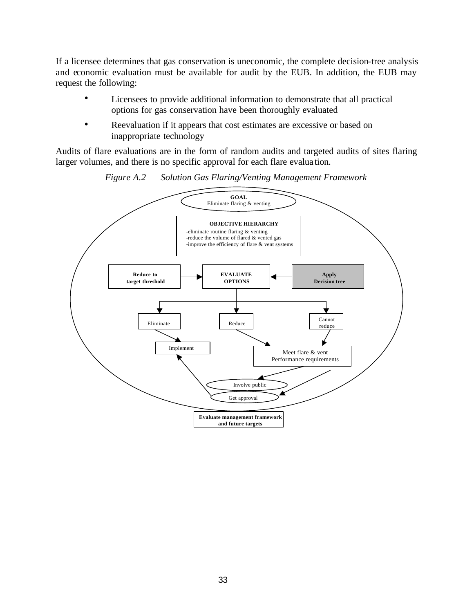If a licensee determines that gas conservation is uneconomic, the complete decision-tree analysis and economic evaluation must be available for audit by the EUB. In addition, the EUB may request the following:

- Licensees to provide additional information to demonstrate that all practical options for gas conservation have been thoroughly evaluated
- Reevaluation if it appears that cost estimates are excessive or based on inappropriate technology

Audits of flare evaluations are in the form of random audits and targeted audits of sites flaring larger volumes, and there is no specific approval for each flare evalua tion.



*Figure A.2 Solution Gas Flaring/Venting Management Framework*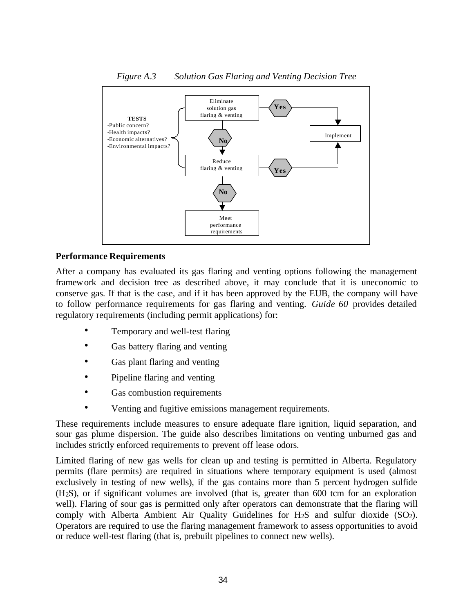

#### **Performance Requirements**

After a company has evaluated its gas flaring and venting options following the management framework and decision tree as described above, it may conclude that it is uneconomic to conserve gas. If that is the case, and if it has been approved by the EUB, the company will have to follow performance requirements for gas flaring and venting. *Guide 60* provides detailed regulatory requirements (including permit applications) for:

- Temporary and well-test flaring
- Gas battery flaring and venting
- Gas plant flaring and venting
- Pipeline flaring and venting
- Gas combustion requirements
- Venting and fugitive emissions management requirements.

These requirements include measures to ensure adequate flare ignition, liquid separation, and sour gas plume dispersion. The guide also describes limitations on venting unburned gas and includes strictly enforced requirements to prevent off lease odors.

Limited flaring of new gas wells for clean up and testing is permitted in Alberta. Regulatory permits (flare permits) are required in situations where temporary equipment is used (almost exclusively in testing of new wells), if the gas contains more than 5 percent hydrogen sulfide (H2S), or if significant volumes are involved (that is, greater than 600 tcm for an exploration well). Flaring of sour gas is permitted only after operators can demonstrate that the flaring will comply with Alberta Ambient Air Quality Guidelines for  $H_2S$  and sulfur dioxide  $(SO_2)$ . Operators are required to use the flaring management framework to assess opportunities to avoid or reduce well-test flaring (that is, prebuilt pipelines to connect new wells).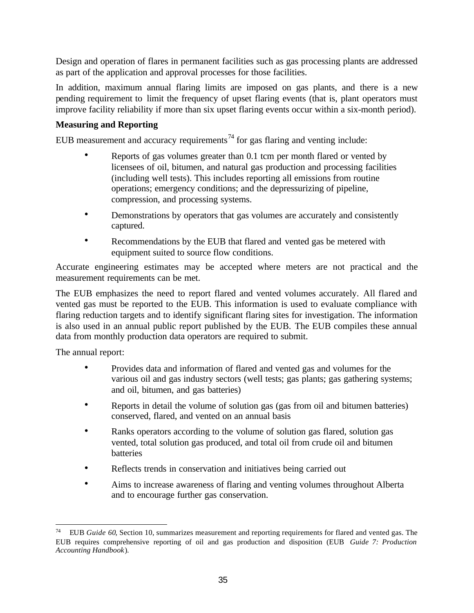Design and operation of flares in permanent facilities such as gas processing plants are addressed as part of the application and approval processes for those facilities.

In addition, maximum annual flaring limits are imposed on gas plants, and there is a new pending requirement to limit the frequency of upset flaring events (that is, plant operators must improve facility reliability if more than six upset flaring events occur within a six-month period).

#### **Measuring and Reporting**

EUB measurement and accuracy requirements<sup>74</sup> for gas flaring and venting include:

- Reports of gas volumes greater than 0.1 tcm per month flared or vented by licensees of oil, bitumen, and natural gas production and processing facilities (including well tests). This includes reporting all emissions from routine operations; emergency conditions; and the depressurizing of pipeline, compression, and processing systems.
- Demonstrations by operators that gas volumes are accurately and consistently captured.
- Recommendations by the EUB that flared and vented gas be metered with equipment suited to source flow conditions.

Accurate engineering estimates may be accepted where meters are not practical and the measurement requirements can be met.

The EUB emphasizes the need to report flared and vented volumes accurately. All flared and vented gas must be reported to the EUB. This information is used to evaluate compliance with flaring reduction targets and to identify significant flaring sites for investigation. The information is also used in an annual public report published by the EUB. The EUB compiles these annual data from monthly production data operators are required to submit.

The annual report:

- Provides data and information of flared and vented gas and volumes for the various oil and gas industry sectors (well tests; gas plants; gas gathering systems; and oil, bitumen, and gas batteries)
- Reports in detail the volume of solution gas (gas from oil and bitumen batteries) conserved, flared, and vented on an annual basis
- Ranks operators according to the volume of solution gas flared, solution gas vented, total solution gas produced, and total oil from crude oil and bitumen batteries
- Reflects trends in conservation and initiatives being carried out
- Aims to increase awareness of flaring and venting volumes throughout Alberta and to encourage further gas conservation.

 $\overline{a}$ <sup>74</sup> EUB *Guide 60*, Section 10, summarizes measurement and reporting requirements for flared and vented gas. The EUB requires comprehensive reporting of oil and gas production and disposition (EUB *Guide 7: Production Accounting Handbook*).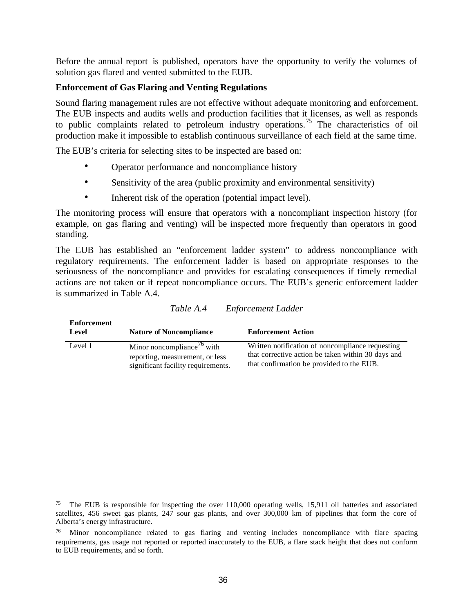Before the annual report is published, operators have the opportunity to verify the volumes of solution gas flared and vented submitted to the EUB.

#### **Enforcement of Gas Flaring and Venting Regulations**

Sound flaring management rules are not effective without adequate monitoring and enforcement. The EUB inspects and audits wells and production facilities that it licenses, as well as responds to public complaints related to petroleum industry operations. <sup>75</sup> The characteristics of oil production make it impossible to establish continuous surveillance of each field at the same time.

The EUB's criteria for selecting sites to be inspected are based on:

- Operator performance and noncompliance history
- Sensitivity of the area (public proximity and environmental sensitivity)
- Inherent risk of the operation (potential impact level).

The monitoring process will ensure that operators with a noncompliant inspection history (for example, on gas flaring and venting) will be inspected more frequently than operators in good standing.

The EUB has established an "enforcement ladder system" to address noncompliance with regulatory requirements. The enforcement ladder is based on appropriate responses to the seriousness of the noncompliance and provides for escalating consequences if timely remedial actions are not taken or if repeat noncompliance occurs. The EUB's generic enforcement ladder is summarized in Table A.4.

| Enforcement<br>Level | <b>Nature of Noncompliance</b>                                                                                  | <b>Enforcement Action</b>                                                                                                                           |
|----------------------|-----------------------------------------------------------------------------------------------------------------|-----------------------------------------------------------------------------------------------------------------------------------------------------|
| Level 1              | Minor noncompliance <sup>76</sup> with<br>reporting, measurement, or less<br>significant facility requirements. | Written notification of noncompliance requesting<br>that corrective action be taken within 30 days and<br>that confirmation be provided to the EUB. |

*Table A.4 Enforcement Ladder*

 $\overline{a}$ 

The EUB is responsible for inspecting the over 110,000 operating wells, 15,911 oil batteries and associated satellites, 456 sweet gas plants, 247 sour gas plants, and over 300,000 km of pipelines that form the core of Alberta's energy infrastructure.

<sup>&</sup>lt;sup>76</sup> Minor noncompliance related to gas flaring and venting includes noncompliance with flare spacing requirements, gas usage not reported or reported inaccurately to the EUB, a flare stack height that does not conform to EUB requirements, and so forth.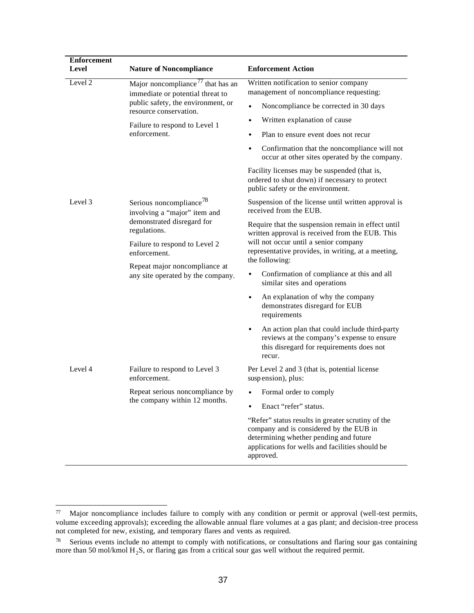| <b>Enforcement</b><br>Level | <b>Nature of Noncompliance</b>                                                                                    | <b>Enforcement Action</b>                                                                                                                                                                              |
|-----------------------------|-------------------------------------------------------------------------------------------------------------------|--------------------------------------------------------------------------------------------------------------------------------------------------------------------------------------------------------|
| Level 2                     | Major noncompliance $\frac{1}{1}$ that has an<br>immediate or potential threat to                                 | Written notification to senior company<br>management of noncompliance requesting:                                                                                                                      |
|                             | public safety, the environment, or<br>resource conservation.                                                      | Noncompliance be corrected in 30 days<br>$\bullet$                                                                                                                                                     |
|                             | Failure to respond to Level 1                                                                                     | Written explanation of cause<br>$\bullet$                                                                                                                                                              |
|                             | enforcement.                                                                                                      | Plan to ensure event does not recur<br>$\bullet$                                                                                                                                                       |
|                             |                                                                                                                   | Confirmation that the noncompliance will not<br>occur at other sites operated by the company.                                                                                                          |
|                             |                                                                                                                   | Facility licenses may be suspended (that is,<br>ordered to shut down) if necessary to protect<br>public safety or the environment.                                                                     |
| Level 3                     | Serious noncompliance <sup>78</sup><br>involving a "major" item and<br>demonstrated disregard for<br>regulations. | Suspension of the license until written approval is<br>received from the EUB.                                                                                                                          |
|                             |                                                                                                                   | Require that the suspension remain in effect until<br>written approval is received from the EUB. This                                                                                                  |
|                             | Failure to respond to Level 2<br>enforcement.                                                                     | will not occur until a senior company<br>representative provides, in writing, at a meeting,<br>the following:                                                                                          |
|                             | Repeat major noncompliance at<br>any site operated by the company.                                                | Confirmation of compliance at this and all<br>similar sites and operations                                                                                                                             |
|                             |                                                                                                                   | An explanation of why the company<br>$\bullet$<br>demonstrates disregard for EUB<br>requirements                                                                                                       |
|                             |                                                                                                                   | An action plan that could include third-party<br>$\bullet$<br>reviews at the company's expense to ensure<br>this disregard for requirements does not<br>recur.                                         |
| Level 4                     | Failure to respond to Level 3<br>enforcement.                                                                     | Per Level 2 and 3 (that is, potential license<br>suspension), plus:                                                                                                                                    |
|                             | Repeat serious noncompliance by                                                                                   | Formal order to comply<br>$\bullet$                                                                                                                                                                    |
|                             | the company within 12 months.                                                                                     | Enact "refer" status.                                                                                                                                                                                  |
|                             |                                                                                                                   | "Refer" status results in greater scrutiny of the<br>company and is considered by the EUB in<br>determining whether pending and future<br>applications for wells and facilities should be<br>approved. |

 $77\,$ Major noncompliance includes failure to comply with any condition or permit or approval (well-test permits, volume exceeding approvals); exceeding the allowable annual flare volumes at a gas plant; and decision-tree process not completed for new, existing, and temporary flares and vents as required.

 $78$  Serious events include no attempt to comply with notifications, or consultations and flaring sour gas containing more than 50 mol/kmol  $H_2S$ , or flaring gas from a critical sour gas well without the required permit.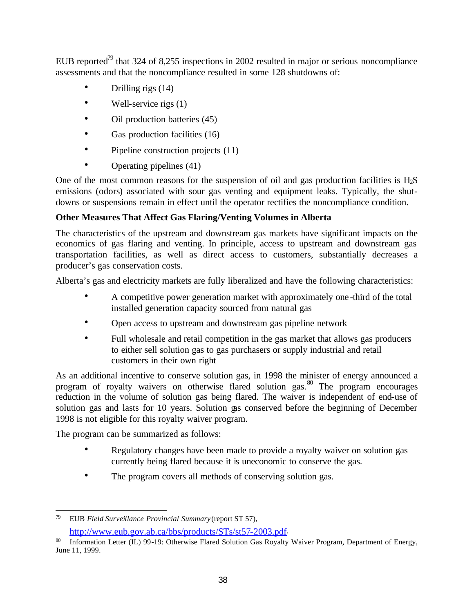EUB reported<sup>79</sup> that 324 of 8,255 inspections in 2002 resulted in major or serious noncompliance assessments and that the noncompliance resulted in some 128 shutdowns of:

- Drilling rigs  $(14)$
- Well-service rigs  $(1)$
- Oil production batteries (45)
- Gas production facilities (16)
- Pipeline construction projects (11)
- Operating pipelines (41)

One of the most common reasons for the suspension of oil and gas production facilities is  $H_2S$ emissions (odors) associated with sour gas venting and equipment leaks. Typically, the shutdowns or suspensions remain in effect until the operator rectifies the noncompliance condition.

## **Other Measures That Affect Gas Flaring/Venting Volumes in Alberta**

The characteristics of the upstream and downstream gas markets have significant impacts on the economics of gas flaring and venting. In principle, access to upstream and downstream gas transportation facilities, as well as direct access to customers, substantially decreases a producer's gas conservation costs.

Alberta's gas and electricity markets are fully liberalized and have the following characteristics:

- A competitive power generation market with approximately one-third of the total installed generation capacity sourced from natural gas
- Open access to upstream and downstream gas pipeline network
- Full wholesale and retail competition in the gas market that allows gas producers to either sell solution gas to gas purchasers or supply industrial and retail customers in their own right

As an additional incentive to conserve solution gas, in 1998 the minister of energy announced a program of royalty waivers on otherwise flared solution gas.<sup>80</sup> The program encourages reduction in the volume of solution gas being flared. The waiver is independent of end-use of solution gas and lasts for 10 years. Solution gas conserved before the beginning of December 1998 is not eligible for this royalty waiver program.

The program can be summarized as follows:

- Regulatory changes have been made to provide a royalty waiver on solution gas currently being flared because it is uneconomic to conserve the gas.
- The program covers all methods of conserving solution gas.

<sup>79</sup> <sup>79</sup> EUB *Field Surveillance Provincial Summary* (report ST 57), http://www.eub.gov.ab.ca/bbs/products/STs/st57-2003.pdf.

Information Letter (IL) 99-19: Otherwise Flared Solution Gas Royalty Waiver Program, Department of Energy, June 11, 1999.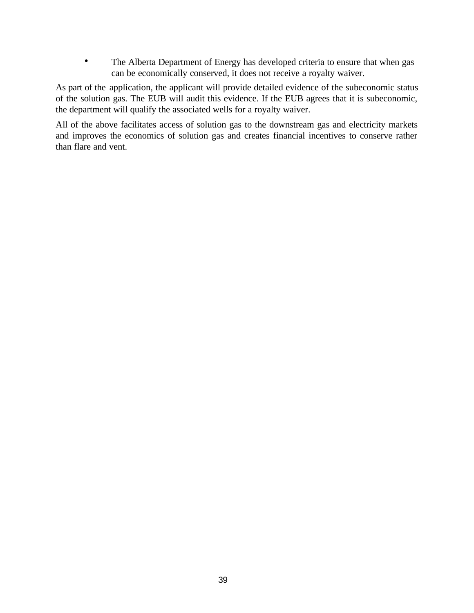• The Alberta Department of Energy has developed criteria to ensure that when gas can be economically conserved, it does not receive a royalty waiver.

As part of the application, the applicant will provide detailed evidence of the subeconomic status of the solution gas. The EUB will audit this evidence. If the EUB agrees that it is subeconomic, the department will qualify the associated wells for a royalty waiver.

All of the above facilitates access of solution gas to the downstream gas and electricity markets and improves the economics of solution gas and creates financial incentives to conserve rather than flare and vent.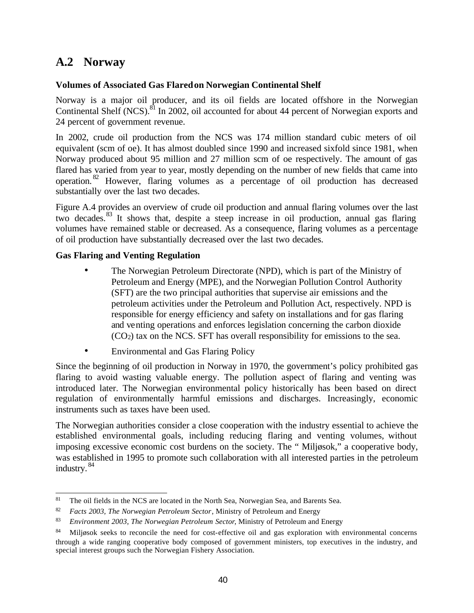# **A.2 Norway**

## **Volumes of Associated Gas Flared on Norwegian Continental Shelf**

Norway is a major oil producer, and its oil fields are located offshore in the Norwegian Continental Shelf (NCS).<sup>81</sup> In 2002, oil accounted for about 44 percent of Norwegian exports and 24 percent of government revenue.

In 2002, crude oil production from the NCS was 174 million standard cubic meters of oil equivalent (scm of oe). It has almost doubled since 1990 and increased sixfold since 1981, when Norway produced about 95 million and 27 million scm of oe respectively. The amount of gas flared has varied from year to year, mostly depending on the number of new fields that came into operation. <sup>82</sup> However, flaring volumes as a percentage of oil production has decreased substantially over the last two decades.

Figure A.4 provides an overview of crude oil production and annual flaring volumes over the last two decades.<sup>83</sup> It shows that, despite a steep increase in oil production, annual gas flaring volumes have remained stable or decreased. As a consequence, flaring volumes as a percentage of oil production have substantially decreased over the last two decades.

## **Gas Flaring and Venting Regulation**

- The Norwegian Petroleum Directorate (NPD), which is part of the Ministry of Petroleum and Energy (MPE), and the Norwegian Pollution Control Authority (SFT) are the two principal authorities that supervise air emissions and the petroleum activities under the Petroleum and Pollution Act, respectively. NPD is responsible for energy efficiency and safety on installations and for gas flaring and venting operations and enforces legislation concerning the carbon dioxide (CO2) tax on the NCS. SFT has overall responsibility for emissions to the sea.
- Environmental and Gas Flaring Policy

Since the beginning of oil production in Norway in 1970, the government's policy prohibited gas flaring to avoid wasting valuable energy. The pollution aspect of flaring and venting was introduced later. The Norwegian environmental policy historically has been based on direct regulation of environmentally harmful emissions and discharges. Increasingly, economic instruments such as taxes have been used.

The Norwegian authorities consider a close cooperation with the industry essential to achieve the established environmental goals, including reducing flaring and venting volumes, without imposing excessive economic cost burdens on the society. The " Miljøsok," a cooperative body, was established in 1995 to promote such collaboration with all interested parties in the petroleum industry. <sup>84</sup>

<sup>81</sup> <sup>81</sup> The oil fields in the NCS are located in the North Sea, Norwegian Sea, and Barents Sea.

<sup>82</sup> *Facts 2003, The Norwegian Petroleum Sector*, Ministry of Petroleum and Energy

<sup>83</sup> *Environment 2003, The Norwegian Petroleum Sector*, Ministry of Petroleum and Energy

<sup>84</sup> Miljøsok seeks to reconcile the need for cost-effective oil and gas exploration with environmental concerns through a wide ranging cooperative body composed of government ministers, top executives in the industry, and special interest groups such the Norwegian Fishery Association.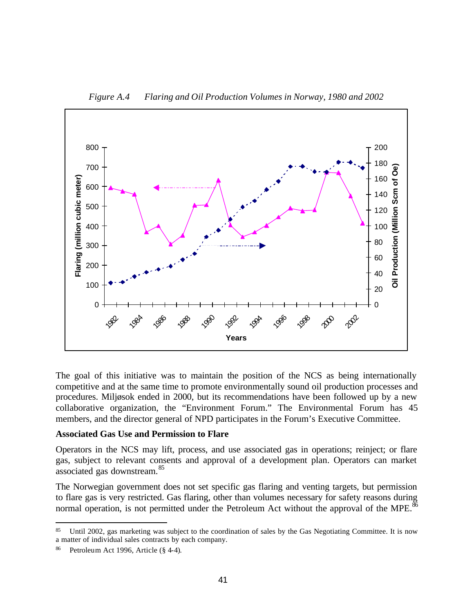

*Figure A.4 Flaring and Oil Production Volumes in Norway, 1980 and 2002*

The goal of this initiative was to maintain the position of the NCS as being internationally competitive and at the same time to promote environmentally sound oil production processes and procedures. Miljøsok ended in 2000, but its recommendations have been followed up by a new collaborative organization, the "Environment Forum." The Environmental Forum has 45 members, and the director general of NPD participates in the Forum's Executive Committee.

#### **Associated Gas Use and Permission to Flare**

Operators in the NCS may lift, process, and use associated gas in operations; reinject; or flare gas, subject to relevant consents and approval of a development plan. Operators can market associated gas downstream.<sup>85</sup>

The Norwegian government does not set specific gas flaring and venting targets, but permission to flare gas is very restricted. Gas flaring, other than volumes necessary for safety reasons during normal operation, is not permitted under the Petroleum Act without the approval of the MPE.<sup>86</sup>

 $\overline{a}$  Until 2002, gas marketing was subject to the coordination of sales by the Gas Negotiating Committee. It is now a matter of individual sales contracts by each company.

Petroleum Act 1996, Article (§ 4-4).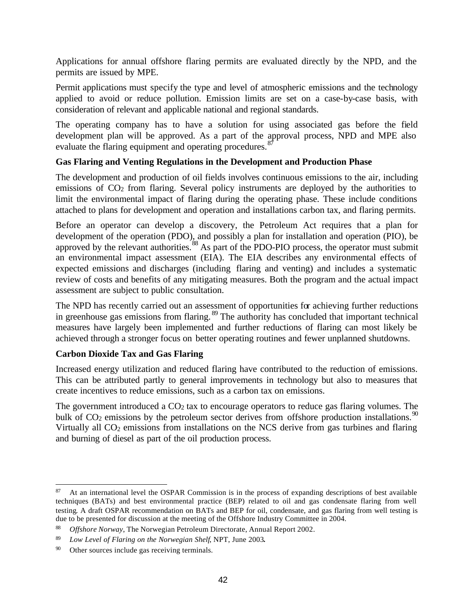Applications for annual offshore flaring permits are evaluated directly by the NPD, and the permits are issued by MPE.

Permit applications must specify the type and level of atmospheric emissions and the technology applied to avoid or reduce pollution. Emission limits are set on a case-by-case basis, with consideration of relevant and applicable national and regional standards.

The operating company has to have a solution for using associated gas before the field development plan will be approved. As a part of the approval process, NPD and MPE also evaluate the flaring equipment and operating procedures.<sup>8</sup>

## **Gas Flaring and Venting Regulations in the Development and Production Phase**

The development and production of oil fields involves continuous emissions to the air, including emissions of CO<sub>2</sub> from flaring. Several policy instruments are deployed by the authorities to limit the environmental impact of flaring during the operating phase. These include conditions attached to plans for development and operation and installations carbon tax, and flaring permits.

Before an operator can develop a discovery, the Petroleum Act requires that a plan for development of the operation (PDO), and possibly a plan for installation and operation (PIO), be approved by the relevant authorities.<sup>88</sup> As part of the PDO-PIO process, the operator must submit an environmental impact assessment (EIA). The EIA describes any environmental effects of expected emissions and discharges (including flaring and venting) and includes a systematic review of costs and benefits of any mitigating measures. Both the program and the actual impact assessment are subject to public consultation.

The NPD has recently carried out an assessment of opportunities for achieving further reductions in greenhouse gas emissions from flaring.  $\frac{89}{9}$  The authority has concluded that important technical measures have largely been implemented and further reductions of flaring can most likely be achieved through a stronger focus on better operating routines and fewer unplanned shutdowns.

### **Carbon Dioxide Tax and Gas Flaring**

Increased energy utilization and reduced flaring have contributed to the reduction of emissions. This can be attributed partly to general improvements in technology but also to measures that create incentives to reduce emissions, such as a carbon tax on emissions.

The government introduced a  $CO<sub>2</sub>$  tax to encourage operators to reduce gas flaring volumes. The bulk of  $CO<sub>2</sub>$  emissions by the petroleum sector derives from offshore production installations.<sup>90</sup> Virtually all CO<sub>2</sub> emissions from installations on the NCS derive from gas turbines and flaring and burning of diesel as part of the oil production process.

 $\overline{a}$ <sup>87</sup> At an international level the OSPAR Commission is in the process of expanding descriptions of best available techniques (BATs) and best environmental practice (BEP) related to oil and gas condensate flaring from well testing. A draft OSPAR recommendation on BATs and BEP for oil, condensate, and gas flaring from well testing is due to be presented for discussion at the meeting of the Offshore Industry Committee in 2004.

<sup>88</sup> *Offshore Norway*, The Norwegian Petroleum Directorate, Annual Report 2002.

<sup>89</sup> *Low Level of Flaring on the Norwegian Shelf*, NPT, June 2003**.**

<sup>90</sup> Other sources include gas receiving terminals.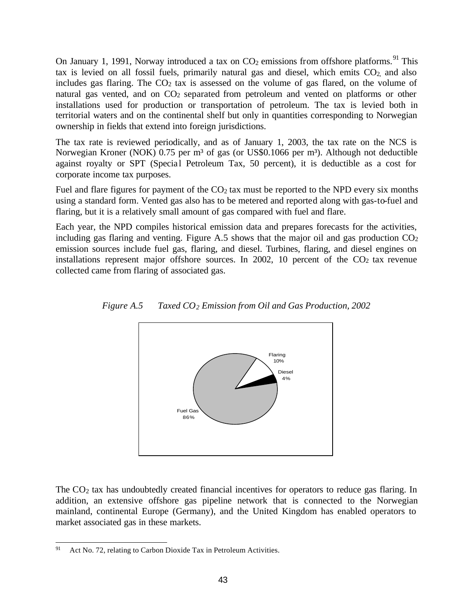On January 1, 1991, Norway introduced a tax on  $CO<sub>2</sub>$  emissions from offshore platforms.<sup>91</sup> This tax is levied on all fossil fuels, primarily natural gas and diesel, which emits  $CO<sub>2</sub>$  and also includes gas flaring. The  $CO<sub>2</sub>$  tax is assessed on the volume of gas flared, on the volume of natural gas vented, and on CO<sub>2</sub> separated from petroleum and vented on platforms or other installations used for production or transportation of petroleum. The tax is levied both in territorial waters and on the continental shelf but only in quantities corresponding to Norwegian ownership in fields that extend into foreign jurisdictions.

The tax rate is reviewed periodically, and as of January 1, 2003, the tax rate on the NCS is Norwegian Kroner (NOK) 0.75 per m<sup>3</sup> of gas (or US\$0.1066 per m<sup>3</sup>). Although not deductible against royalty or SPT (Special Petroleum Tax, 50 percent), it is deductible as a cost for corporate income tax purposes.

Fuel and flare figures for payment of the  $CO<sub>2</sub>$  tax must be reported to the NPD every six months using a standard form. Vented gas also has to be metered and reported along with gas-to-fuel and flaring, but it is a relatively small amount of gas compared with fuel and flare.

Each year, the NPD compiles historical emission data and prepares forecasts for the activities, including gas flaring and venting. Figure A.5 shows that the major oil and gas production  $CO<sub>2</sub>$ emission sources include fuel gas, flaring, and diesel. Turbines, flaring, and diesel engines on installations represent major offshore sources. In 2002, 10 percent of the  $CO<sub>2</sub>$  tax revenue collected came from flaring of associated gas.



*Figure A.5 Taxed CO2 Emission from Oil and Gas Production, 2002*

The  $CO<sub>2</sub>$  tax has undoubtedly created financial incentives for operators to reduce gas flaring. In addition, an extensive offshore gas pipeline network that is connected to the Norwegian mainland, continental Europe (Germany), and the United Kingdom has enabled operators to market associated gas in these markets.

<sup>91</sup> Act No. 72, relating to Carbon Dioxide Tax in Petroleum Activities.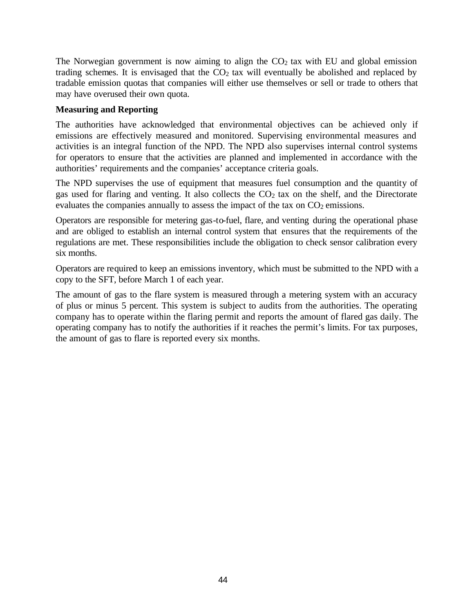The Norwegian government is now aiming to align the  $CO<sub>2</sub>$  tax with EU and global emission trading schemes. It is envisaged that the  $CO<sub>2</sub>$  tax will eventually be abolished and replaced by tradable emission quotas that companies will either use themselves or sell or trade to others that may have overused their own quota.

### **Measuring and Reporting**

The authorities have acknowledged that environmental objectives can be achieved only if emissions are effectively measured and monitored. Supervising environmental measures and activities is an integral function of the NPD. The NPD also supervises internal control systems for operators to ensure that the activities are planned and implemented in accordance with the authorities' requirements and the companies' acceptance criteria goals.

The NPD supervises the use of equipment that measures fuel consumption and the quantity of gas used for flaring and venting. It also collects the CO<sub>2</sub> tax on the shelf, and the Directorate evaluates the companies annually to assess the impact of the tax on  $CO<sub>2</sub>$  emissions.

Operators are responsible for metering gas-to-fuel, flare, and venting during the operational phase and are obliged to establish an internal control system that ensures that the requirements of the regulations are met. These responsibilities include the obligation to check sensor calibration every six months.

Operators are required to keep an emissions inventory, which must be submitted to the NPD with a copy to the SFT, before March 1 of each year.

The amount of gas to the flare system is measured through a metering system with an accuracy of plus or minus 5 percent. This system is subject to audits from the authorities. The operating company has to operate within the flaring permit and reports the amount of flared gas daily. The operating company has to notify the authorities if it reaches the permit's limits. For tax purposes, the amount of gas to flare is reported every six months.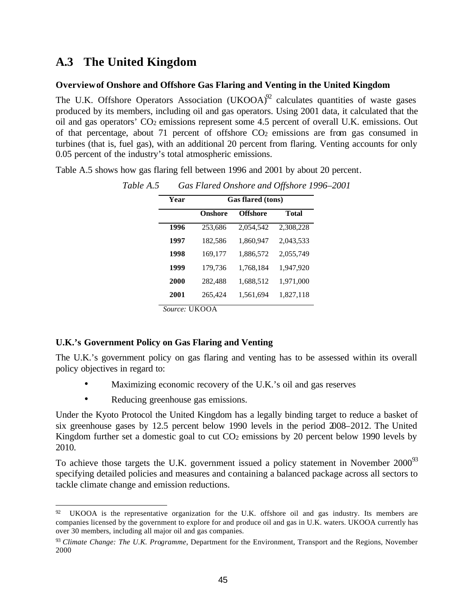# **A.3 The United Kingdom**

#### **Overviewof Onshore and Offshore Gas Flaring and Venting in the United Kingdom**

The U.K. Offshore Operators Association  $(UKOOA)^{92}$  calculates quantities of waste gases produced by its members, including oil and gas operators. Using 2001 data, it calculated that the oil and gas operators' CO<sub>2</sub> emissions represent some 4.5 percent of overall U.K. emissions. Out of that percentage, about 71 percent of offshore  $CO<sub>2</sub>$  emissions are from gas consumed in turbines (that is, fuel gas), with an additional 20 percent from flaring. Venting accounts for only 0.05 percent of the industry's total atmospheric emissions.

Table A.5 shows how gas flaring fell between 1996 and 2001 by about 20 percent.

| Year | <b>Gas flared (tons)</b> |                 |              |
|------|--------------------------|-----------------|--------------|
|      | <b>Onshore</b>           | <b>Offshore</b> | <b>Total</b> |
| 1996 | 253,686                  | 2,054,542       | 2,308,228    |
| 1997 | 182,586                  | 1,860,947       | 2,043,533    |
| 1998 | 169,177                  | 1,886,572       | 2,055,749    |
| 1999 | 179,736                  | 1,768,184       | 1,947,920    |
| 2000 | 282,488                  | 1,688,512       | 1,971,000    |
| 2001 | 265,424                  | 1,561,694       | 1,827,118    |

*Table A.5 Gas Flared Onshore and Offshore 1996–2001*

*Source:* UKOOA

### **U.K.'s Government Policy on Gas Flaring and Venting**

The U.K.'s government policy on gas flaring and venting has to be assessed within its overall policy objectives in regard to:

- Maximizing economic recovery of the U.K.'s oil and gas reserves
- Reducing greenhouse gas emissions.

Under the Kyoto Protocol the United Kingdom has a legally binding target to reduce a basket of six greenhouse gases by 12.5 percent below 1990 levels in the period 2008–2012. The United Kingdom further set a domestic goal to cut  $CO<sub>2</sub>$  emissions by 20 percent below 1990 levels by 2010.

To achieve those targets the U.K. government issued a policy statement in November  $2000<sup>93</sup>$ specifying detailed policies and measures and containing a balanced package across all sectors to tackle climate change and emission reductions.

<sup>92</sup> UKOOA is the representative organization for the U.K. offshore oil and gas industry. Its members are companies licensed by the government to explore for and produce oil and gas in U.K. waters. UKOOA currently has over 30 members, including all major oil and gas companies.

<sup>93</sup> *Climate Change: The U.K. Programme*, Department for the Environment, Transport and the Regions, November 2000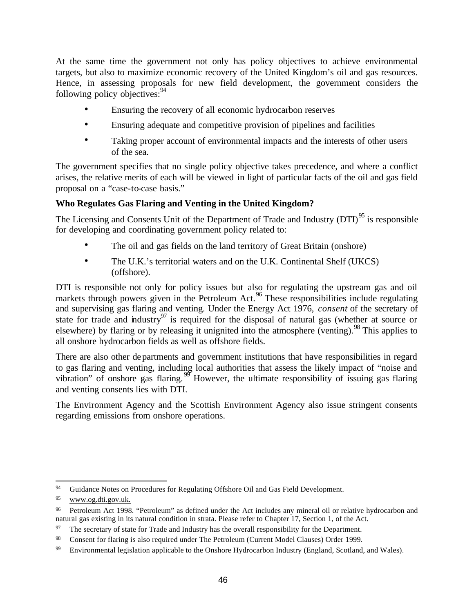At the same time the government not only has policy objectives to achieve environmental targets, but also to maximize economic recovery of the United Kingdom's oil and gas resources. Hence, in assessing proposals for new field development, the government considers the following policy objectives: $94$ 

- Ensuring the recovery of all economic hydrocarbon reserves
- Ensuring adequate and competitive provision of pipelines and facilities
- Taking proper account of environmental impacts and the interests of other users of the sea.

The government specifies that no single policy objective takes precedence, and where a conflict arises, the relative merits of each will be viewed in light of particular facts of the oil and gas field proposal on a "case-to-case basis."

### **Who Regulates Gas Flaring and Venting in the United Kingdom?**

The Licensing and Consents Unit of the Department of Trade and Industry (DTI)<sup>95</sup> is responsible for developing and coordinating government policy related to:

- The oil and gas fields on the land territory of Great Britain (onshore)
- The U.K.'s territorial waters and on the U.K. Continental Shelf (UKCS) (offshore).

DTI is responsible not only for policy issues but also for regulating the upstream gas and oil markets through powers given in the Petroleum Act.<sup>96</sup> These responsibilities include regulating and supervising gas flaring and venting. Under the Energy Act 1976, *consent* of the secretary of state for trade and industry<sup>97</sup> is required for the disposal of natural gas (whether at source or elsewhere) by flaring or by releasing it unignited into the atmosphere (venting). <sup>98</sup> This applies to all onshore hydrocarbon fields as well as offshore fields.

There are also other departments and government institutions that have responsibilities in regard to gas flaring and venting, including local authorities that assess the likely impact of "noise and vibration" of onshore gas flaring.  $99$  However, the ultimate responsibility of issuing gas flaring and venting consents lies with DTI.

The Environment Agency and the Scottish Environment Agency also issue stringent consents regarding emissions from onshore operations.

 $\overline{a}$ <sup>94</sup> Guidance Notes on Procedures for Regulating Offshore Oil and Gas Field Development.

<sup>95</sup> www.og.dti.gov.uk.

<sup>96</sup> Petroleum Act 1998. "Petroleum" as defined under the Act includes any mineral oil or relative hydrocarbon and natural gas existing in its natural condition in strata. Please refer to Chapter 17, Section 1, of the Act.

<sup>&</sup>lt;sup>97</sup> The secretary of state for Trade and Industry has the overall responsibility for the Department.

<sup>98</sup> Consent for flaring is also required under The Petroleum (Current Model Clauses) Order 1999.

<sup>99</sup> Environmental legislation applicable to the Onshore Hydrocarbon Industry (England, Scotland, and Wales).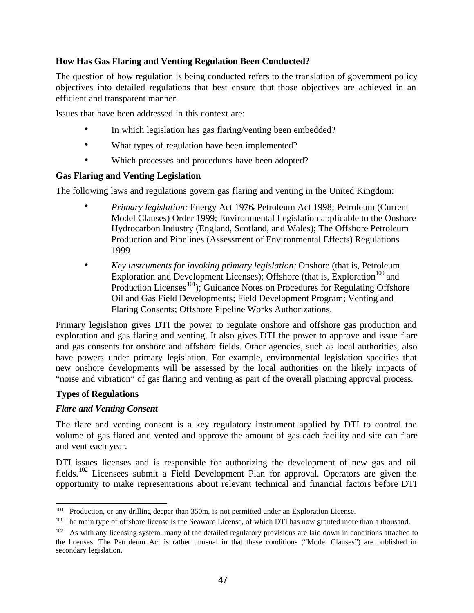## **How Has Gas Flaring and Venting Regulation Been Conducted?**

The question of how regulation is being conducted refers to the translation of government policy objectives into detailed regulations that best ensure that those objectives are achieved in an efficient and transparent manner.

Issues that have been addressed in this context are:

- In which legislation has gas flaring/venting been embedded?
- What types of regulation have been implemented?
- Which processes and procedures have been adopted?

### **Gas Flaring and Venting Legislation**

The following laws and regulations govern gas flaring and venting in the United Kingdom:

- *Primary legislation:* Energy Act 1976**,** Petroleum Act 1998; Petroleum (Current Model Clauses) Order 1999; Environmental Legislation applicable to the Onshore Hydrocarbon Industry (England, Scotland, and Wales); The Offshore Petroleum Production and Pipelines (Assessment of Environmental Effects) Regulations 1999
- *Key instruments for invoking primary legislation:* Onshore (that is, Petroleum Exploration and Development Licenses); Offshore (that is, Exploration $^{100}$  and Production Licenses<sup>101</sup>); Guidance Notes on Procedures for Regulating Offshore Oil and Gas Field Developments; Field Development Program; Venting and Flaring Consents; Offshore Pipeline Works Authorizations.

Primary legislation gives DTI the power to regulate onshore and offshore gas production and exploration and gas flaring and venting. It also gives DTI the power to approve and issue flare and gas consents for onshore and offshore fields. Other agencies, such as local authorities, also have powers under primary legislation. For example, environmental legislation specifies that new onshore developments will be assessed by the local authorities on the likely impacts of "noise and vibration" of gas flaring and venting as part of the overall planning approval process.

### **Types of Regulations**

### *Flare and Venting Consent*

The flare and venting consent is a key regulatory instrument applied by DTI to control the volume of gas flared and vented and approve the amount of gas each facility and site can flare and vent each year.

DTI issues licenses and is responsible for authorizing the development of new gas and oil fields.<sup>102</sup> Licensees submit a Field Development Plan for approval. Operators are given the opportunity to make representations about relevant technical and financial factors before DTI

 $\overline{\phantom{a}}$ <sup>100</sup> Production, or any drilling deeper than 350m, is not permitted under an Exploration License.

<sup>&</sup>lt;sup>101</sup> The main type of offshore license is the Seaward License, of which DTI has now granted more than a thousand.

<sup>&</sup>lt;sup>102</sup> As with any licensing system, many of the detailed regulatory provisions are laid down in conditions attached to the licenses. The Petroleum Act is rather unusual in that these conditions ("Model Clauses") are published in secondary legislation.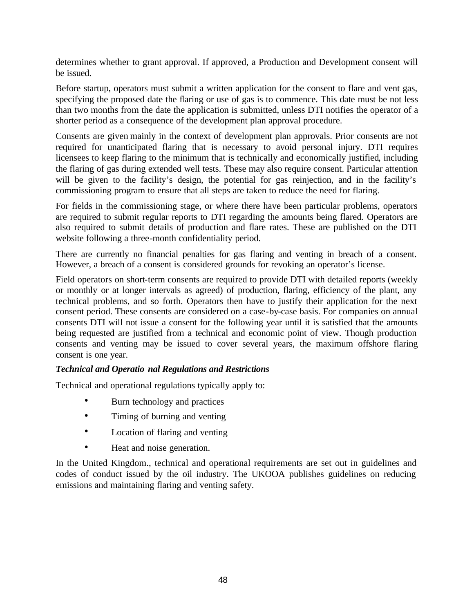determines whether to grant approval. If approved, a Production and Development consent will be issued.

Before startup, operators must submit a written application for the consent to flare and vent gas, specifying the proposed date the flaring or use of gas is to commence. This date must be not less than two months from the date the application is submitted, unless DTI notifies the operator of a shorter period as a consequence of the development plan approval procedure.

Consents are given mainly in the context of development plan approvals. Prior consents are not required for unanticipated flaring that is necessary to avoid personal injury. DTI requires licensees to keep flaring to the minimum that is technically and economically justified, including the flaring of gas during extended well tests. These may also require consent. Particular attention will be given to the facility's design, the potential for gas reinjection, and in the facility's commissioning program to ensure that all steps are taken to reduce the need for flaring.

For fields in the commissioning stage, or where there have been particular problems, operators are required to submit regular reports to DTI regarding the amounts being flared. Operators are also required to submit details of production and flare rates. These are published on the DTI website following a three-month confidentiality period.

There are currently no financial penalties for gas flaring and venting in breach of a consent. However, a breach of a consent is considered grounds for revoking an operator's license.

Field operators on short-term consents are required to provide DTI with detailed reports (weekly or monthly or at longer intervals as agreed) of production, flaring, efficiency of the plant, any technical problems, and so forth. Operators then have to justify their application for the next consent period. These consents are considered on a case-by-case basis. For companies on annual consents DTI will not issue a consent for the following year until it is satisfied that the amounts being requested are justified from a technical and economic point of view. Though production consents and venting may be issued to cover several years, the maximum offshore flaring consent is one year.

### *Technical and Operatio nal Regulations and Restrictions*

Technical and operational regulations typically apply to:

- Burn technology and practices
- Timing of burning and venting
- Location of flaring and venting
- Heat and noise generation.

In the United Kingdom., technical and operational requirements are set out in guidelines and codes of conduct issued by the oil industry. The UKOOA publishes guidelines on reducing emissions and maintaining flaring and venting safety.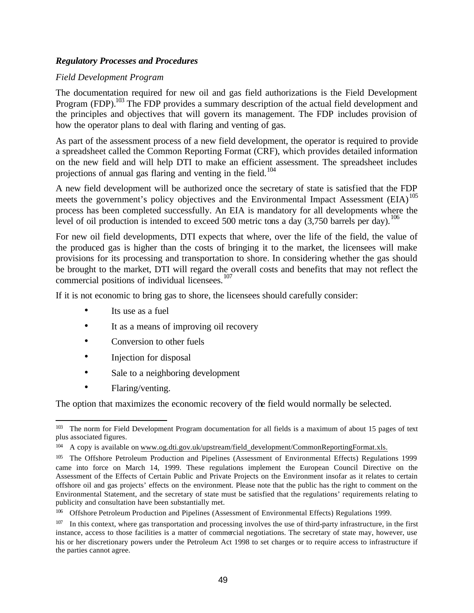#### *Regulatory Processes and Procedures*

#### *Field Development Program*

The documentation required for new oil and gas field authorizations is the Field Development Program (FDP).<sup>103</sup> The FDP provides a summary description of the actual field development and the principles and objectives that will govern its management. The FDP includes provision of how the operator plans to deal with flaring and venting of gas.

As part of the assessment process of a new field development, the operator is required to provide a spreadsheet called the Common Reporting Format (CRF), which provides detailed information on the new field and will help DTI to make an efficient assessment. The spreadsheet includes projections of annual gas flaring and venting in the field.<sup>104</sup>

A new field development will be authorized once the secretary of state is satisfied that the FDP meets the government's policy objectives and the Environmental Impact Assessment  $(EIA)$ <sup>105</sup> process has been completed successfully. An EIA is mandatory for all developments where the level of oil production is intended to exceed 500 metric tons a day  $(3,750)$  barrels per day).<sup>106</sup>

For new oil field developments, DTI expects that where, over the life of the field, the value of the produced gas is higher than the costs of bringing it to the market, the licensees will make provisions for its processing and transportation to shore. In considering whether the gas should be brought to the market, DTI will regard the overall costs and benefits that may not reflect the commercial positions of individual licensees.<sup>107</sup>

If it is not economic to bring gas to shore, the licensees should carefully consider:

- Its use as a fuel
- It as a means of improving oil recovery
- Conversion to other fuels
- Injection for disposal
- Sale to a neighboring development
- Flaring/venting.

The option that maximizes the economic recovery of the field would normally be selected.

<sup>103</sup> The norm for Field Development Program documentation for all fields is a maximum of about 15 pages of text plus associated figures.

<sup>104</sup> A copy is available on www.og.dti.gov.uk/upstream/field\_development/CommonReportingFormat.xls.

<sup>105</sup> The Offshore Petroleum Production and Pipelines (Assessment of Environmental Effects) Regulations 1999 came into force on March 14, 1999. These regulations implement the European Council Directive on the Assessment of the Effects of Certain Public and Private Projects on the Environment insofar as it relates to certain offshore oil and gas projects' effects on the environment. Please note that the public has the right to comment on the Environmental Statement, and the secretary of state must be satisfied that the regulations' requirements relating to publicity and consultation have been substantially met.

<sup>106</sup> Offshore Petroleum Production and Pipelines (Assessment of Environmental Effects) Regulations 1999.

<sup>&</sup>lt;sup>107</sup> In this context, where gas transportation and processing involves the use of third-party infrastructure, in the first instance, access to those facilities is a matter of commercial negotiations. The secretary of state may, however, use his or her discretionary powers under the Petroleum Act 1998 to set charges or to require access to infrastructure if the parties cannot agree.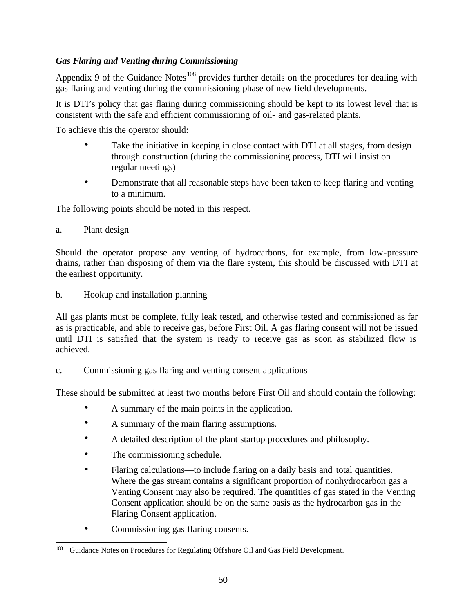## *Gas Flaring and Venting during Commissioning*

Appendix 9 of the Guidance Notes<sup>108</sup> provides further details on the procedures for dealing with gas flaring and venting during the commissioning phase of new field developments.

It is DTI's policy that gas flaring during commissioning should be kept to its lowest level that is consistent with the safe and efficient commissioning of oil- and gas-related plants.

To achieve this the operator should:

- Take the initiative in keeping in close contact with DTI at all stages, from design through construction (during the commissioning process, DTI will insist on regular meetings)
- Demonstrate that all reasonable steps have been taken to keep flaring and venting to a minimum.

The following points should be noted in this respect.

a. Plant design

Should the operator propose any venting of hydrocarbons, for example, from low-pressure drains, rather than disposing of them via the flare system, this should be discussed with DTI at the earliest opportunity.

b. Hookup and installation planning

All gas plants must be complete, fully leak tested, and otherwise tested and commissioned as far as is practicable, and able to receive gas, before First Oil. A gas flaring consent will not be issued until DTI is satisfied that the system is ready to receive gas as soon as stabilized flow is achieved.

c. Commissioning gas flaring and venting consent applications

These should be submitted at least two months before First Oil and should contain the following:

- A summary of the main points in the application.
- A summary of the main flaring assumptions.
- A detailed description of the plant startup procedures and philosophy.
- The commissioning schedule.
- Flaring calculations—to include flaring on a daily basis and total quantities. Where the gas stream contains a significant proportion of nonhydrocarbon gas a Venting Consent may also be required. The quantities of gas stated in the Venting Consent application should be on the same basis as the hydrocarbon gas in the Flaring Consent application.
- Commissioning gas flaring consents.

 $\overline{\phantom{a}}$ <sup>108</sup> Guidance Notes on Procedures for Regulating Offshore Oil and Gas Field Development.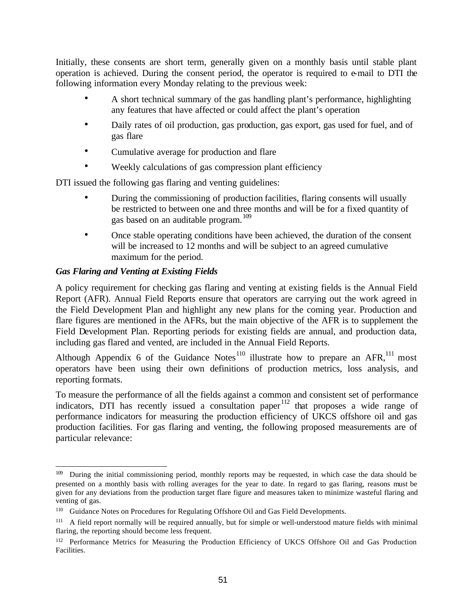Initially, these consents are short term, generally given on a monthly basis until stable plant operation is achieved. During the consent period, the operator is required to e-mail to DTI the following information every Monday relating to the previous week:

- A short technical summary of the gas handling plant's performance, highlighting any features that have affected or could affect the plant's operation
- Daily rates of oil production, gas production, gas export, gas used for fuel, and of gas flare
- Cumulative average for production and flare
- Weekly calculations of gas compression plant efficiency

DTI issued the following gas flaring and venting guidelines:

- During the commissioning of production facilities, flaring consents will usually be restricted to between one and three months and will be for a fixed quantity of gas based on an auditable program.<sup>109</sup>
- Once stable operating conditions have been achieved, the duration of the consent will be increased to 12 months and will be subject to an agreed cumulative maximum for the period.

### *Gas Flaring and Venting at Existing Fields*

A policy requirement for checking gas flaring and venting at existing fields is the Annual Field Report (AFR). Annual Field Reports ensure that operators are carrying out the work agreed in the Field Development Plan and highlight any new plans for the coming year. Production and flare figures are mentioned in the AFRs, but the main objective of the AFR is to supplement the Field Development Plan. Reporting periods for existing fields are annual, and production data, including gas flared and vented, are included in the Annual Field Reports.

Although Appendix 6 of the Guidance Notes<sup>110</sup> illustrate how to prepare an AFR,<sup>111</sup> most operators have been using their own definitions of production metrics, loss analysis, and reporting formats.

To measure the performance of all the fields against a common and consistent set of performance indicators, DTI has recently issued a consultation paper<sup>112</sup> that proposes a wide range of performance indicators for measuring the production efficiency of UKCS offshore oil and gas production facilities. For gas flaring and venting, the following proposed measurements are of particular relevance:

 $\overline{a}$ <sup>109</sup> During the initial commissioning period, monthly reports may be requested, in which case the data should be presented on a monthly basis with rolling averages for the year to date. In regard to gas flaring, reasons must be given for any deviations from the production target flare figure and measures taken to minimize wasteful flaring and venting of gas.

<sup>110</sup> Guidance Notes on Procedures for Regulating Offshore Oil and Gas Field Developments.

<sup>&</sup>lt;sup>111</sup> A field report normally will be required annually, but for simple or well-understood mature fields with minimal flaring, the reporting should become less frequent.

<sup>&</sup>lt;sup>112</sup> Performance Metrics for Measuring the Production Efficiency of UKCS Offshore Oil and Gas Production Facilities.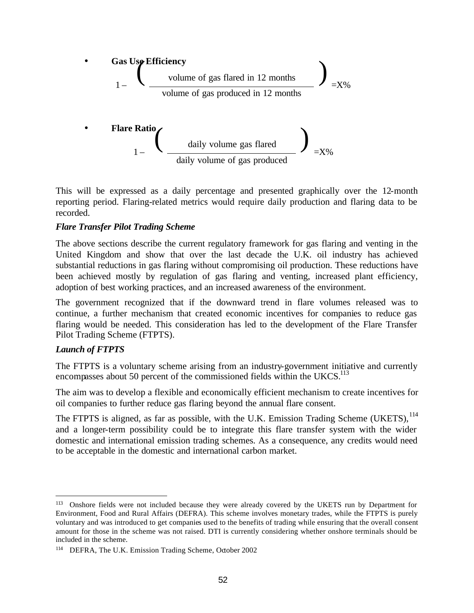

This will be expressed as a daily percentage and presented graphically over the 12-month reporting period. Flaring-related metrics would require daily production and flaring data to be recorded.

#### *Flare Transfer Pilot Trading Scheme*

The above sections describe the current regulatory framework for gas flaring and venting in the United Kingdom and show that over the last decade the U.K. oil industry has achieved substantial reductions in gas flaring without compromising oil production. These reductions have been achieved mostly by regulation of gas flaring and venting, increased plant efficiency, adoption of best working practices, and an increased awareness of the environment.

The government recognized that if the downward trend in flare volumes released was to continue, a further mechanism that created economic incentives for companies to reduce gas flaring would be needed. This consideration has led to the development of the Flare Transfer Pilot Trading Scheme (FTPTS).

### *Launch of FTPTS*

 $\overline{a}$ 

The FTPTS is a voluntary scheme arising from an industry-government initiative and currently encompasses about 50 percent of the commissioned fields within the UKCS.<sup>113</sup>

The aim was to develop a flexible and economically efficient mechanism to create incentives for oil companies to further reduce gas flaring beyond the annual flare consent.

The FTPTS is aligned, as far as possible, with the U.K. Emission Trading Scheme (UKETS), <sup>114</sup> and a longer-term possibility could be to integrate this flare transfer system with the wider domestic and international emission trading schemes. As a consequence, any credits would need to be acceptable in the domestic and international carbon market.

<sup>&</sup>lt;sup>113</sup> Onshore fields were not included because they were already covered by the UKETS run by Department for Environment, Food and Rural Affairs (DEFRA). This scheme involves monetary trades, while the FTPTS is purely voluntary and was introduced to get companies used to the benefits of trading while ensuring that the overall consent amount for those in the scheme was not raised. DTI is currently considering whether onshore terminals should be included in the scheme.

<sup>&</sup>lt;sup>114</sup> DEFRA, The U.K. Emission Trading Scheme, October 2002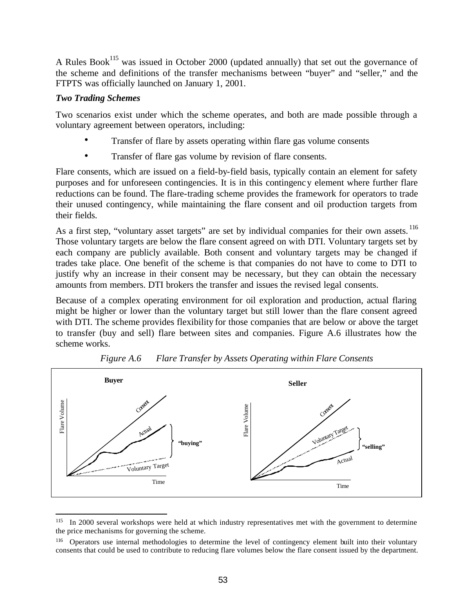A Rules Book<sup>115</sup> was issued in October 2000 (updated annually) that set out the governance of the scheme and definitions of the transfer mechanisms between "buyer" and "seller," and the FTPTS was officially launched on January 1, 2001.

#### *Two Trading Schemes*

Two scenarios exist under which the scheme operates, and both are made possible through a voluntary agreement between operators, including:

- Transfer of flare by assets operating within flare gas volume consents
- Transfer of flare gas volume by revision of flare consents.

Flare consents, which are issued on a field-by-field basis, typically contain an element for safety purposes and for unforeseen contingencies. It is in this contingency element where further flare reductions can be found. The flare-trading scheme provides the framework for operators to trade their unused contingency, while maintaining the flare consent and oil production targets from their fields.

As a first step, "voluntary asset targets" are set by individual companies for their own assets. <sup>116</sup> Those voluntary targets are below the flare consent agreed on with DTI. Voluntary targets set by each company are publicly available. Both consent and voluntary targets may be changed if trades take place. One benefit of the scheme is that companies do not have to come to DTI to justify why an increase in their consent may be necessary, but they can obtain the necessary amounts from members. DTI brokers the transfer and issues the revised legal consents.

Because of a complex operating environment for oil exploration and production, actual flaring might be higher or lower than the voluntary target but still lower than the flare consent agreed with DTI. The scheme provides flexibility for those companies that are below or above the target to transfer (buy and sell) flare between sites and companies. Figure A.6 illustrates how the scheme works.





 $\overline{a}$ <sup>115</sup> In 2000 several workshops were held at which industry representatives met with the government to determine the price mechanisms for governing the scheme.

<sup>116</sup> Operators use internal methodologies to determine the level of contingency element built into their voluntary consents that could be used to contribute to reducing flare volumes below the flare consent issued by the department.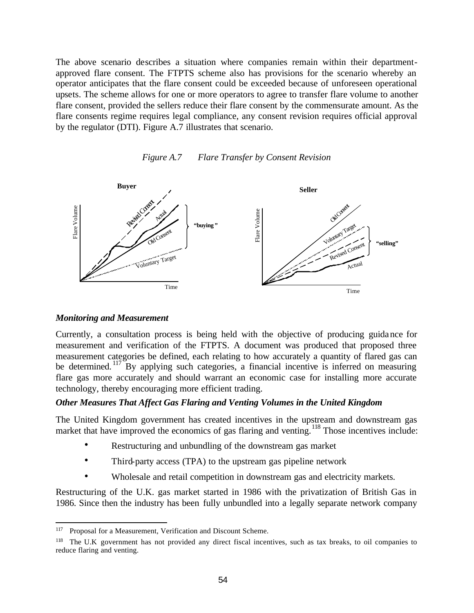The above scenario describes a situation where companies remain within their departmentapproved flare consent. The FTPTS scheme also has provisions for the scenario whereby an operator anticipates that the flare consent could be exceeded because of unforeseen operational upsets. The scheme allows for one or more operators to agree to transfer flare volume to another flare consent, provided the sellers reduce their flare consent by the commensurate amount. As the flare consents regime requires legal compliance, any consent revision requires official approval by the regulator (DTI). Figure A.7 illustrates that scenario.





#### *Monitoring and Measurement*

Currently, a consultation process is being held with the objective of producing guidance for measurement and verification of the FTPTS. A document was produced that proposed three measurement categories be defined, each relating to how accurately a quantity of flared gas can be determined. <sup>117</sup> By applying such categories, a financial incentive is inferred on measuring flare gas more accurately and should warrant an economic case for installing more accurate technology, thereby encouraging more efficient trading.

#### *Other Measures That Affect Gas Flaring and Venting Volumes in the United Kingdom*

The United Kingdom government has created incentives in the upstream and downstream gas market that have improved the economics of gas flaring and venting.<sup>118</sup> Those incentives include:

- Restructuring and unbundling of the downstream gas market
- Third-party access (TPA) to the upstream gas pipeline network
- Wholesale and retail competition in downstream gas and electricity markets.

Restructuring of the U.K. gas market started in 1986 with the privatization of British Gas in 1986. Since then the industry has been fully unbundled into a legally separate network company

<sup>117</sup> Proposal for a Measurement, Verification and Discount Scheme.

The U.K government has not provided any direct fiscal incentives, such as tax breaks, to oil companies to reduce flaring and venting.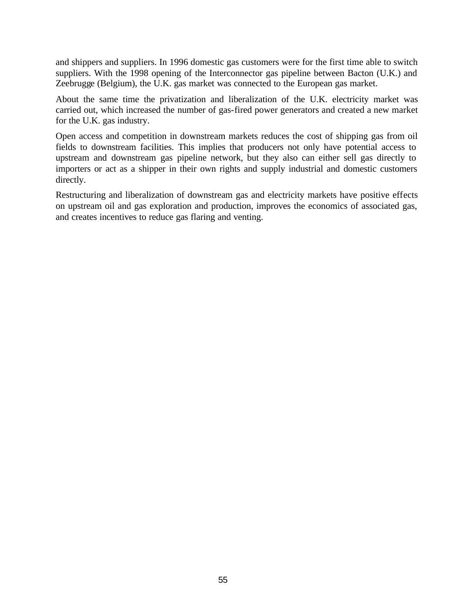and shippers and suppliers. In 1996 domestic gas customers were for the first time able to switch suppliers. With the 1998 opening of the Interconnector gas pipeline between Bacton (U.K.) and Zeebrugge (Belgium), the U.K. gas market was connected to the European gas market.

About the same time the privatization and liberalization of the U.K. electricity market was carried out, which increased the number of gas-fired power generators and created a new market for the U.K. gas industry.

Open access and competition in downstream markets reduces the cost of shipping gas from oil fields to downstream facilities. This implies that producers not only have potential access to upstream and downstream gas pipeline network, but they also can either sell gas directly to importers or act as a shipper in their own rights and supply industrial and domestic customers directly.

Restructuring and liberalization of downstream gas and electricity markets have positive effects on upstream oil and gas exploration and production, improves the economics of associated gas, and creates incentives to reduce gas flaring and venting.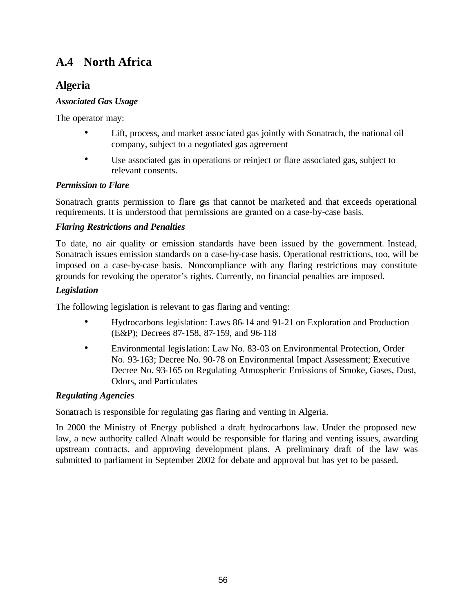# **A.4 North Africa**

# **Algeria**

## *Associated Gas Usage*

The operator may:

- Lift, process, and market associated gas jointly with Sonatrach, the national oil company, subject to a negotiated gas agreement
- Use associated gas in operations or reinject or flare associated gas, subject to relevant consents.

## *Permission to Flare*

Sonatrach grants permission to flare gas that cannot be marketed and that exceeds operational requirements. It is understood that permissions are granted on a case-by-case basis.

## *Flaring Restrictions and Penalties*

To date, no air quality or emission standards have been issued by the government. Instead, Sonatrach issues emission standards on a case-by-case basis. Operational restrictions, too, will be imposed on a case-by-case basis. Noncompliance with any flaring restrictions may constitute grounds for revoking the operator's rights. Currently, no financial penalties are imposed.

## *Legislation*

The following legislation is relevant to gas flaring and venting:

- Hydrocarbons legislation: Laws 86-14 and 91-21 on Exploration and Production (E&P); Decrees 87-158, 87-159, and 96-118
- Environmental legislation: Law No. 83-03 on Environmental Protection, Order No. 93-163; Decree No. 90-78 on Environmental Impact Assessment; Executive Decree No. 93-165 on Regulating Atmospheric Emissions of Smoke, Gases, Dust, Odors, and Particulates

## *Regulating Agencies*

Sonatrach is responsible for regulating gas flaring and venting in Algeria.

In 2000 the Ministry of Energy published a draft hydrocarbons law. Under the proposed new law, a new authority called Alnaft would be responsible for flaring and venting issues, awarding upstream contracts, and approving development plans. A preliminary draft of the law was submitted to parliament in September 2002 for debate and approval but has yet to be passed.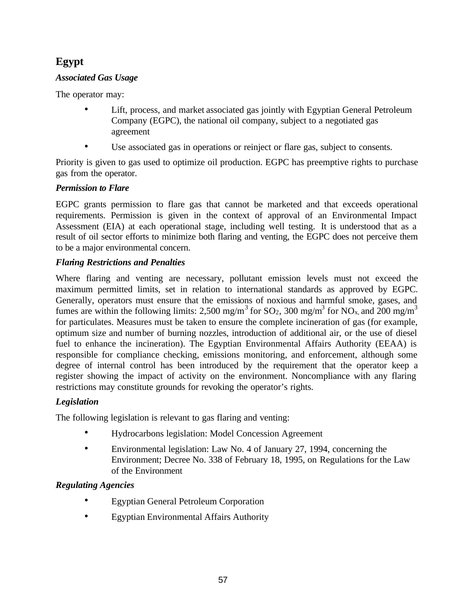# **Egypt**

## *Associated Gas Usage*

The operator may:

- Lift, process, and market associated gas jointly with Egyptian General Petroleum Company (EGPC), the national oil company, subject to a negotiated gas agreement
- Use associated gas in operations or reinject or flare gas, subject to consents.

Priority is given to gas used to optimize oil production. EGPC has preemptive rights to purchase gas from the operator.

## *Permission to Flare*

EGPC grants permission to flare gas that cannot be marketed and that exceeds operational requirements. Permission is given in the context of approval of an Environmental Impact Assessment (EIA) at each operational stage, including well testing. It is understood that as a result of oil sector efforts to minimize both flaring and venting, the EGPC does not perceive them to be a major environmental concern.

## *Flaring Restrictions and Penalties*

Where flaring and venting are necessary, pollutant emission levels must not exceed the maximum permitted limits, set in relation to international standards as approved by EGPC. Generally, operators must ensure that the emissions of noxious and harmful smoke, gases, and fumes are within the following limits: 2,500 mg/m<sup>3</sup> for SO<sub>2</sub>, 300 mg/m<sup>3</sup> for NO<sub>x</sub>, and 200 mg/m<sup>3</sup> for particulates. Measures must be taken to ensure the complete incineration of gas (for example, optimum size and number of burning nozzles, introduction of additional air, or the use of diesel fuel to enhance the incineration). The Egyptian Environmental Affairs Authority (EEAA) is responsible for compliance checking, emissions monitoring, and enforcement, although some degree of internal control has been introduced by the requirement that the operator keep a register showing the impact of activity on the environment. Noncompliance with any flaring restrictions may constitute grounds for revoking the operator's rights.

## *Legislation*

The following legislation is relevant to gas flaring and venting:

- Hydrocarbons legislation: Model Concession Agreement
- Environmental legislation: Law No. 4 of January 27, 1994, concerning the Environment; Decree No. 338 of February 18, 1995, on Regulations for the Law of the Environment

## *Regulating Agencies*

- Egyptian General Petroleum Corporation
- Egyptian Environmental Affairs Authority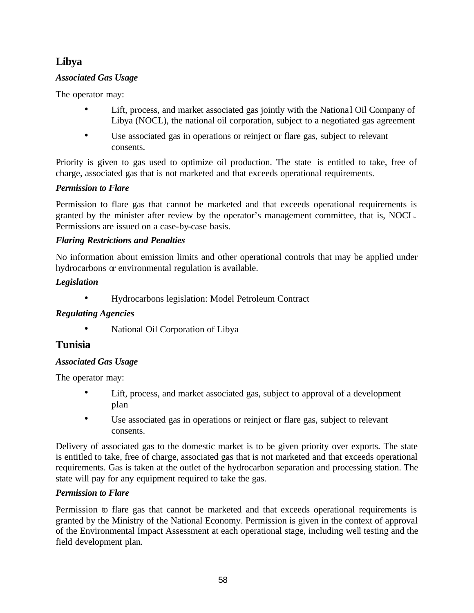# **Libya**

## *Associated Gas Usage*

The operator may:

- Lift, process, and market associated gas jointly with the National Oil Company of Libya (NOCL), the national oil corporation, subject to a negotiated gas agreement
- Use associated gas in operations or reinject or flare gas, subject to relevant consents.

Priority is given to gas used to optimize oil production. The state is entitled to take, free of charge, associated gas that is not marketed and that exceeds operational requirements.

## *Permission to Flare*

Permission to flare gas that cannot be marketed and that exceeds operational requirements is granted by the minister after review by the operator's management committee, that is, NOCL. Permissions are issued on a case-by-case basis.

## *Flaring Restrictions and Penalties*

No information about emission limits and other operational controls that may be applied under hydrocarbons or environmental regulation is available.

## *Legislation*

• Hydrocarbons legislation: Model Petroleum Contract

## *Regulating Agencies*

• National Oil Corporation of Libya

## **Tunisia**

### *Associated Gas Usage*

The operator may:

- Lift, process, and market associated gas, subject to approval of a development plan
- Use associated gas in operations or reinject or flare gas, subject to relevant consents.

Delivery of associated gas to the domestic market is to be given priority over exports. The state is entitled to take, free of charge, associated gas that is not marketed and that exceeds operational requirements. Gas is taken at the outlet of the hydrocarbon separation and processing station. The state will pay for any equipment required to take the gas.

### *Permission to Flare*

Permission to flare gas that cannot be marketed and that exceeds operational requirements is granted by the Ministry of the National Economy. Permission is given in the context of approval of the Environmental Impact Assessment at each operational stage, including well testing and the field development plan.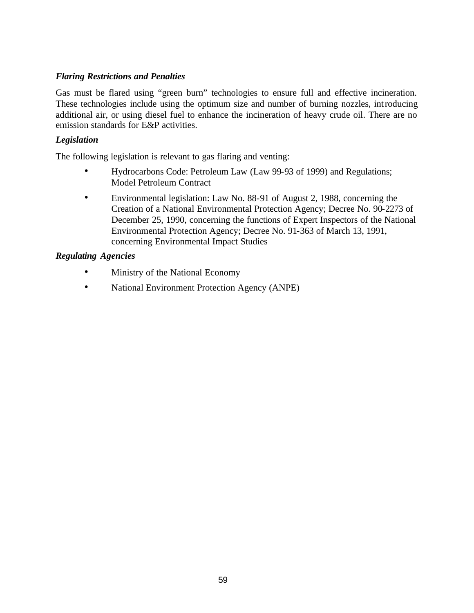#### *Flaring Restrictions and Penalties*

Gas must be flared using "green burn" technologies to ensure full and effective incineration. These technologies include using the optimum size and number of burning nozzles, introducing additional air, or using diesel fuel to enhance the incineration of heavy crude oil. There are no emission standards for E&P activities.

#### *Legislation*

The following legislation is relevant to gas flaring and venting:

- Hydrocarbons Code: Petroleum Law (Law 99-93 of 1999) and Regulations; Model Petroleum Contract
- Environmental legislation: Law No. 88-91 of August 2, 1988, concerning the Creation of a National Environmental Protection Agency; Decree No. 90-2273 of December 25, 1990, concerning the functions of Expert Inspectors of the National Environmental Protection Agency; Decree No. 91-363 of March 13, 1991, concerning Environmental Impact Studies

#### *Regulating Agencies*

- Ministry of the National Economy
- National Environment Protection Agency (ANPE)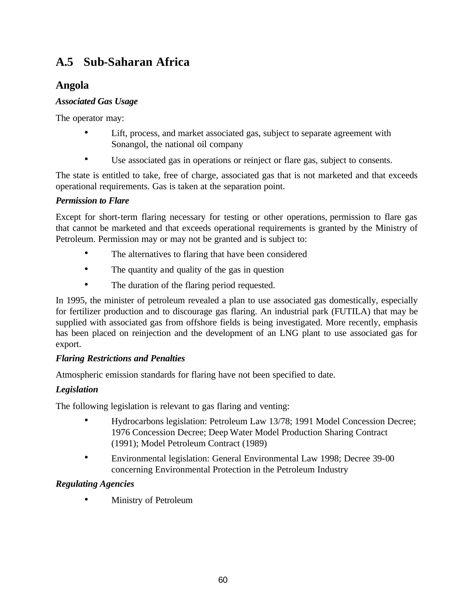# **A.5 Sub-Saharan Africa**

## **Angola**

## *Associated Gas Usage*

The operator may:

- Lift, process, and market associated gas, subject to separate agreement with Sonangol, the national oil company
- Use associated gas in operations or reinject or flare gas, subject to consents.

The state is entitled to take, free of charge, associated gas that is not marketed and that exceeds operational requirements. Gas is taken at the separation point.

## *Permission to Flare*

Except for short-term flaring necessary for testing or other operations, permission to flare gas that cannot be marketed and that exceeds operational requirements is granted by the Ministry of Petroleum. Permission may or may not be granted and is subject to:

- The alternatives to flaring that have been considered
- The quantity and quality of the gas in question
- The duration of the flaring period requested.

In 1995, the minister of petroleum revealed a plan to use associated gas domestically, especially for fertilizer production and to discourage gas flaring. An industrial park (FUTILA) that may be supplied with associated gas from offshore fields is being investigated. More recently, emphasis has been placed on reinjection and the development of an LNG plant to use associated gas for export.

## *Flaring Restrictions and Penalties*

Atmospheric emission standards for flaring have not been specified to date.

## *Legislation*

The following legislation is relevant to gas flaring and venting:

- Hydrocarbons legislation: Petroleum Law 13/78; 1991 Model Concession Decree; 1976 Concession Decree; Deep Water Model Production Sharing Contract (1991); Model Petroleum Contract (1989)
- Environmental legislation: General Environmental Law 1998; Decree 39-00 concerning Environmental Protection in the Petroleum Industry

## *Regulating Agencies*

• Ministry of Petroleum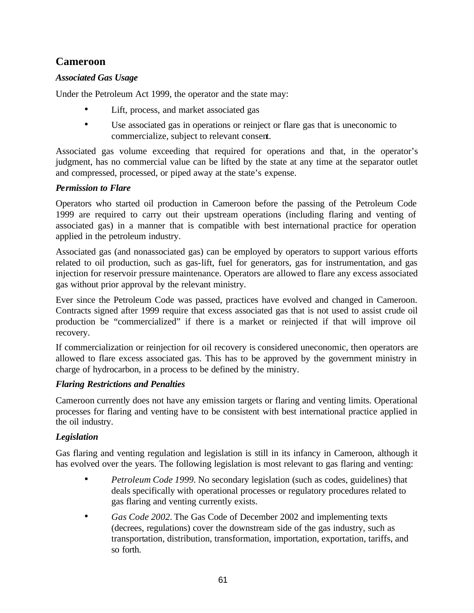## **Cameroon**

## *Associated Gas Usage*

Under the Petroleum Act 1999, the operator and the state may:

- Lift, process, and market associated gas
- Use associated gas in operations or reinject or flare gas that is uneconomic to commercialize, subject to relevant consent.

Associated gas volume exceeding that required for operations and that, in the operator's judgment, has no commercial value can be lifted by the state at any time at the separator outlet and compressed, processed, or piped away at the state's expense.

### *Permission to Flare*

Operators who started oil production in Cameroon before the passing of the Petroleum Code 1999 are required to carry out their upstream operations (including flaring and venting of associated gas) in a manner that is compatible with best international practice for operation applied in the petroleum industry.

Associated gas (and nonassociated gas) can be employed by operators to support various efforts related to oil production, such as gas-lift, fuel for generators, gas for instrumentation, and gas injection for reservoir pressure maintenance. Operators are allowed to flare any excess associated gas without prior approval by the relevant ministry.

Ever since the Petroleum Code was passed, practices have evolved and changed in Cameroon. Contracts signed after 1999 require that excess associated gas that is not used to assist crude oil production be "commercialized" if there is a market or reinjected if that will improve oil recovery.

If commercialization or reinjection for oil recovery is considered uneconomic, then operators are allowed to flare excess associated gas. This has to be approved by the government ministry in charge of hydrocarbon, in a process to be defined by the ministry.

### *Flaring Restrictions and Penalties*

Cameroon currently does not have any emission targets or flaring and venting limits. Operational processes for flaring and venting have to be consistent with best international practice applied in the oil industry.

### *Legislation*

Gas flaring and venting regulation and legislation is still in its infancy in Cameroon, although it has evolved over the years. The following legislation is most relevant to gas flaring and venting:

- *Petroleum Code 1999*. No secondary legislation (such as codes, guidelines) that deals specifically with operational processes or regulatory procedures related to gas flaring and venting currently exists.
- *Gas Code 2002*. The Gas Code of December 2002 and implementing texts (decrees, regulations) cover the downstream side of the gas industry, such as transportation, distribution, transformation, importation, exportation, tariffs, and so forth.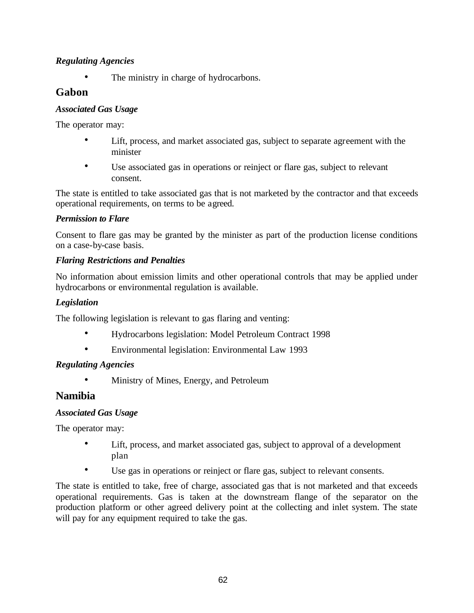## *Regulating Agencies*

The ministry in charge of hydrocarbons.

## **Gabon**

## *Associated Gas Usage*

The operator may:

- Lift, process, and market associated gas, subject to separate agreement with the minister
- Use associated gas in operations or reinject or flare gas, subject to relevant consent.

The state is entitled to take associated gas that is not marketed by the contractor and that exceeds operational requirements, on terms to be agreed.

## *Permission to Flare*

Consent to flare gas may be granted by the minister as part of the production license conditions on a case-by-case basis.

## *Flaring Restrictions and Penalties*

No information about emission limits and other operational controls that may be applied under hydrocarbons or environmental regulation is available.

## *Legislation*

The following legislation is relevant to gas flaring and venting:

- Hydrocarbons legislation: Model Petroleum Contract 1998
- Environmental legislation: Environmental Law 1993

## *Regulating Agencies*

• Ministry of Mines, Energy, and Petroleum

## **Namibia**

### *Associated Gas Usage*

The operator may:

- Lift, process, and market associated gas, subject to approval of a development plan
- Use gas in operations or reinject or flare gas, subject to relevant consents.

The state is entitled to take, free of charge, associated gas that is not marketed and that exceeds operational requirements. Gas is taken at the downstream flange of the separator on the production platform or other agreed delivery point at the collecting and inlet system. The state will pay for any equipment required to take the gas.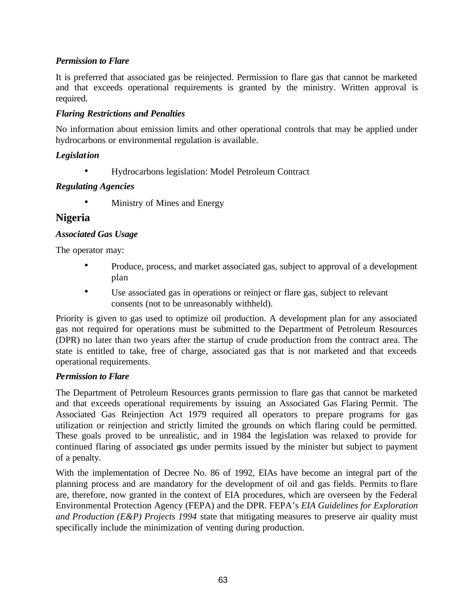## *Permission to Flare*

It is preferred that associated gas be reinjected. Permission to flare gas that cannot be marketed and that exceeds operational requirements is granted by the ministry. Written approval is required.

## *Flaring Restrictions and Penalties*

No information about emission limits and other operational controls that may be applied under hydrocarbons or environmental regulation is available.

### *Legislation*

• Hydrocarbons legislation: Model Petroleum Contract

### *Regulating Agencies*

• Ministry of Mines and Energy

## **Nigeria**

### *Associated Gas Usage*

The operator may:

- Produce, process, and market associated gas, subject to approval of a development plan
- Use associated gas in operations or reinject or flare gas, subject to relevant consents (not to be unreasonably withheld).

Priority is given to gas used to optimize oil production. A development plan for any associated gas not required for operations must be submitted to the Department of Petroleum Resources (DPR) no later than two years after the startup of crude production from the contract area. The state is entitled to take, free of charge, associated gas that is not marketed and that exceeds operational requirements.

### *Permission to Flare*

The Department of Petroleum Resources grants permission to flare gas that cannot be marketed and that exceeds operational requirements by issuing an Associated Gas Flaring Permit. The Associated Gas Reinjection Act 1979 required all operators to prepare programs for gas utilization or reinjection and strictly limited the grounds on which flaring could be permitted. These goals proved to be unrealistic, and in 1984 the legislation was relaxed to provide for continued flaring of associated gas under permits issued by the minister but subject to payment of a penalty.

With the implementation of Decree No. 86 of 1992, EIAs have become an integral part of the planning process and are mandatory for the development of oil and gas fields. Permits to flare are, therefore, now granted in the context of EIA procedures, which are overseen by the Federal Environmental Protection Agency (FEPA) and the DPR. FEPA's *EIA Guidelines for Exploration and Production (E&P) Projects 1994* state that mitigating measures to preserve air quality must specifically include the minimization of venting during production.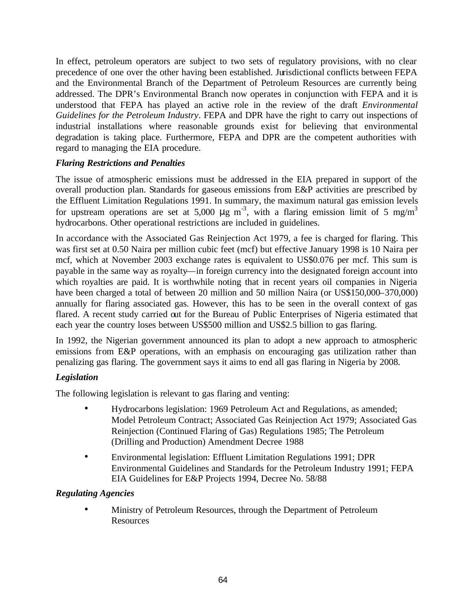In effect, petroleum operators are subject to two sets of regulatory provisions, with no clear precedence of one over the other having been established. Jurisdictional conflicts between FEPA and the Environmental Branch of the Department of Petroleum Resources are currently being addressed. The DPR's Environmental Branch now operates in conjunction with FEPA and it is understood that FEPA has played an active role in the review of the draft *Environmental Guidelines for the Petroleum Industry*. FEPA and DPR have the right to carry out inspections of industrial installations where reasonable grounds exist for believing that environmental degradation is taking place. Furthermore, FEPA and DPR are the competent authorities with regard to managing the EIA procedure.

#### *Flaring Restrictions and Penalties*

The issue of atmospheric emissions must be addressed in the EIA prepared in support of the overall production plan. Standards for gaseous emissions from E&P activities are prescribed by the Effluent Limitation Regulations 1991. In summary, the maximum natural gas emission levels for upstream operations are set at 5,000  $\mu$ g m<sup>-3</sup>, with a flaring emission limit of 5 mg/m<sup>3</sup> hydrocarbons. Other operational restrictions are included in guidelines.

In accordance with the Associated Gas Reinjection Act 1979, a fee is charged for flaring. This was first set at 0.50 Naira per million cubic feet (mcf) but effective January 1998 is 10 Naira per mcf, which at November 2003 exchange rates is equivalent to US\$0.076 per mcf. This sum is payable in the same way as royalty—in foreign currency into the designated foreign account into which royalties are paid. It is worthwhile noting that in recent years oil companies in Nigeria have been charged a total of between 20 million and 50 million Naira (or US\$150,000–370,000) annually for flaring associated gas. However, this has to be seen in the overall context of gas flared. A recent study carried out for the Bureau of Public Enterprises of Nigeria estimated that each year the country loses between US\$500 million and US\$2.5 billion to gas flaring.

In 1992, the Nigerian government announced its plan to adopt a new approach to atmospheric emissions from E&P operations, with an emphasis on encouraging gas utilization rather than penalizing gas flaring. The government says it aims to end all gas flaring in Nigeria by 2008.

### *Legislation*

The following legislation is relevant to gas flaring and venting:

- Hydrocarbons legislation: 1969 Petroleum Act and Regulations, as amended; Model Petroleum Contract; Associated Gas Reinjection Act 1979; Associated Gas Reinjection (Continued Flaring of Gas) Regulations 1985; The Petroleum (Drilling and Production) Amendment Decree 1988
- Environmental legislation: Effluent Limitation Regulations 1991; DPR Environmental Guidelines and Standards for the Petroleum Industry 1991; FEPA EIA Guidelines for E&P Projects 1994, Decree No. 58/88

### *Regulating Agencies*

• Ministry of Petroleum Resources, through the Department of Petroleum **Resources**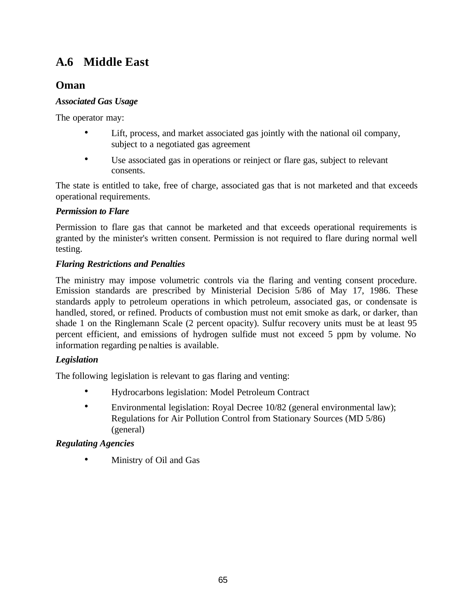# **A.6 Middle East**

## **Oman**

## *Associated Gas Usage*

The operator may:

- Lift, process, and market associated gas jointly with the national oil company, subject to a negotiated gas agreement
- Use associated gas in operations or reinject or flare gas, subject to relevant consents.

The state is entitled to take, free of charge, associated gas that is not marketed and that exceeds operational requirements.

## *Permission to Flare*

Permission to flare gas that cannot be marketed and that exceeds operational requirements is granted by the minister's written consent. Permission is not required to flare during normal well testing.

## *Flaring Restrictions and Penalties*

The ministry may impose volumetric controls via the flaring and venting consent procedure. Emission standards are prescribed by Ministerial Decision 5/86 of May 17, 1986. These standards apply to petroleum operations in which petroleum, associated gas, or condensate is handled, stored, or refined. Products of combustion must not emit smoke as dark, or darker, than shade 1 on the Ringlemann Scale (2 percent opacity). Sulfur recovery units must be at least 95 percent efficient, and emissions of hydrogen sulfide must not exceed 5 ppm by volume. No information regarding penalties is available.

## *Legislation*

The following legislation is relevant to gas flaring and venting:

- Hydrocarbons legislation: Model Petroleum Contract
- Environmental legislation: Royal Decree 10/82 (general environmental law); Regulations for Air Pollution Control from Stationary Sources (MD 5/86) (general)

## *Regulating Agencies*

• Ministry of Oil and Gas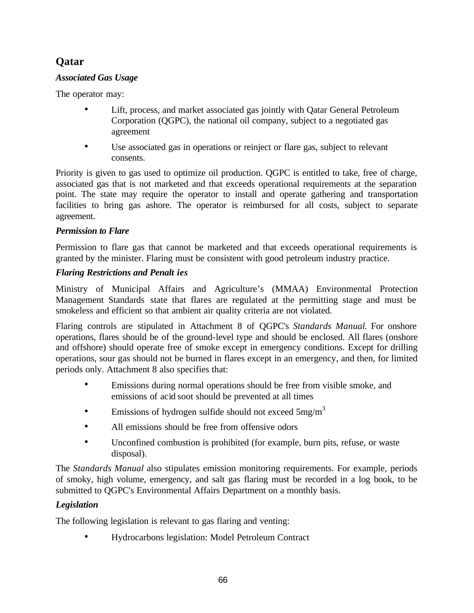# **Qatar**

## *Associated Gas Usage*

The operator may:

- Lift, process, and market associated gas jointly with Qatar General Petroleum Corporation (QGPC), the national oil company, subject to a negotiated gas agreement
- Use associated gas in operations or reinject or flare gas, subject to relevant consents.

Priority is given to gas used to optimize oil production. QGPC is entitled to take, free of charge, associated gas that is not marketed and that exceeds operational requirements at the separation point. The state may require the operator to install and operate gathering and transportation facilities to bring gas ashore. The operator is reimbursed for all costs, subject to separate agreement.

## *Permission to Flare*

Permission to flare gas that cannot be marketed and that exceeds operational requirements is granted by the minister. Flaring must be consistent with good petroleum industry practice.

## *Flaring Restrictions and Penalt ies*

Ministry of Municipal Affairs and Agriculture's (MMAA) Environmental Protection Management Standards state that flares are regulated at the permitting stage and must be smokeless and efficient so that ambient air quality criteria are not violated.

Flaring controls are stipulated in Attachment 8 of QGPC's *Standards Manual*. For onshore operations, flares should be of the ground-level type and should be enclosed. All flares (onshore and offshore) should operate free of smoke except in emergency conditions. Except for drilling operations, sour gas should not be burned in flares except in an emergency, and then, for limited periods only. Attachment 8 also specifies that:

- Emissions during normal operations should be free from visible smoke, and emissions of acid soot should be prevented at all times
- Emissions of hydrogen sulfide should not exceed  $5mg/m<sup>3</sup>$
- All emissions should be free from offensive odors
- Unconfined combustion is prohibited (for example, burn pits, refuse, or waste disposal).

The *Standards Manual* also stipulates emission monitoring requirements. For example, periods of smoky, high volume, emergency, and salt gas flaring must be recorded in a log book, to be submitted to QGPC's Environmental Affairs Department on a monthly basis.

## *Legislation*

The following legislation is relevant to gas flaring and venting:

• Hydrocarbons legislation: Model Petroleum Contract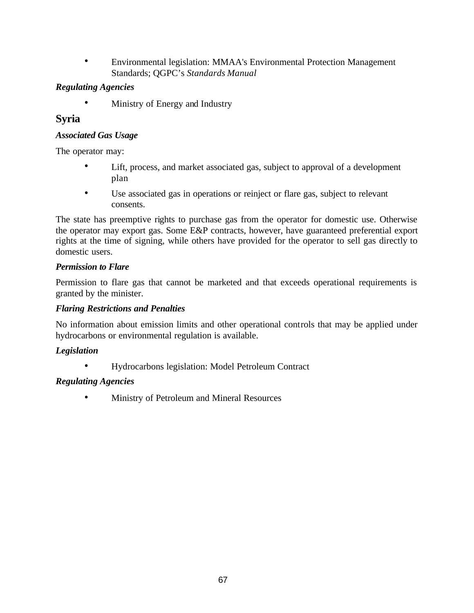• Environmental legislation: MMAA's Environmental Protection Management Standards; QGPC's *Standards Manual*

## *Regulating Agencies*

• Ministry of Energy and Industry

## **Syria**

## *Associated Gas Usage*

The operator may:

- Lift, process, and market associated gas, subject to approval of a development plan
- Use associated gas in operations or reinject or flare gas, subject to relevant consents.

The state has preemptive rights to purchase gas from the operator for domestic use. Otherwise the operator may export gas. Some E&P contracts, however, have guaranteed preferential export rights at the time of signing, while others have provided for the operator to sell gas directly to domestic users.

## *Permission to Flare*

Permission to flare gas that cannot be marketed and that exceeds operational requirements is granted by the minister.

## *Flaring Restrictions and Penalties*

No information about emission limits and other operational controls that may be applied under hydrocarbons or environmental regulation is available.

## *Legislation*

• Hydrocarbons legislation: Model Petroleum Contract

## *Regulating Agencies*

• Ministry of Petroleum and Mineral Resources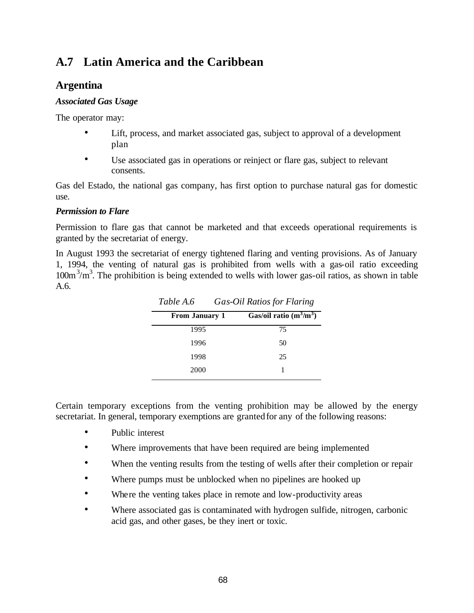# **A.7 Latin America and the Caribbean**

## **Argentina**

## *Associated Gas Usage*

The operator may:

- Lift, process, and market associated gas, subject to approval of a development plan
- Use associated gas in operations or reinject or flare gas, subject to relevant consents.

Gas del Estado, the national gas company, has first option to purchase natural gas for domestic use.

## *Permission to Flare*

Permission to flare gas that cannot be marketed and that exceeds operational requirements is granted by the secretariat of energy.

In August 1993 the secretariat of energy tightened flaring and venting provisions. As of January 1, 1994, the venting of natural gas is prohibited from wells with a gas-oil ratio exceeding  $100m<sup>3</sup>/m<sup>3</sup>$ . The prohibition is being extended to wells with lower gas-oil ratios, as shown in table A.6.

| $\sim$ $\sim$ $\sim$ $\sim$ $\sim$ $\sim$ |                           |
|-------------------------------------------|---------------------------|
| <b>From January 1</b>                     | Gas/oil ratio $(m^3/m^3)$ |
| 1995                                      | 75                        |
| 1996                                      | 50                        |
| 1998                                      | 25                        |
| 2000                                      |                           |
|                                           |                           |

*Table A.6 Gas-Oil Ratios for Flaring*

Certain temporary exceptions from the venting prohibition may be allowed by the energy secretariat. In general, temporary exemptions are granted for any of the following reasons:

- Public interest
- Where improvements that have been required are being implemented
- When the venting results from the testing of wells after their completion or repair
- Where pumps must be unblocked when no pipelines are hooked up
- Where the venting takes place in remote and low-productivity areas
- Where associated gas is contaminated with hydrogen sulfide, nitrogen, carbonic acid gas, and other gases, be they inert or toxic.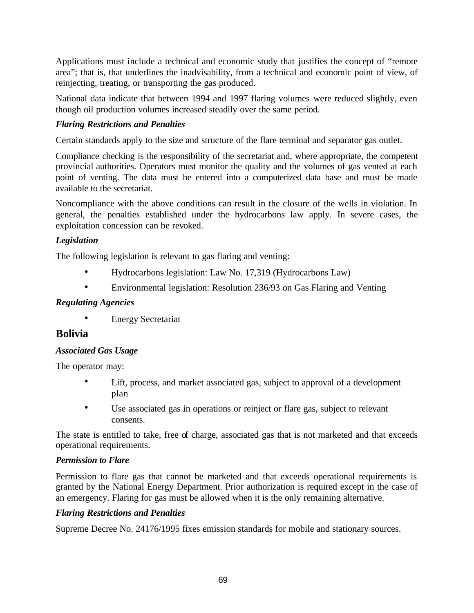Applications must include a technical and economic study that justifies the concept of "remote area"; that is, that underlines the inadvisability, from a technical and economic point of view, of reinjecting, treating, or transporting the gas produced.

National data indicate that between 1994 and 1997 flaring volumes were reduced slightly, even though oil production volumes increased steadily over the same period.

## *Flaring Restrictions and Penalties*

Certain standards apply to the size and structure of the flare terminal and separator gas outlet.

Compliance checking is the responsibility of the secretariat and, where appropriate, the competent provincial authorities. Operators must monitor the quality and the volumes of gas vented at each point of venting. The data must be entered into a computerized data base and must be made available to the secretariat.

Noncompliance with the above conditions can result in the closure of the wells in violation. In general, the penalties established under the hydrocarbons law apply. In severe cases, the exploitation concession can be revoked.

## *Legislation*

The following legislation is relevant to gas flaring and venting:

- Hydrocarbons legislation: Law No. 17,319 (Hydrocarbons Law)
- Environmental legislation: Resolution 236/93 on Gas Flaring and Venting

## *Regulating Agencies*

**Energy Secretariat** 

## **Bolivia**

## *Associated Gas Usage*

The operator may:

- Lift, process, and market associated gas, subject to approval of a development plan
- Use associated gas in operations or reinject or flare gas, subject to relevant consents.

The state is entitled to take, free of charge, associated gas that is not marketed and that exceeds operational requirements.

## *Permission to Flare*

Permission to flare gas that cannot be marketed and that exceeds operational requirements is granted by the National Energy Department. Prior authorization is required except in the case of an emergency. Flaring for gas must be allowed when it is the only remaining alternative.

## *Flaring Restrictions and Penalties*

Supreme Decree No. 24176/1995 fixes emission standards for mobile and stationary sources.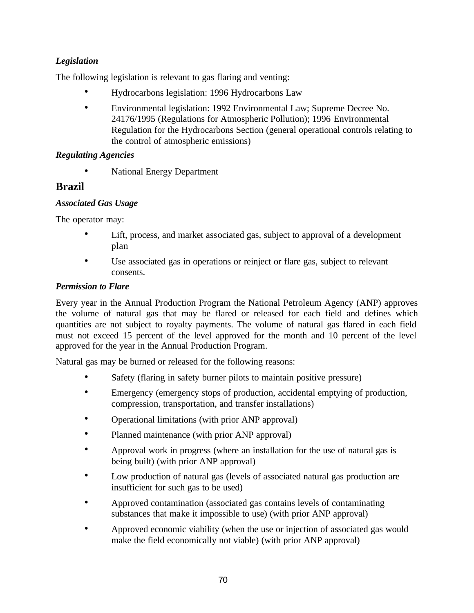## *Legislation*

The following legislation is relevant to gas flaring and venting:

- Hydrocarbons legislation: 1996 Hydrocarbons Law
- Environmental legislation: 1992 Environmental Law; Supreme Decree No. 24176/1995 (Regulations for Atmospheric Pollution); 1996 Environmental Regulation for the Hydrocarbons Section (general operational controls relating to the control of atmospheric emissions)

## *Regulating Agencies*

• National Energy Department

## **Brazil**

## *Associated Gas Usage*

The operator may:

- Lift, process, and market associated gas, subject to approval of a development plan
- Use associated gas in operations or reinject or flare gas, subject to relevant consents.

## *Permission to Flare*

Every year in the Annual Production Program the National Petroleum Agency (ANP) approves the volume of natural gas that may be flared or released for each field and defines which quantities are not subject to royalty payments. The volume of natural gas flared in each field must not exceed 15 percent of the level approved for the month and 10 percent of the level approved for the year in the Annual Production Program.

Natural gas may be burned or released for the following reasons:

- Safety (flaring in safety burner pilots to maintain positive pressure)
- Emergency (emergency stops of production, accidental emptying of production, compression, transportation, and transfer installations)
- Operational limitations (with prior ANP approval)
- Planned maintenance (with prior ANP approval)
- Approval work in progress (where an installation for the use of natural gas is being built) (with prior ANP approval)
- Low production of natural gas (levels of associated natural gas production are insufficient for such gas to be used)
- Approved contamination (associated gas contains levels of contaminating substances that make it impossible to use) (with prior ANP approval)
- Approved economic viability (when the use or injection of associated gas would make the field economically not viable) (with prior ANP approval)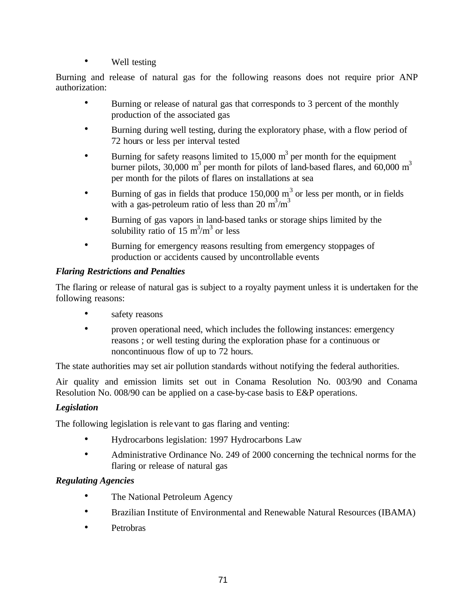• Well testing

Burning and release of natural gas for the following reasons does not require prior ANP authorization:

- Burning or release of natural gas that corresponds to 3 percent of the monthly production of the associated gas
- Burning during well testing, during the exploratory phase, with a flow period of 72 hours or less per interval tested
- Burning for safety reasons limited to 15,000  $m<sup>3</sup>$  per month for the equipment burner pilots,  $30,000 \text{ m}^3$  per month for pilots of land-based flares, and  $60,000 \text{ m}^3$ per month for the pilots of flares on installations at sea
- Burning of gas in fields that produce  $150,000 \text{ m}^3$  or less per month, or in fields with a gas-petroleum ratio of less than 20 m<sup>3</sup>/m<sup>3</sup>
- Burning of gas vapors in land-based tanks or storage ships limited by the solubility ratio of  $15 \text{ m}^3/\text{m}^3$  or less
- Burning for emergency reasons resulting from emergency stoppages of production or accidents caused by uncontrollable events

## *Flaring Restrictions and Penalties*

The flaring or release of natural gas is subject to a royalty payment unless it is undertaken for the following reasons:

- safety reasons
- proven operational need, which includes the following instances: emergency reasons ; or well testing during the exploration phase for a continuous or noncontinuous flow of up to 72 hours.

The state authorities may set air pollution standards without notifying the federal authorities.

Air quality and emission limits set out in Conama Resolution No. 003/90 and Conama Resolution No. 008/90 can be applied on a case-by-case basis to E&P operations.

## *Legislation*

The following legislation is relevant to gas flaring and venting:

- Hydrocarbons legislation: 1997 Hydrocarbons Law
- Administrative Ordinance No. 249 of 2000 concerning the technical norms for the flaring or release of natural gas

- The National Petroleum Agency
- Brazilian Institute of Environmental and Renewable Natural Resources (IBAMA)
- Petrobras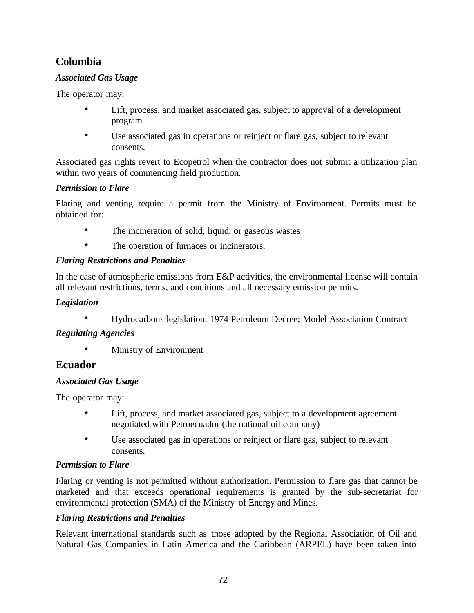## **Columbia**

## *Associated Gas Usage*

The operator may:

- Lift, process, and market associated gas, subject to approval of a development program
- Use associated gas in operations or reinject or flare gas, subject to relevant consents.

Associated gas rights revert to Ecopetrol when the contractor does not submit a utilization plan within two years of commencing field production.

## *Permission to Flare*

Flaring and venting require a permit from the Ministry of Environment. Permits must be obtained for:

- The incineration of solid, liquid, or gaseous wastes
- The operation of furnaces or incinerators.

## *Flaring Restrictions and Penalties*

In the case of atmospheric emissions from E&P activities, the environmental license will contain all relevant restrictions, terms, and conditions and all necessary emission permits.

## *Legislation*

• Hydrocarbons legislation: 1974 Petroleum Decree; Model Association Contract

## *Regulating Agencies*

• Ministry of Environment

## **Ecuador**

## *Associated Gas Usage*

The operator may:

- Lift, process, and market associated gas, subject to a development agreement negotiated with Petroecuador (the national oil company)
- Use associated gas in operations or reinject or flare gas, subject to relevant consents.

## *Permission to Flare*

Flaring or venting is not permitted without authorization. Permission to flare gas that cannot be marketed and that exceeds operational requirements is granted by the sub-secretariat for environmental protection (SMA) of the Ministry of Energy and Mines.

## *Flaring Restrictions and Penalties*

Relevant international standards such as those adopted by the Regional Association of Oil and Natural Gas Companies in Latin America and the Caribbean (ARPEL) have been taken into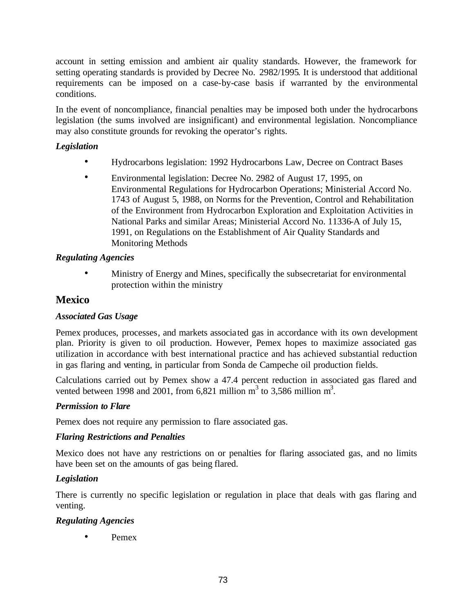account in setting emission and ambient air quality standards. However, the framework for setting operating standards is provided by Decree No. 2982/1995*.* It is understood that additional requirements can be imposed on a case-by-case basis if warranted by the environmental conditions.

In the event of noncompliance, financial penalties may be imposed both under the hydrocarbons legislation (the sums involved are insignificant) and environmental legislation. Noncompliance may also constitute grounds for revoking the operator's rights.

## *Legislation*

- Hydrocarbons legislation: 1992 Hydrocarbons Law, Decree on Contract Bases
- Environmental legislation: Decree No. 2982 of August 17, 1995, on Environmental Regulations for Hydrocarbon Operations; Ministerial Accord No. 1743 of August 5, 1988, on Norms for the Prevention, Control and Rehabilitation of the Environment from Hydrocarbon Exploration and Exploitation Activities in National Parks and similar Areas; Ministerial Accord No. 11336-A of July 15, 1991, on Regulations on the Establishment of Air Quality Standards and Monitoring Methods

#### *Regulating Agencies*

• Ministry of Energy and Mines, specifically the subsecretariat for environmental protection within the ministry

## **Mexico**

## *Associated Gas Usage*

Pemex produces, processes, and markets associa ted gas in accordance with its own development plan. Priority is given to oil production. However, Pemex hopes to maximize associated gas utilization in accordance with best international practice and has achieved substantial reduction in gas flaring and venting, in particular from Sonda de Campeche oil production fields.

Calculations carried out by Pemex show a 47.4 percent reduction in associated gas flared and vented between 1998 and 2001, from 6,821 million  $m^3$  to 3,586 million  $m^3$ .

#### *Permission to Flare*

Pemex does not require any permission to flare associated gas.

#### *Flaring Restrictions and Penalties*

Mexico does not have any restrictions on or penalties for flaring associated gas, and no limits have been set on the amounts of gas being flared.

## *Legislation*

There is currently no specific legislation or regulation in place that deals with gas flaring and venting.

## *Regulating Agencies*

• Pemex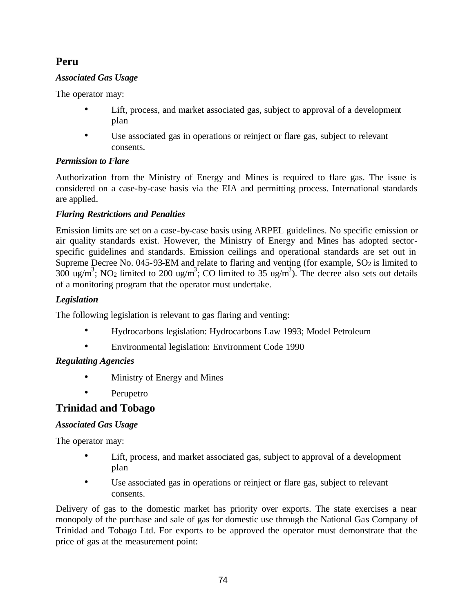# **Peru**

## *Associated Gas Usage*

The operator may:

- Lift, process, and market associated gas, subject to approval of a development plan
- Use associated gas in operations or reinject or flare gas, subject to relevant consents.

## *Permission to Flare*

Authorization from the Ministry of Energy and Mines is required to flare gas. The issue is considered on a case-by-case basis via the EIA and permitting process. International standards are applied.

## *Flaring Restrictions and Penalties*

Emission limits are set on a case-by-case basis using ARPEL guidelines. No specific emission or air quality standards exist. However, the Ministry of Energy and Mines has adopted sectorspecific guidelines and standards. Emission ceilings and operational standards are set out in Supreme Decree No. 045-93-EM and relate to flaring and venting (for example,  $SO<sub>2</sub>$  is limited to 300 ug/m<sup>3</sup>; NO<sub>2</sub> limited to 200 ug/m<sup>3</sup>; CO limited to 35 ug/m<sup>3</sup>). The decree also sets out details of a monitoring program that the operator must undertake.

## *Legislation*

The following legislation is relevant to gas flaring and venting:

- Hydrocarbons legislation: Hydrocarbons Law 1993; Model Petroleum
- Environmental legislation: Environment Code 1990

## *Regulating Agencies*

- Ministry of Energy and Mines
- Perupetro

## **Trinidad and Tobago**

## *Associated Gas Usage*

The operator may:

- Lift, process, and market associated gas, subject to approval of a development plan
- Use associated gas in operations or reinject or flare gas, subject to relevant consents.

Delivery of gas to the domestic market has priority over exports. The state exercises a near monopoly of the purchase and sale of gas for domestic use through the National Gas Company of Trinidad and Tobago Ltd. For exports to be approved the operator must demonstrate that the price of gas at the measurement point: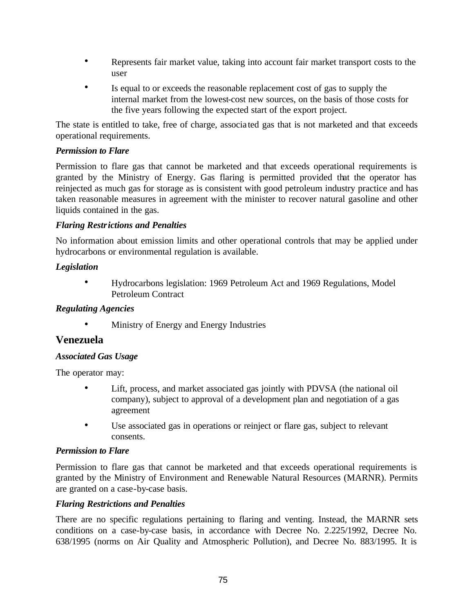- Represents fair market value, taking into account fair market transport costs to the user
- Is equal to or exceeds the reasonable replacement cost of gas to supply the internal market from the lowest-cost new sources, on the basis of those costs for the five years following the expected start of the export project.

The state is entitled to take, free of charge, associa ted gas that is not marketed and that exceeds operational requirements.

### *Permission to Flare*

Permission to flare gas that cannot be marketed and that exceeds operational requirements is granted by the Ministry of Energy. Gas flaring is permitted provided that the operator has reinjected as much gas for storage as is consistent with good petroleum industry practice and has taken reasonable measures in agreement with the minister to recover natural gasoline and other liquids contained in the gas.

#### *Flaring Restrictions and Penalties*

No information about emission limits and other operational controls that may be applied under hydrocarbons or environmental regulation is available.

#### *Legislation*

• Hydrocarbons legislation: 1969 Petroleum Act and 1969 Regulations, Model Petroleum Contract

#### *Regulating Agencies*

• Ministry of Energy and Energy Industries

## **Venezuela**

#### *Associated Gas Usage*

The operator may:

- Lift, process, and market associated gas jointly with PDVSA (the national oil company), subject to approval of a development plan and negotiation of a gas agreement
- Use associated gas in operations or reinject or flare gas, subject to relevant consents.

#### *Permission to Flare*

Permission to flare gas that cannot be marketed and that exceeds operational requirements is granted by the Ministry of Environment and Renewable Natural Resources (MARNR). Permits are granted on a case-by-case basis.

#### *Flaring Restrictions and Penalties*

There are no specific regulations pertaining to flaring and venting. Instead, the MARNR sets conditions on a case-by-case basis, in accordance with Decree No. 2.225/1992, Decree No. 638/1995 (norms on Air Quality and Atmospheric Pollution), and Decree No. 883/1995. It is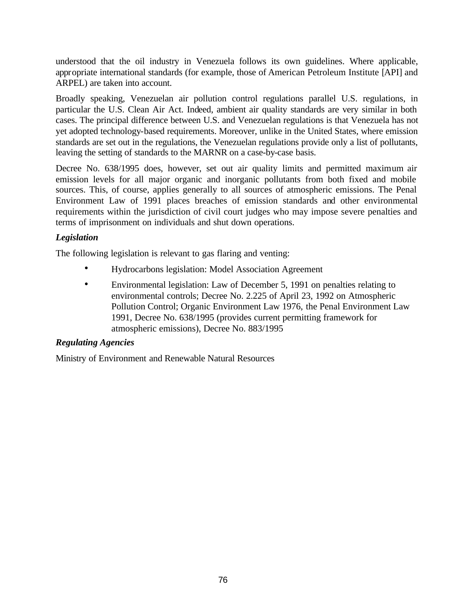understood that the oil industry in Venezuela follows its own guidelines. Where applicable, appropriate international standards (for example, those of American Petroleum Institute [API] and ARPEL) are taken into account.

Broadly speaking, Venezuelan air pollution control regulations parallel U.S. regulations, in particular the U.S. Clean Air Act. Indeed, ambient air quality standards are very similar in both cases. The principal difference between U.S. and Venezuelan regulations is that Venezuela has not yet adopted technology-based requirements. Moreover, unlike in the United States, where emission standards are set out in the regulations, the Venezuelan regulations provide only a list of pollutants, leaving the setting of standards to the MARNR on a case-by-case basis.

Decree No. 638/1995 does, however, set out air quality limits and permitted maximum air emission levels for all major organic and inorganic pollutants from both fixed and mobile sources. This, of course, applies generally to all sources of atmospheric emissions. The Penal Environment Law of 1991 places breaches of emission standards and other environmental requirements within the jurisdiction of civil court judges who may impose severe penalties and terms of imprisonment on individuals and shut down operations.

## *Legislation*

The following legislation is relevant to gas flaring and venting:

- Hydrocarbons legislation: Model Association Agreement
- Environmental legislation: Law of December 5, 1991 on penalties relating to environmental controls; Decree No. 2.225 of April 23, 1992 on Atmospheric Pollution Control; Organic Environment Law 1976, the Penal Environment Law 1991, Decree No. 638/1995 (provides current permitting framework for atmospheric emissions), Decree No. 883/1995

## *Regulating Agencies*

Ministry of Environment and Renewable Natural Resources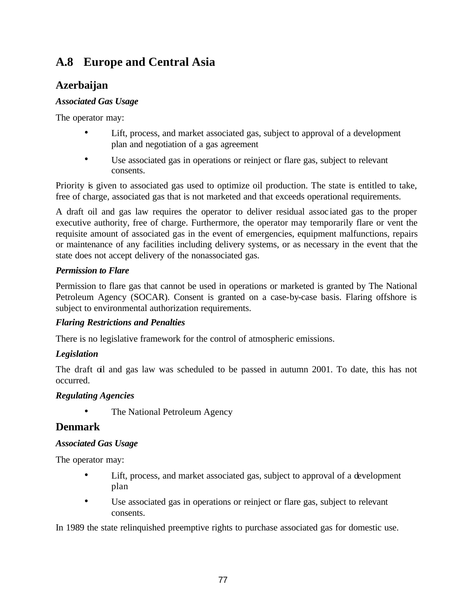# **A.8 Europe and Central Asia**

## **Azerbaijan**

## *Associated Gas Usage*

The operator may:

- Lift, process, and market associated gas, subject to approval of a development plan and negotiation of a gas agreement
- Use associated gas in operations or reinject or flare gas, subject to relevant consents.

Priority is given to associated gas used to optimize oil production. The state is entitled to take, free of charge, associated gas that is not marketed and that exceeds operational requirements.

A draft oil and gas law requires the operator to deliver residual assoc iated gas to the proper executive authority, free of charge. Furthermore, the operator may temporarily flare or vent the requisite amount of associated gas in the event of emergencies, equipment malfunctions, repairs or maintenance of any facilities including delivery systems, or as necessary in the event that the state does not accept delivery of the nonassociated gas.

## *Permission to Flare*

Permission to flare gas that cannot be used in operations or marketed is granted by The National Petroleum Agency (SOCAR). Consent is granted on a case-by-case basis. Flaring offshore is subject to environmental authorization requirements.

## *Flaring Restrictions and Penalties*

There is no legislative framework for the control of atmospheric emissions.

## *Legislation*

The draft oil and gas law was scheduled to be passed in autumn 2001. To date, this has not occurred.

## *Regulating Agencies*

• The National Petroleum Agency

## **Denmark**

## *Associated Gas Usage*

The operator may:

- Lift, process, and market associated gas, subject to approval of a development plan
- Use associated gas in operations or reinject or flare gas, subject to relevant consents.

In 1989 the state relinquished preemptive rights to purchase associated gas for domestic use.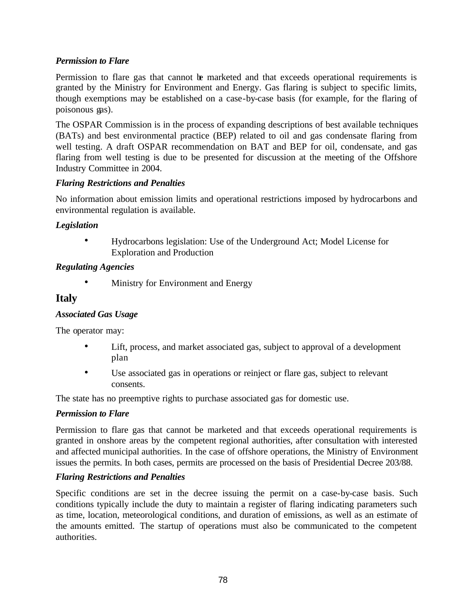## *Permission to Flare*

Permission to flare gas that cannot be marketed and that exceeds operational requirements is granted by the Ministry for Environment and Energy. Gas flaring is subject to specific limits, though exemptions may be established on a case-by-case basis (for example, for the flaring of poisonous gas).

The OSPAR Commission is in the process of expanding descriptions of best available techniques (BATs) and best environmental practice (BEP) related to oil and gas condensate flaring from well testing. A draft OSPAR recommendation on BAT and BEP for oil, condensate, and gas flaring from well testing is due to be presented for discussion at the meeting of the Offshore Industry Committee in 2004.

## *Flaring Restrictions and Penalties*

No information about emission limits and operational restrictions imposed by hydrocarbons and environmental regulation is available.

## *Legislation*

• Hydrocarbons legislation: Use of the Underground Act; Model License for Exploration and Production

## *Regulating Agencies*

Ministry for Environment and Energy

## **Italy**

## *Associated Gas Usage*

The operator may:

- Lift, process, and market associated gas, subject to approval of a development plan
- Use associated gas in operations or reinject or flare gas, subject to relevant consents.

The state has no preemptive rights to purchase associated gas for domestic use.

#### *Permission to Flare*

Permission to flare gas that cannot be marketed and that exceeds operational requirements is granted in onshore areas by the competent regional authorities, after consultation with interested and affected municipal authorities. In the case of offshore operations, the Ministry of Environment issues the permits. In both cases, permits are processed on the basis of Presidential Decree 203/88.

#### *Flaring Restrictions and Penalties*

Specific conditions are set in the decree issuing the permit on a case-by-case basis. Such conditions typically include the duty to maintain a register of flaring indicating parameters such as time, location, meteorological conditions, and duration of emissions, as well as an estimate of the amounts emitted. The startup of operations must also be communicated to the competent authorities.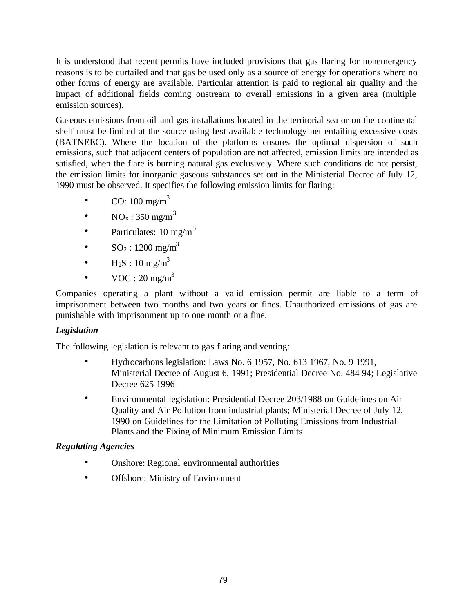It is understood that recent permits have included provisions that gas flaring for nonemergency reasons is to be curtailed and that gas be used only as a source of energy for operations where no other forms of energy are available. Particular attention is paid to regional air quality and the impact of additional fields coming onstream to overall emissions in a given area (multiple emission sources).

Gaseous emissions from oil and gas installations located in the territorial sea or on the continental shelf must be limited at the source using best available technology net entailing excessive costs (BATNEEC). Where the location of the platforms ensures the optimal dispersion of such emissions, such that adjacent centers of population are not affected, emission limits are intended as satisfied, when the flare is burning natural gas exclusively. Where such conditions do not persist, the emission limits for inorganic gaseous substances set out in the Ministerial Decree of July 12, 1990 must be observed. It specifies the following emission limits for flaring:

- CO:  $100 \text{ mg/m}^3$
- $NO<sub>x</sub> : 350$  mg/m<sup>3</sup>
- Particulates:  $10 \text{ mg/m}^3$
- $SO_2: 1200 \text{ mg/m}^3$
- $H_2S : 10 \text{ mg/m}^3$
- $VOC : 20 mg/m<sup>3</sup>$

Companies operating a plant without a valid emission permit are liable to a term of imprisonment between two months and two years or fines. Unauthorized emissions of gas are punishable with imprisonment up to one month or a fine.

## *Legislation*

The following legislation is relevant to gas flaring and venting:

- Hydrocarbons legislation: Laws No. 6 1957, No. 613 1967, No. 9 1991, Ministerial Decree of August 6, 1991; Presidential Decree No. 484 94; Legislative Decree 625 1996
- Environmental legislation: Presidential Decree 203/1988 on Guidelines on Air Quality and Air Pollution from industrial plants; Ministerial Decree of July 12, 1990 on Guidelines for the Limitation of Polluting Emissions from Industrial Plants and the Fixing of Minimum Emission Limits

- Onshore: Regional environmental authorities
- Offshore: Ministry of Environment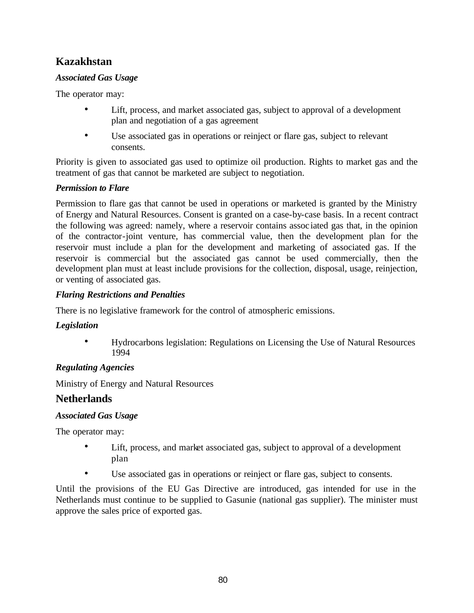## **Kazakhstan**

## *Associated Gas Usage*

The operator may:

- Lift, process, and market associated gas, subject to approval of a development plan and negotiation of a gas agreement
- Use associated gas in operations or reinject or flare gas, subject to relevant consents.

Priority is given to associated gas used to optimize oil production. Rights to market gas and the treatment of gas that cannot be marketed are subject to negotiation.

## *Permission to Flare*

Permission to flare gas that cannot be used in operations or marketed is granted by the Ministry of Energy and Natural Resources. Consent is granted on a case-by-case basis. In a recent contract the following was agreed: namely, where a reservoir contains assoc iated gas that, in the opinion of the contractor-joint venture, has commercial value, then the development plan for the reservoir must include a plan for the development and marketing of associated gas. If the reservoir is commercial but the associated gas cannot be used commercially, then the development plan must at least include provisions for the collection, disposal, usage, reinjection, or venting of associated gas.

## *Flaring Restrictions and Penalties*

There is no legislative framework for the control of atmospheric emissions.

## *Legislation*

• Hydrocarbons legislation: Regulations on Licensing the Use of Natural Resources 1994

## *Regulating Agencies*

Ministry of Energy and Natural Resources

## **Netherlands**

## *Associated Gas Usage*

The operator may:

- Lift, process, and market associated gas, subject to approval of a development plan
- Use associated gas in operations or reinject or flare gas, subject to consents.

Until the provisions of the EU Gas Directive are introduced, gas intended for use in the Netherlands must continue to be supplied to Gasunie (national gas supplier). The minister must approve the sales price of exported gas.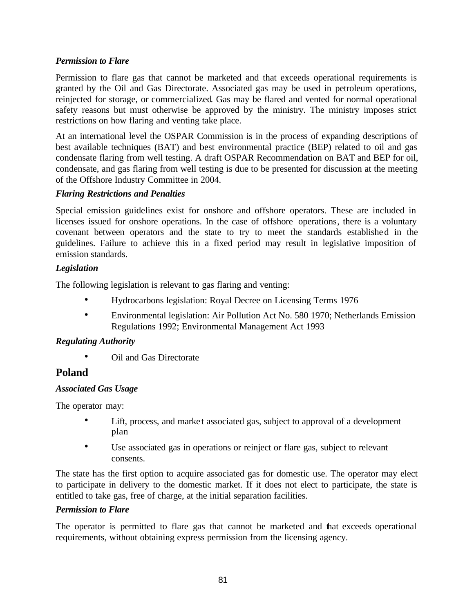## *Permission to Flare*

Permission to flare gas that cannot be marketed and that exceeds operational requirements is granted by the Oil and Gas Directorate. Associated gas may be used in petroleum operations, reinjected for storage, or commercialized. Gas may be flared and vented for normal operational safety reasons but must otherwise be approved by the ministry. The ministry imposes strict restrictions on how flaring and venting take place.

At an international level the OSPAR Commission is in the process of expanding descriptions of best available techniques (BAT) and best environmental practice (BEP) related to oil and gas condensate flaring from well testing. A draft OSPAR Recommendation on BAT and BEP for oil, condensate, and gas flaring from well testing is due to be presented for discussion at the meeting of the Offshore Industry Committee in 2004.

## *Flaring Restrictions and Penalties*

Special emission guidelines exist for onshore and offshore operators. These are included in licenses issued for onshore operations. In the case of offshore operations, there is a voluntary covenant between operators and the state to try to meet the standards established in the guidelines. Failure to achieve this in a fixed period may result in legislative imposition of emission standards.

## *Legislation*

The following legislation is relevant to gas flaring and venting:

- Hydrocarbons legislation: Royal Decree on Licensing Terms 1976
- Environmental legislation: Air Pollution Act No. 580 1970; Netherlands Emission Regulations 1992; Environmental Management Act 1993

## *Regulating Authority*

• Oil and Gas Directorate

## **Poland**

## *Associated Gas Usage*

The operator may:

- Lift, process, and market associated gas, subject to approval of a development plan
- Use associated gas in operations or reinject or flare gas, subject to relevant consents.

The state has the first option to acquire associated gas for domestic use. The operator may elect to participate in delivery to the domestic market. If it does not elect to participate, the state is entitled to take gas, free of charge, at the initial separation facilities.

## *Permission to Flare*

The operator is permitted to flare gas that cannot be marketed and that exceeds operational requirements, without obtaining express permission from the licensing agency.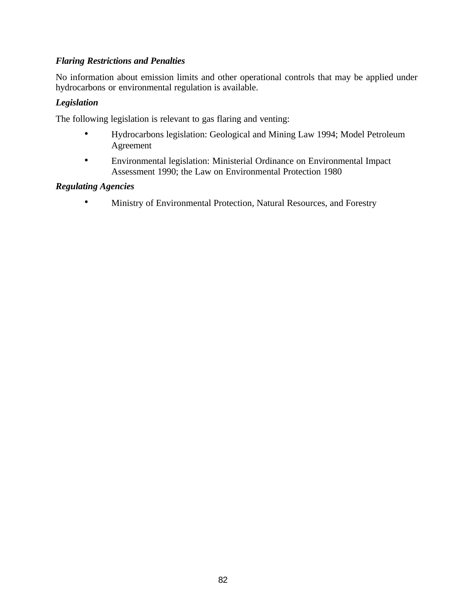### *Flaring Restrictions and Penalties*

No information about emission limits and other operational controls that may be applied under hydrocarbons or environmental regulation is available.

#### *Legislation*

The following legislation is relevant to gas flaring and venting:

- Hydrocarbons legislation: Geological and Mining Law 1994; Model Petroleum Agreement
- Environmental legislation: Ministerial Ordinance on Environmental Impact Assessment 1990; the Law on Environmental Protection 1980

#### *Regulating Agencies*

• Ministry of Environmental Protection, Natural Resources, and Forestry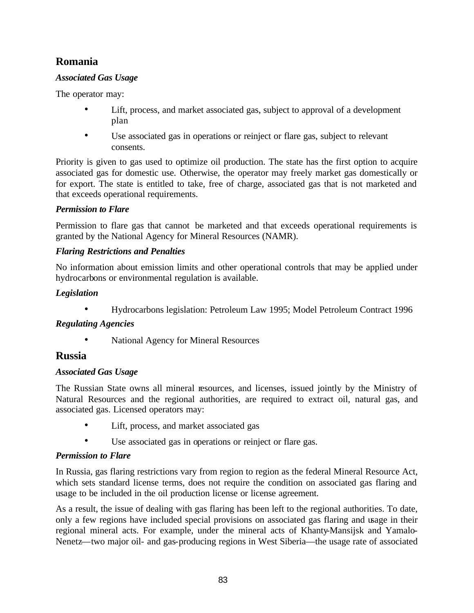## **Romania**

## *Associated Gas Usage*

The operator may:

- Lift, process, and market associated gas, subject to approval of a development plan
- Use associated gas in operations or reinject or flare gas, subject to relevant consents.

Priority is given to gas used to optimize oil production. The state has the first option to acquire associated gas for domestic use. Otherwise, the operator may freely market gas domestically or for export. The state is entitled to take, free of charge, associated gas that is not marketed and that exceeds operational requirements.

## *Permission to Flare*

Permission to flare gas that cannot be marketed and that exceeds operational requirements is granted by the National Agency for Mineral Resources (NAMR).

## *Flaring Restrictions and Penalties*

No information about emission limits and other operational controls that may be applied under hydrocarbons or environmental regulation is available.

## *Legislation*

• Hydrocarbons legislation: Petroleum Law 1995; Model Petroleum Contract 1996

## *Regulating Agencies*

• National Agency for Mineral Resources

## **Russia**

## *Associated Gas Usage*

The Russian State owns all mineral resources, and licenses, issued jointly by the Ministry of Natural Resources and the regional authorities, are required to extract oil, natural gas, and associated gas. Licensed operators may:

- Lift, process, and market associated gas
- Use associated gas in operations or reinject or flare gas.

## *Permission to Flare*

In Russia, gas flaring restrictions vary from region to region as the federal Mineral Resource Act, which sets standard license terms, does not require the condition on associated gas flaring and usage to be included in the oil production license or license agreement.

As a result, the issue of dealing with gas flaring has been left to the regional authorities. To date, only a few regions have included special provisions on associated gas flaring and usage in their regional mineral acts. For example, under the mineral acts of Khanty-Mansijsk and Yamalo-Nenetz—two major oil- and gas-producing regions in West Siberia—the usage rate of associated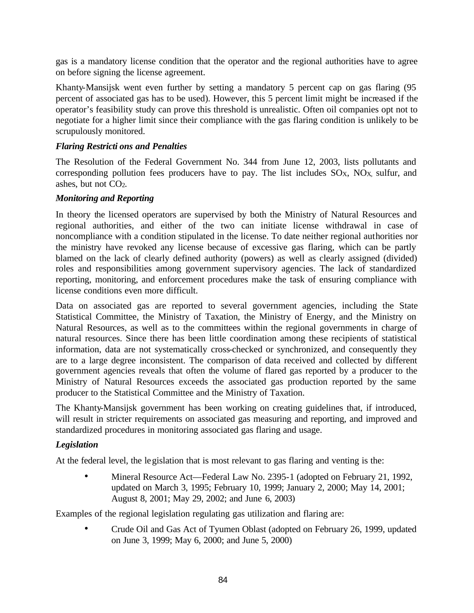gas is a mandatory license condition that the operator and the regional authorities have to agree on before signing the license agreement.

Khanty-Mansijsk went even further by setting a mandatory 5 percent cap on gas flaring (95 percent of associated gas has to be used). However, this 5 percent limit might be increased if the operator's feasibility study can prove this threshold is unrealistic. Often oil companies opt not to negotiate for a higher limit since their compliance with the gas flaring condition is unlikely to be scrupulously monitored.

#### *Flaring Restricti ons and Penalties*

The Resolution of the Federal Government No. 344 from June 12, 2003, lists pollutants and corresponding pollution fees producers have to pay. The list includes  $SO<sub>X</sub>$ ,  $NO<sub>X</sub>$ , sulfur, and ashes, but not CO2.

#### *Monitoring and Reporting*

In theory the licensed operators are supervised by both the Ministry of Natural Resources and regional authorities, and either of the two can initiate license withdrawal in case of noncompliance with a condition stipulated in the license. To date neither regional authorities nor the ministry have revoked any license because of excessive gas flaring, which can be partly blamed on the lack of clearly defined authority (powers) as well as clearly assigned (divided) roles and responsibilities among government supervisory agencies. The lack of standardized reporting, monitoring, and enforcement procedures make the task of ensuring compliance with license conditions even more difficult.

Data on associated gas are reported to several government agencies, including the State Statistical Committee, the Ministry of Taxation, the Ministry of Energy, and the Ministry on Natural Resources, as well as to the committees within the regional governments in charge of natural resources. Since there has been little coordination among these recipients of statistical information, data are not systematically cross-checked or synchronized, and consequently they are to a large degree inconsistent. The comparison of data received and collected by different government agencies reveals that often the volume of flared gas reported by a producer to the Ministry of Natural Resources exceeds the associated gas production reported by the same producer to the Statistical Committee and the Ministry of Taxation.

The Khanty-Mansijsk government has been working on creating guidelines that, if introduced, will result in stricter requirements on associated gas measuring and reporting, and improved and standardized procedures in monitoring associated gas flaring and usage.

## *Legislation*

At the federal level, the legislation that is most relevant to gas flaring and venting is the:

• Mineral Resource Act—Federal Law No. 2395-1 (adopted on February 21, 1992, updated on March 3, 1995; February 10, 1999; January 2, 2000; May 14, 2001; August 8, 2001; May 29, 2002; and June 6, 2003)

Examples of the regional legislation regulating gas utilization and flaring are:

• Crude Oil and Gas Act of Tyumen Oblast (adopted on February 26, 1999, updated on June 3, 1999; May 6, 2000; and June 5, 2000)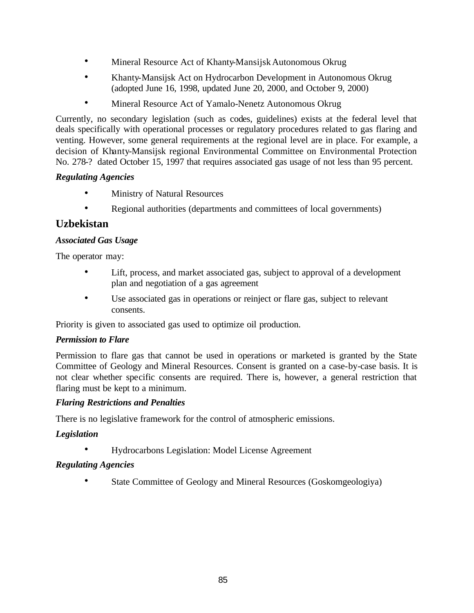- Mineral Resource Act of Khanty-Mansijsk Autonomous Okrug
- Khanty-Mansijsk Act on Hydrocarbon Development in Autonomous Okrug (adopted June 16, 1998, updated June 20, 2000, and October 9, 2000)
- Mineral Resource Act of Yamalo-Nenetz Autonomous Okrug

Currently, no secondary legislation (such as codes, guidelines) exists at the federal level that deals specifically with operational processes or regulatory procedures related to gas flaring and venting. However, some general requirements at the regional level are in place. For example, a decision of Khanty-Mansijsk regional Environmental Committee on Environmental Protection No. 278-? dated October 15, 1997 that requires associated gas usage of not less than 95 percent.

## *Regulating Agencies*

- Ministry of Natural Resources
- Regional authorities (departments and committees of local governments)

## **Uzbekistan**

## *Associated Gas Usage*

The operator may:

- Lift, process, and market associated gas, subject to approval of a development plan and negotiation of a gas agreement
- Use associated gas in operations or reinject or flare gas, subject to relevant consents.

Priority is given to associated gas used to optimize oil production.

## *Permission to Flare*

Permission to flare gas that cannot be used in operations or marketed is granted by the State Committee of Geology and Mineral Resources. Consent is granted on a case-by-case basis. It is not clear whether specific consents are required. There is, however, a general restriction that flaring must be kept to a minimum.

## *Flaring Restrictions and Penalties*

There is no legislative framework for the control of atmospheric emissions.

## *Legislation*

• Hydrocarbons Legislation: Model License Agreement

## *Regulating Agencies*

• State Committee of Geology and Mineral Resources (Goskomgeologiya)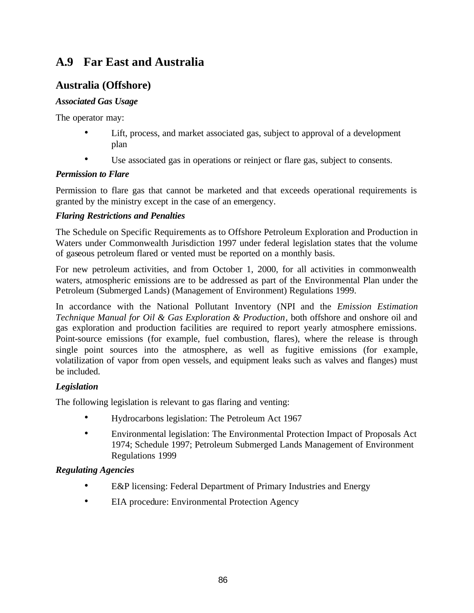# **A.9 Far East and Australia**

## **Australia (Offshore)**

## *Associated Gas Usage*

The operator may:

- Lift, process, and market associated gas, subject to approval of a development plan
- Use associated gas in operations or reinject or flare gas, subject to consents.

## *Permission to Flare*

Permission to flare gas that cannot be marketed and that exceeds operational requirements is granted by the ministry except in the case of an emergency.

## *Flaring Restrictions and Penalties*

The Schedule on Specific Requirements as to Offshore Petroleum Exploration and Production in Waters under Commonwealth Jurisdiction 1997 under federal legislation states that the volume of gaseous petroleum flared or vented must be reported on a monthly basis.

For new petroleum activities, and from October 1, 2000, for all activities in commonwealth waters, atmospheric emissions are to be addressed as part of the Environmental Plan under the Petroleum (Submerged Lands) (Management of Environment) Regulations 1999.

In accordance with the National Pollutant Inventory (NPI and the *Emission Estimation Technique Manual for Oil & Gas Exploration & Production*, both offshore and onshore oil and gas exploration and production facilities are required to report yearly atmosphere emissions. Point-source emissions (for example, fuel combustion, flares), where the release is through single point sources into the atmosphere, as well as fugitive emissions (for example, volatilization of vapor from open vessels, and equipment leaks such as valves and flanges) must be included.

## *Legislation*

The following legislation is relevant to gas flaring and venting:

- Hydrocarbons legislation: The Petroleum Act 1967
- Environmental legislation: The Environmental Protection Impact of Proposals Act 1974; Schedule 1997; Petroleum Submerged Lands Management of Environment Regulations 1999

- E&P licensing: Federal Department of Primary Industries and Energy
- EIA procedure: Environmental Protection Agency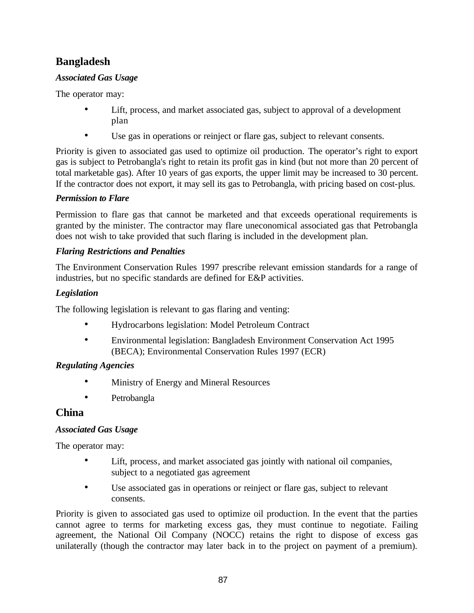## **Bangladesh**

## *Associated Gas Usage*

The operator may:

- Lift, process, and market associated gas, subject to approval of a development plan
- Use gas in operations or reinject or flare gas, subject to relevant consents.

Priority is given to associated gas used to optimize oil production. The operator's right to export gas is subject to Petrobangla's right to retain its profit gas in kind (but not more than 20 percent of total marketable gas). After 10 years of gas exports, the upper limit may be increased to 30 percent. If the contractor does not export, it may sell its gas to Petrobangla, with pricing based on cost-plus.

## *Permission to Flare*

Permission to flare gas that cannot be marketed and that exceeds operational requirements is granted by the minister. The contractor may flare uneconomical associated gas that Petrobangla does not wish to take provided that such flaring is included in the development plan.

## *Flaring Restrictions and Penalties*

The Environment Conservation Rules 1997 prescribe relevant emission standards for a range of industries, but no specific standards are defined for E&P activities.

## *Legislation*

The following legislation is relevant to gas flaring and venting:

- Hydrocarbons legislation: Model Petroleum Contract
- Environmental legislation: Bangladesh Environment Conservation Act 1995 (BECA); Environmental Conservation Rules 1997 (ECR)

## *Regulating Agencies*

- Ministry of Energy and Mineral Resources
- Petrobangla

## **China**

## *Associated Gas Usage*

The operator may:

- Lift, process, and market associated gas jointly with national oil companies, subject to a negotiated gas agreement
- Use associated gas in operations or reinject or flare gas, subject to relevant consents.

Priority is given to associated gas used to optimize oil production. In the event that the parties cannot agree to terms for marketing excess gas, they must continue to negotiate. Failing agreement, the National Oil Company (NOCC) retains the right to dispose of excess gas unilaterally (though the contractor may later back in to the project on payment of a premium).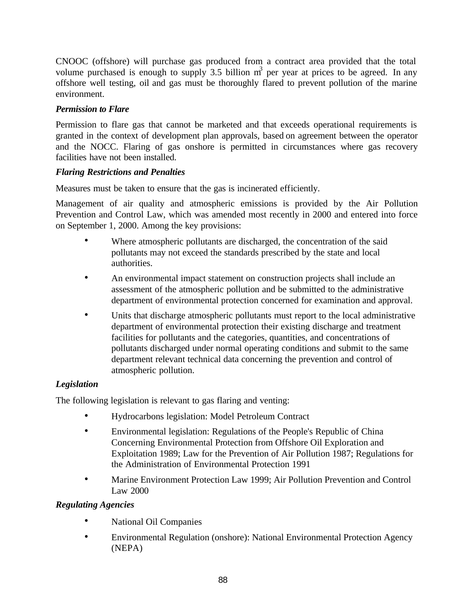CNOOC (offshore) will purchase gas produced from a contract area provided that the total volume purchased is enough to supply 3.5 billion  $m<sup>3</sup>$  per year at prices to be agreed. In any offshore well testing, oil and gas must be thoroughly flared to prevent pollution of the marine environment.

## *Permission to Flare*

Permission to flare gas that cannot be marketed and that exceeds operational requirements is granted in the context of development plan approvals, based on agreement between the operator and the NOCC. Flaring of gas onshore is permitted in circumstances where gas recovery facilities have not been installed.

## *Flaring Restrictions and Penalties*

Measures must be taken to ensure that the gas is incinerated efficiently.

Management of air quality and atmospheric emissions is provided by the Air Pollution Prevention and Control Law, which was amended most recently in 2000 and entered into force on September 1, 2000. Among the key provisions:

- Where atmospheric pollutants are discharged, the concentration of the said pollutants may not exceed the standards prescribed by the state and local authorities.
- An environmental impact statement on construction projects shall include an assessment of the atmospheric pollution and be submitted to the administrative department of environmental protection concerned for examination and approval.
- Units that discharge atmospheric pollutants must report to the local administrative department of environmental protection their existing discharge and treatment facilities for pollutants and the categories, quantities, and concentrations of pollutants discharged under normal operating conditions and submit to the same department relevant technical data concerning the prevention and control of atmospheric pollution.

## *Legislation*

The following legislation is relevant to gas flaring and venting:

- Hydrocarbons legislation: Model Petroleum Contract
- Environmental legislation: Regulations of the People's Republic of China Concerning Environmental Protection from Offshore Oil Exploration and Exploitation 1989; Law for the Prevention of Air Pollution 1987; Regulations for the Administration of Environmental Protection 1991
- Marine Environment Protection Law 1999; Air Pollution Prevention and Control Law 2000

- National Oil Companies
- Environmental Regulation (onshore): National Environmental Protection Agency (NEPA)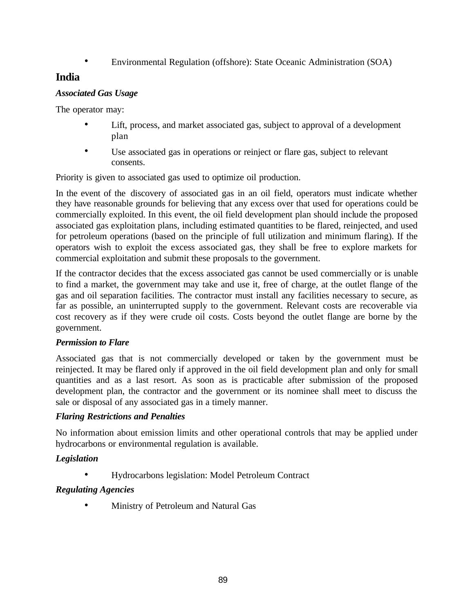• Environmental Regulation (offshore): State Oceanic Administration (SOA)

## **India**

## *Associated Gas Usage*

The operator may:

- Lift, process, and market associated gas, subject to approval of a development plan
- Use associated gas in operations or reinject or flare gas, subject to relevant consents.

Priority is given to associated gas used to optimize oil production.

In the event of the discovery of associated gas in an oil field, operators must indicate whether they have reasonable grounds for believing that any excess over that used for operations could be commercially exploited. In this event, the oil field development plan should include the proposed associated gas exploitation plans, including estimated quantities to be flared, reinjected, and used for petroleum operations (based on the principle of full utilization and minimum flaring). If the operators wish to exploit the excess associated gas, they shall be free to explore markets for commercial exploitation and submit these proposals to the government.

If the contractor decides that the excess associated gas cannot be used commercially or is unable to find a market, the government may take and use it, free of charge, at the outlet flange of the gas and oil separation facilities. The contractor must install any facilities necessary to secure, as far as possible, an uninterrupted supply to the government. Relevant costs are recoverable via cost recovery as if they were crude oil costs. Costs beyond the outlet flange are borne by the government.

## *Permission to Flare*

Associated gas that is not commercially developed or taken by the government must be reinjected. It may be flared only if approved in the oil field development plan and only for small quantities and as a last resort. As soon as is practicable after submission of the proposed development plan, the contractor and the government or its nominee shall meet to discuss the sale or disposal of any associated gas in a timely manner.

## *Flaring Restrictions and Penalties*

No information about emission limits and other operational controls that may be applied under hydrocarbons or environmental regulation is available.

## *Legislation*

• Hydrocarbons legislation: Model Petroleum Contract

## *Regulating Agencies*

• Ministry of Petroleum and Natural Gas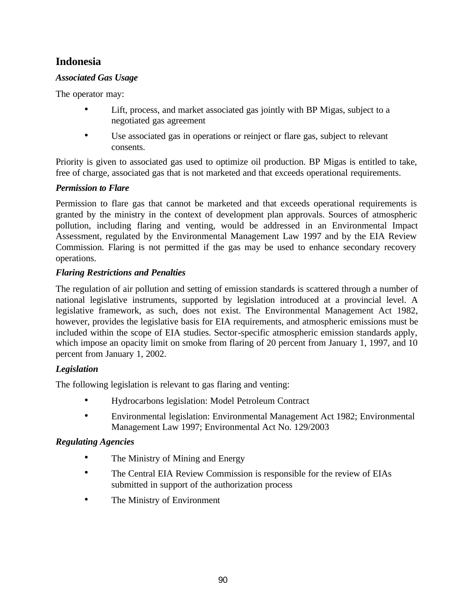## **Indonesia**

## *Associated Gas Usage*

The operator may:

- Lift, process, and market associated gas jointly with BP Migas, subject to a negotiated gas agreement
- Use associated gas in operations or reinject or flare gas, subject to relevant consents.

Priority is given to associated gas used to optimize oil production. BP Migas is entitled to take, free of charge, associated gas that is not marketed and that exceeds operational requirements.

## *Permission to Flare*

Permission to flare gas that cannot be marketed and that exceeds operational requirements is granted by the ministry in the context of development plan approvals. Sources of atmospheric pollution, including flaring and venting, would be addressed in an Environmental Impact Assessment, regulated by the Environmental Management Law 1997 and by the EIA Review Commission. Flaring is not permitted if the gas may be used to enhance secondary recovery operations.

## *Flaring Restrictions and Penalties*

The regulation of air pollution and setting of emission standards is scattered through a number of national legislative instruments, supported by legislation introduced at a provincial level. A legislative framework, as such, does not exist. The Environmental Management Act 1982, however, provides the legislative basis for EIA requirements, and atmospheric emissions must be included within the scope of EIA studies. Sector-specific atmospheric emission standards apply, which impose an opacity limit on smoke from flaring of 20 percent from January 1, 1997, and 10 percent from January 1, 2002.

## *Legislation*

The following legislation is relevant to gas flaring and venting:

- Hydrocarbons legislation: Model Petroleum Contract
- Environmental legislation: Environmental Management Act 1982; Environmental Management Law 1997; Environmental Act No. 129/2003

- The Ministry of Mining and Energy
- The Central EIA Review Commission is responsible for the review of EIAs submitted in support of the authorization process
- The Ministry of Environment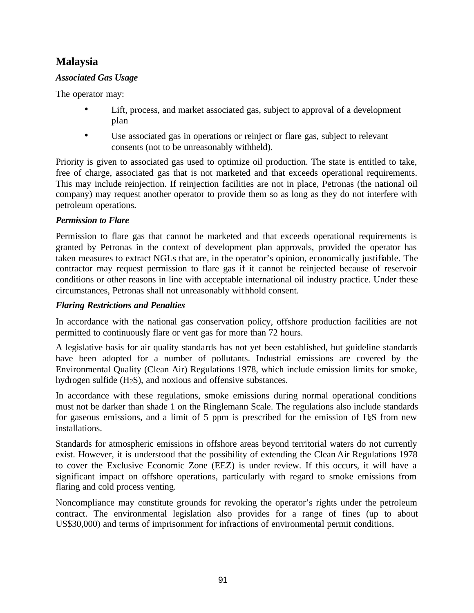## **Malaysia**

## *Associated Gas Usage*

The operator may:

- Lift, process, and market associated gas, subject to approval of a development plan
- Use associated gas in operations or reinject or flare gas, subject to relevant consents (not to be unreasonably withheld).

Priority is given to associated gas used to optimize oil production. The state is entitled to take, free of charge, associated gas that is not marketed and that exceeds operational requirements. This may include reinjection. If reinjection facilities are not in place, Petronas (the national oil company) may request another operator to provide them so as long as they do not interfere with petroleum operations.

## *Permission to Flare*

Permission to flare gas that cannot be marketed and that exceeds operational requirements is granted by Petronas in the context of development plan approvals, provided the operator has taken measures to extract NGLs that are, in the operator's opinion, economically justifiable. The contractor may request permission to flare gas if it cannot be reinjected because of reservoir conditions or other reasons in line with acceptable international oil industry practice. Under these circumstances, Petronas shall not unreasonably withhold consent.

## *Flaring Restrictions and Penalties*

In accordance with the national gas conservation policy, offshore production facilities are not permitted to continuously flare or vent gas for more than 72 hours.

A legislative basis for air quality standards has not yet been established, but guideline standards have been adopted for a number of pollutants. Industrial emissions are covered by the Environmental Quality (Clean Air) Regulations 1978, which include emission limits for smoke, hydrogen sulfide (H2S), and noxious and offensive substances.

In accordance with these regulations, smoke emissions during normal operational conditions must not be darker than shade 1 on the Ringlemann Scale. The regulations also include standards for gaseous emissions, and a limit of 5 ppm is prescribed for the emission of H2S from new installations.

Standards for atmospheric emissions in offshore areas beyond territorial waters do not currently exist. However, it is understood that the possibility of extending the Clean Air Regulations 1978 to cover the Exclusive Economic Zone (EEZ) is under review. If this occurs, it will have a significant impact on offshore operations, particularly with regard to smoke emissions from flaring and cold process venting.

Noncompliance may constitute grounds for revoking the operator's rights under the petroleum contract. The environmental legislation also provides for a range of fines (up to about US\$30,000) and terms of imprisonment for infractions of environmental permit conditions.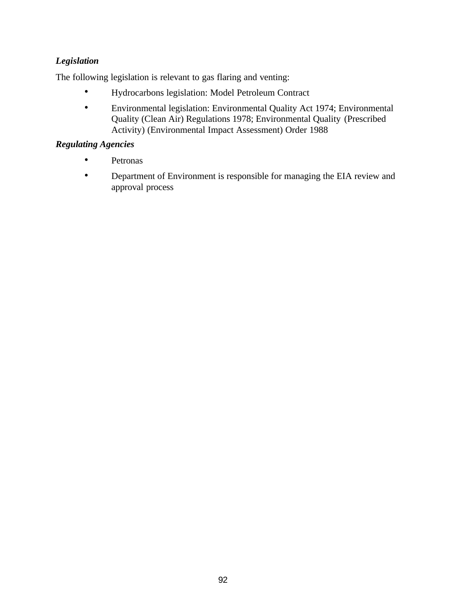## *Legislation*

The following legislation is relevant to gas flaring and venting:

- Hydrocarbons legislation: Model Petroleum Contract
- Environmental legislation: Environmental Quality Act 1974; Environmental Quality (Clean Air) Regulations 1978; Environmental Quality (Prescribed Activity) (Environmental Impact Assessment) Order 1988

- Petronas
- Department of Environment is responsible for managing the EIA review and approval process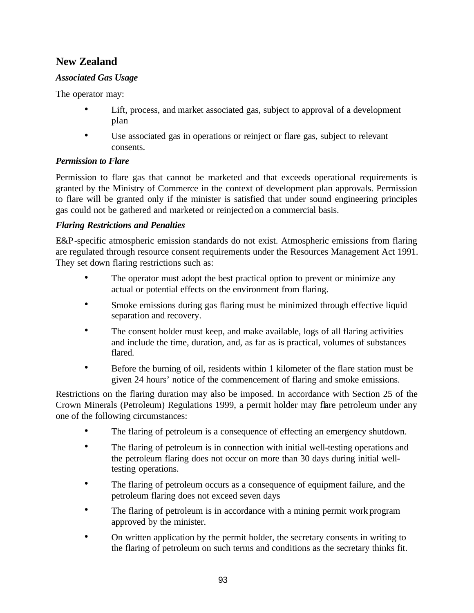## **New Zealand**

## *Associated Gas Usage*

The operator may:

- Lift, process, and market associated gas, subject to approval of a development plan
- Use associated gas in operations or reinject or flare gas, subject to relevant consents.

## *Permission to Flare*

Permission to flare gas that cannot be marketed and that exceeds operational requirements is granted by the Ministry of Commerce in the context of development plan approvals. Permission to flare will be granted only if the minister is satisfied that under sound engineering principles gas could not be gathered and marketed or reinjected on a commercial basis.

## *Flaring Restrictions and Penalties*

E&P-specific atmospheric emission standards do not exist. Atmospheric emissions from flaring are regulated through resource consent requirements under the Resources Management Act 1991. They set down flaring restrictions such as:

- The operator must adopt the best practical option to prevent or minimize any actual or potential effects on the environment from flaring.
- Smoke emissions during gas flaring must be minimized through effective liquid separation and recovery.
- The consent holder must keep, and make available, logs of all flaring activities and include the time, duration, and, as far as is practical, volumes of substances flared.
- Before the burning of oil, residents within 1 kilometer of the flare station must be given 24 hours' notice of the commencement of flaring and smoke emissions.

Restrictions on the flaring duration may also be imposed. In accordance with Section 25 of the Crown Minerals (Petroleum) Regulations 1999, a permit holder may flare petroleum under any one of the following circumstances:

- The flaring of petroleum is a consequence of effecting an emergency shutdown.
- The flaring of petroleum is in connection with initial well-testing operations and the petroleum flaring does not occur on more than 30 days during initial welltesting operations.
- The flaring of petroleum occurs as a consequence of equipment failure, and the petroleum flaring does not exceed seven days
- The flaring of petroleum is in accordance with a mining permit work program approved by the minister.
- On written application by the permit holder, the secretary consents in writing to the flaring of petroleum on such terms and conditions as the secretary thinks fit.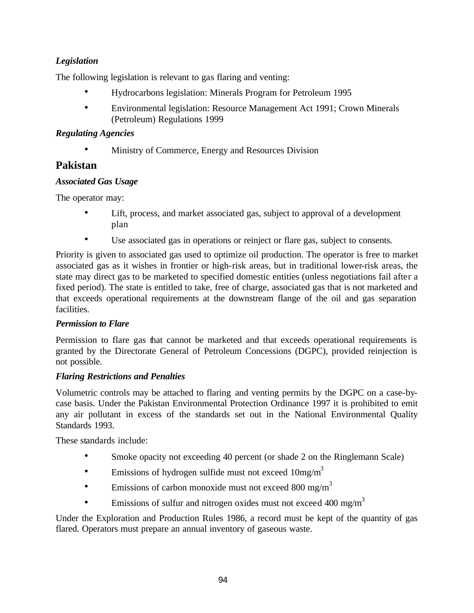## *Legislation*

The following legislation is relevant to gas flaring and venting:

- Hydrocarbons legislation: Minerals Program for Petroleum 1995
- Environmental legislation: Resource Management Act 1991; Crown Minerals (Petroleum) Regulations 1999

## *Regulating Agencies*

• Ministry of Commerce, Energy and Resources Division

## **Pakistan**

## *Associated Gas Usage*

The operator may:

- Lift, process, and market associated gas, subject to approval of a development plan
- Use associated gas in operations or reinject or flare gas, subject to consents.

Priority is given to associated gas used to optimize oil production. The operator is free to market associated gas as it wishes in frontier or high-risk areas, but in traditional lower-risk areas, the state may direct gas to be marketed to specified domestic entities (unless negotiations fail after a fixed period). The state is entitled to take, free of charge, associated gas that is not marketed and that exceeds operational requirements at the downstream flange of the oil and gas separation facilities.

## *Permission to Flare*

Permission to flare gas that cannot be marketed and that exceeds operational requirements is granted by the Directorate General of Petroleum Concessions (DGPC), provided reinjection is not possible.

## *Flaring Restrictions and Penalties*

Volumetric controls may be attached to flaring and venting permits by the DGPC on a case-bycase basis. Under the Pakistan Environmental Protection Ordinance 1997 it is prohibited to emit any air pollutant in excess of the standards set out in the National Environmental Quality Standards 1993.

These standards include:

- Smoke opacity not exceeding 40 percent (or shade 2 on the Ringlemann Scale)
- Emissions of hydrogen sulfide must not exceed  $10mg/m<sup>3</sup>$
- Emissions of carbon monoxide must not exceed 800 mg/m<sup>3</sup>
- Emissions of sulfur and nitrogen oxides must not exceed 400 mg/m<sup>3</sup>

Under the Exploration and Production Rules 1986, a record must be kept of the quantity of gas flared. Operators must prepare an annual inventory of gaseous waste.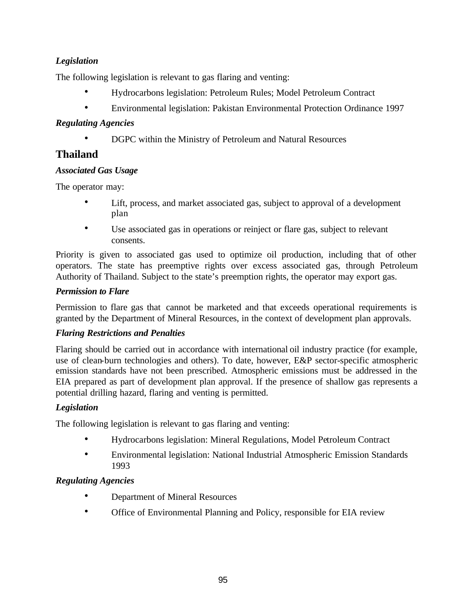## *Legislation*

The following legislation is relevant to gas flaring and venting:

- Hydrocarbons legislation: Petroleum Rules; Model Petroleum Contract
- Environmental legislation: Pakistan Environmental Protection Ordinance 1997

## *Regulating Agencies*

• DGPC within the Ministry of Petroleum and Natural Resources

## **Thailand**

## *Associated Gas Usage*

The operator may:

- Lift, process, and market associated gas, subject to approval of a development plan
- Use associated gas in operations or reinject or flare gas, subject to relevant consents.

Priority is given to associated gas used to optimize oil production, including that of other operators. The state has preemptive rights over excess associated gas, through Petroleum Authority of Thailand. Subject to the state's preemption rights, the operator may export gas.

## *Permission to Flare*

Permission to flare gas that cannot be marketed and that exceeds operational requirements is granted by the Department of Mineral Resources, in the context of development plan approvals.

## *Flaring Restrictions and Penalties*

Flaring should be carried out in accordance with international oil industry practice (for example, use of clean-burn technologies and others). To date, however, E&P sector-specific atmospheric emission standards have not been prescribed. Atmospheric emissions must be addressed in the EIA prepared as part of development plan approval. If the presence of shallow gas represents a potential drilling hazard, flaring and venting is permitted.

## *Legislation*

The following legislation is relevant to gas flaring and venting:

- Hydrocarbons legislation: Mineral Regulations, Model Petroleum Contract
- Environmental legislation: National Industrial Atmospheric Emission Standards 1993

- Department of Mineral Resources
- Office of Environmental Planning and Policy, responsible for EIA review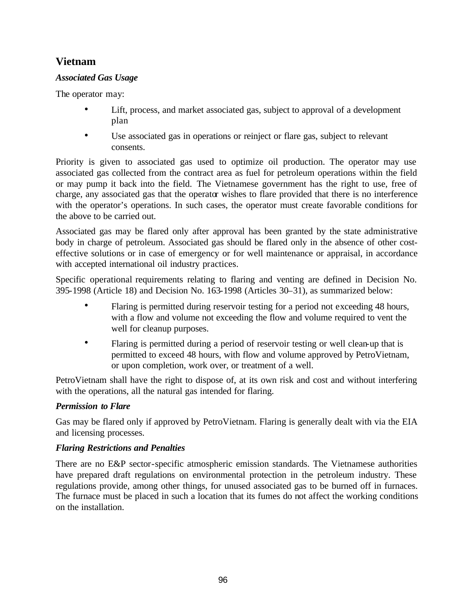## **Vietnam**

## *Associated Gas Usage*

The operator may:

- Lift, process, and market associated gas, subject to approval of a development plan
- Use associated gas in operations or reinject or flare gas, subject to relevant consents.

Priority is given to associated gas used to optimize oil production. The operator may use associated gas collected from the contract area as fuel for petroleum operations within the field or may pump it back into the field. The Vietnamese government has the right to use, free of charge, any associated gas that the operator wishes to flare provided that there is no interference with the operator's operations. In such cases, the operator must create favorable conditions for the above to be carried out.

Associated gas may be flared only after approval has been granted by the state administrative body in charge of petroleum. Associated gas should be flared only in the absence of other costeffective solutions or in case of emergency or for well maintenance or appraisal, in accordance with accepted international oil industry practices.

Specific operational requirements relating to flaring and venting are defined in Decision No. 395-1998 (Article 18) and Decision No. 163-1998 (Articles 30–31), as summarized below:

- Flaring is permitted during reservoir testing for a period not exceeding 48 hours, with a flow and volume not exceeding the flow and volume required to vent the well for cleanup purposes.
- Flaring is permitted during a period of reservoir testing or well clean-up that is permitted to exceed 48 hours, with flow and volume approved by PetroVietnam, or upon completion, work over, or treatment of a well.

PetroVietnam shall have the right to dispose of, at its own risk and cost and without interfering with the operations, all the natural gas intended for flaring.

## *Permission to Flare*

Gas may be flared only if approved by PetroVietnam. Flaring is generally dealt with via the EIA and licensing processes.

## *Flaring Restrictions and Penalties*

There are no E&P sector-specific atmospheric emission standards. The Vietnamese authorities have prepared draft regulations on environmental protection in the petroleum industry. These regulations provide, among other things, for unused associated gas to be burned off in furnaces. The furnace must be placed in such a location that its fumes do not affect the working conditions on the installation.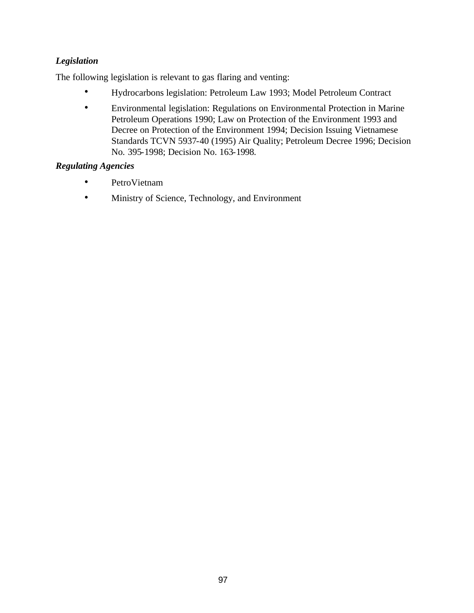## *Legislation*

The following legislation is relevant to gas flaring and venting:

- Hydrocarbons legislation: Petroleum Law 1993; Model Petroleum Contract
- Environmental legislation: Regulations on Environmental Protection in Marine Petroleum Operations 1990; Law on Protection of the Environment 1993 and Decree on Protection of the Environment 1994; Decision Issuing Vietnamese Standards TCVN 5937-40 (1995) Air Quality; Petroleum Decree 1996; Decision No. 395-1998; Decision No. 163-1998.

- PetroVietnam
- Ministry of Science, Technology, and Environment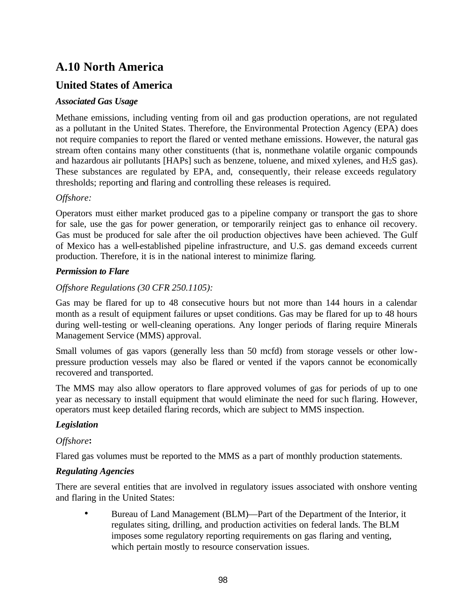# **A.10 North America**

## **United States of America**

## *Associated Gas Usage*

Methane emissions, including venting from oil and gas production operations, are not regulated as a pollutant in the United States. Therefore, the Environmental Protection Agency (EPA) does not require companies to report the flared or vented methane emissions. However, the natural gas stream often contains many other constituents (that is, nonmethane volatile organic compounds and hazardous air pollutants [HAPs] such as benzene, toluene, and mixed xylenes, and H2S gas). These substances are regulated by EPA, and, consequently, their release exceeds regulatory thresholds; reporting and flaring and controlling these releases is required.

## *Offshore:*

Operators must either market produced gas to a pipeline company or transport the gas to shore for sale, use the gas for power generation, or temporarily reinject gas to enhance oil recovery. Gas must be produced for sale after the oil production objectives have been achieved. The Gulf of Mexico has a well-established pipeline infrastructure, and U.S. gas demand exceeds current production. Therefore, it is in the national interest to minimize flaring.

## *Permission to Flare*

## *Offshore Regulations (30 CFR 250.1105):*

Gas may be flared for up to 48 consecutive hours but not more than 144 hours in a calendar month as a result of equipment failures or upset conditions. Gas may be flared for up to 48 hours during well-testing or well-cleaning operations. Any longer periods of flaring require Minerals Management Service (MMS) approval.

Small volumes of gas vapors (generally less than 50 mcfd) from storage vessels or other lowpressure production vessels may also be flared or vented if the vapors cannot be economically recovered and transported.

The MMS may also allow operators to flare approved volumes of gas for periods of up to one year as necessary to install equipment that would eliminate the need for such flaring. However, operators must keep detailed flaring records, which are subject to MMS inspection.

## *Legislation*

## *Offshore***:**

Flared gas volumes must be reported to the MMS as a part of monthly production statements.

## *Regulating Agencies*

There are several entities that are involved in regulatory issues associated with onshore venting and flaring in the United States:

• Bureau of Land Management (BLM)—Part of the Department of the Interior, it regulates siting, drilling, and production activities on federal lands. The BLM imposes some regulatory reporting requirements on gas flaring and venting, which pertain mostly to resource conservation issues.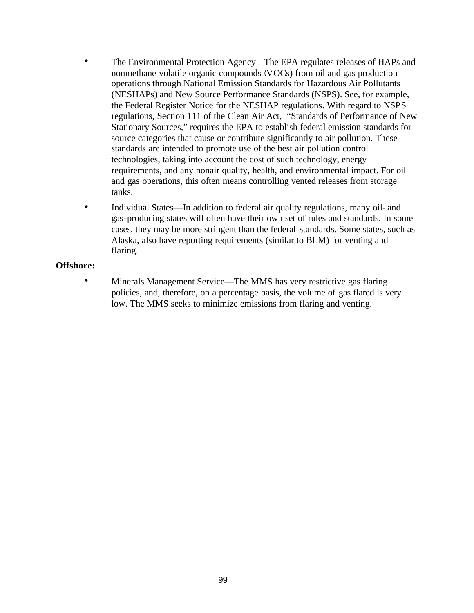- The Environmental Protection Agency—The EPA regulates releases of HAPs and nonmethane volatile organic compounds (VOCs) from oil and gas production operations through National Emission Standards for Hazardous Air Pollutants (NESHAPs) and New Source Performance Standards (NSPS). See, for example, the Federal Register Notice for the NESHAP regulations. With regard to NSPS regulations, Section 111 of the Clean Air Act, "Standards of Performance of New Stationary Sources," requires the EPA to establish federal emission standards for source categories that cause or contribute significantly to air pollution. These standards are intended to promote use of the best air pollution control technologies, taking into account the cost of such technology, energy requirements, and any nonair quality, health, and environmental impact. For oil and gas operations, this often means controlling vented releases from storage tanks.
- Individual States—In addition to federal air quality regulations, many oil- and gas-producing states will often have their own set of rules and standards. In some cases, they may be more stringent than the federal standards. Some states, such as Alaska, also have reporting requirements (similar to BLM) for venting and flaring.

#### **Offshore:**

• Minerals Management Service—The MMS has very restrictive gas flaring policies, and, therefore, on a percentage basis, the volume of gas flared is very low. The MMS seeks to minimize emissions from flaring and venting.